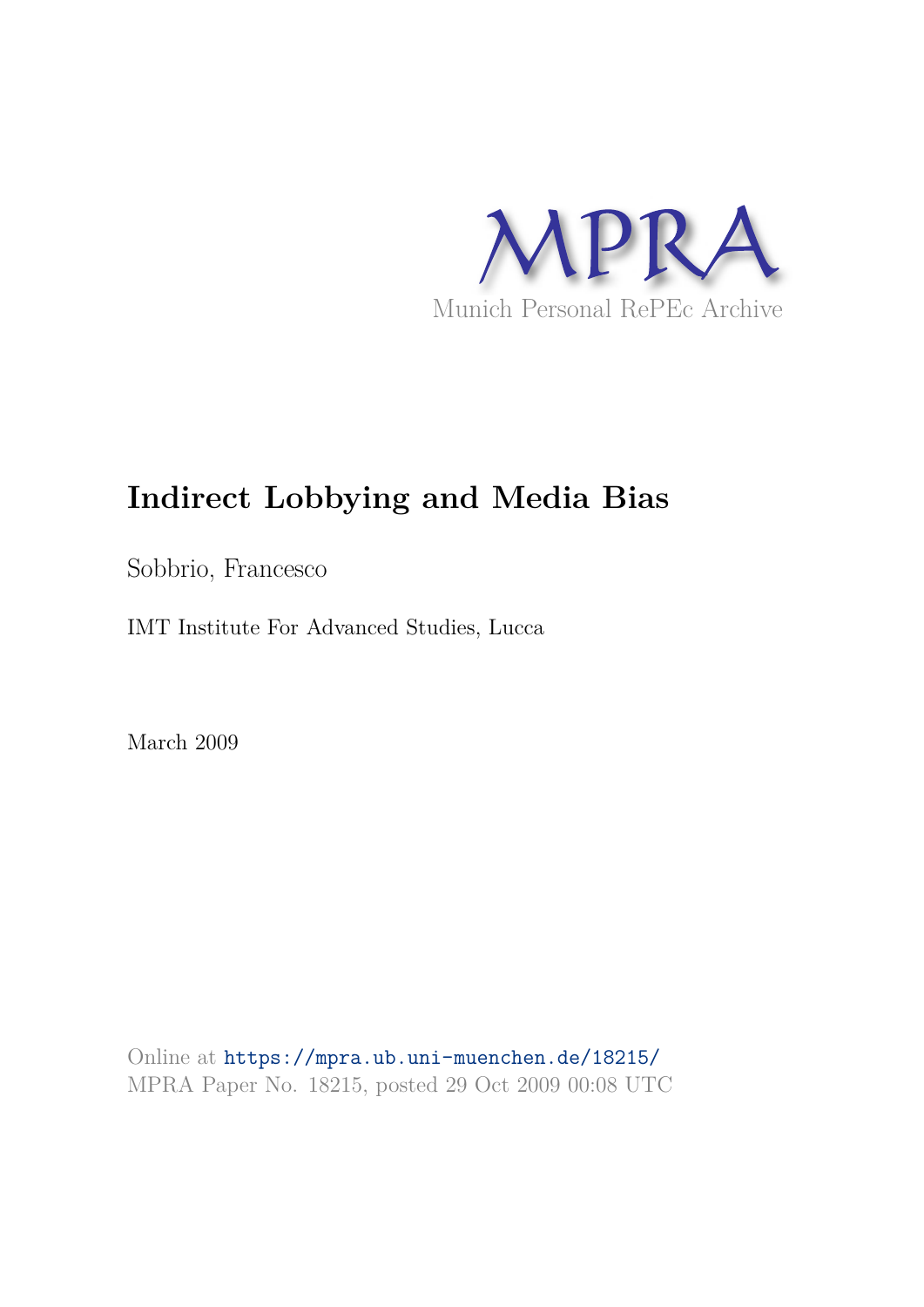

# **Indirect Lobbying and Media Bias**

Sobbrio, Francesco

IMT Institute For Advanced Studies, Lucca

March 2009

Online at https://mpra.ub.uni-muenchen.de/18215/ MPRA Paper No. 18215, posted 29 Oct 2009 00:08 UTC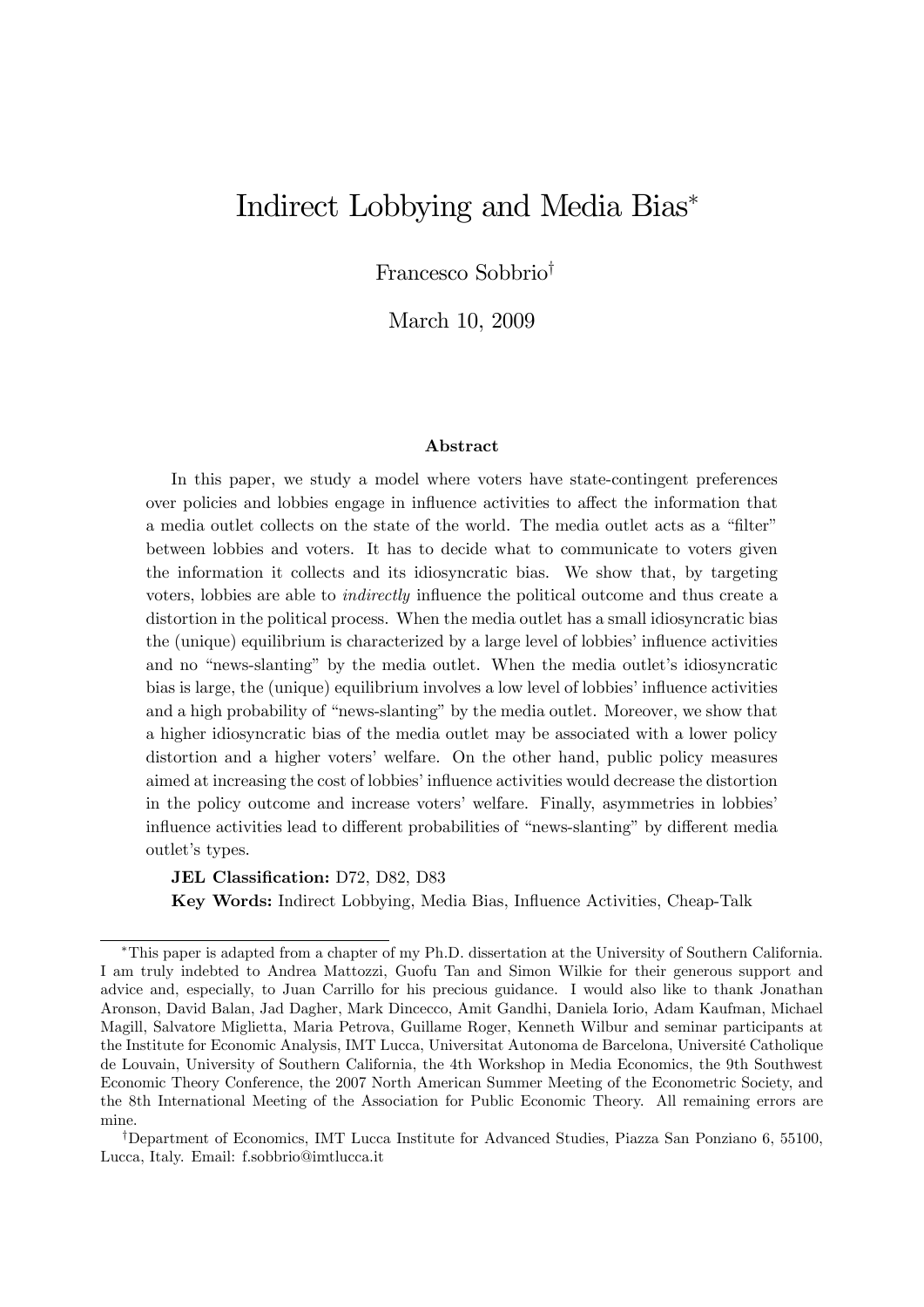# Indirect Lobbying and Media Bias

Francesco Sobbrio<sup>†</sup>

March 10, 2009

#### Abstract

In this paper, we study a model where voters have state-contingent preferences over policies and lobbies engage in influence activities to affect the information that a media outlet collects on the state of the world. The media outlet acts as a "filter" between lobbies and voters. It has to decide what to communicate to voters given the information it collects and its idiosyncratic bias. We show that, by targeting voters, lobbies are able to *indirectly* influence the political outcome and thus create a distortion in the political process. When the media outlet has a small idiosyncratic bias the (unique) equilibrium is characterized by a large level of lobbies' influence activities and no "news-slanting" by the media outlet. When the media outlet's idiosyncratic bias is large, the (unique) equilibrium involves a low level of lobbies' influence activities and a high probability of "news-slanting" by the media outlet. Moreover, we show that a higher idiosyncratic bias of the media outlet may be associated with a lower policy distortion and a higher voters' welfare. On the other hand, public policy measures aimed at increasing the cost of lobbies' influence activities would decrease the distortion in the policy outcome and increase voters' welfare. Finally, asymmetries in lobbies' influence activities lead to different probabilities of "news-slanting" by different media outlet's types.

JEL Classification: D72, D82, D83

Key Words: Indirect Lobbying, Media Bias, Ináuence Activities, Cheap-Talk

This paper is adapted from a chapter of my Ph.D. dissertation at the University of Southern California. I am truly indebted to Andrea Mattozzi, Guofu Tan and Simon Wilkie for their generous support and advice and, especially, to Juan Carrillo for his precious guidance. I would also like to thank Jonathan Aronson, David Balan, Jad Dagher, Mark Dincecco, Amit Gandhi, Daniela Iorio, Adam Kaufman, Michael Magill, Salvatore Miglietta, Maria Petrova, Guillame Roger, Kenneth Wilbur and seminar participants at the Institute for Economic Analysis, IMT Lucca, Universitat Autonoma de Barcelona, Université Catholique de Louvain, University of Southern California, the 4th Workshop in Media Economics, the 9th Southwest Economic Theory Conference, the 2007 North American Summer Meeting of the Econometric Society, and the 8th International Meeting of the Association for Public Economic Theory. All remaining errors are mine.

<sup>&</sup>lt;sup>†</sup>Department of Economics, IMT Lucca Institute for Advanced Studies, Piazza San Ponziano 6, 55100, Lucca, Italy. Email: f.sobbrio@imtlucca.it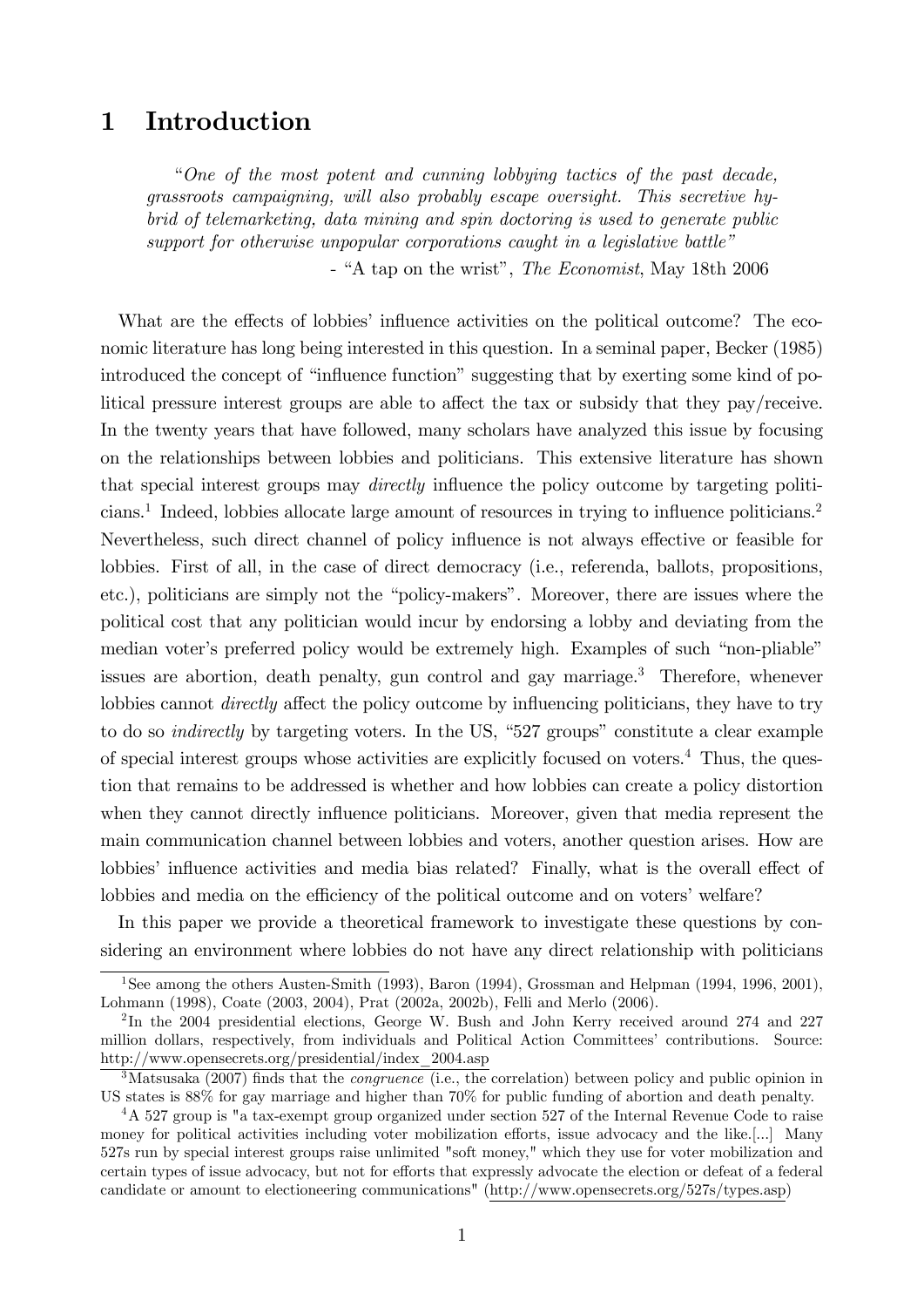# 1 Introduction

ìOne of the most potent and cunning lobbying tactics of the past decade, grassroots campaigning, will also probably escape oversight. This secretive hybrid of telemarketing, data mining and spin doctoring is used to generate public support for otherwise unpopular corporations caught in a legislative battle"  $-$  "A tap on the wrist", *The Economist*, May 18th 2006

What are the effects of lobbies' influence activities on the political outcome? The economic literature has long being interested in this question. In a seminal paper, Becker (1985) introduced the concept of "influence function" suggesting that by exerting some kind of political pressure interest groups are able to affect the tax or subsidy that they pay/receive. In the twenty years that have followed, many scholars have analyzed this issue by focusing on the relationships between lobbies and politicians. This extensive literature has shown that special interest groups may *directly* influence the policy outcome by targeting politicians.<sup>1</sup> Indeed, lobbies allocate large amount of resources in trying to influence politicians.<sup>2</sup> Nevertheless, such direct channel of policy influence is not always effective or feasible for lobbies. First of all, in the case of direct democracy (i.e., referenda, ballots, propositions, etc.), politicians are simply not the "policy-makers". Moreover, there are issues where the political cost that any politician would incur by endorsing a lobby and deviating from the median voter's preferred policy would be extremely high. Examples of such "non-pliable" issues are abortion, death penalty, gun control and gay marriage.<sup>3</sup> Therefore, whenever lobbies cannot *directly* affect the policy outcome by influencing politicians, they have to try to do so *indirectly* by targeting voters. In the US, " $527$  groups" constitute a clear example of special interest groups whose activities are explicitly focused on voters.<sup>4</sup> Thus, the question that remains to be addressed is whether and how lobbies can create a policy distortion when they cannot directly influence politicians. Moreover, given that media represent the main communication channel between lobbies and voters, another question arises. How are lobbies' influence activities and media bias related? Finally, what is the overall effect of lobbies and media on the efficiency of the political outcome and on voters' welfare?

In this paper we provide a theoretical framework to investigate these questions by considering an environment where lobbies do not have any direct relationship with politicians

<sup>&</sup>lt;sup>1</sup>See among the others Austen-Smith (1993), Baron (1994), Grossman and Helpman (1994, 1996, 2001), Lohmann (1998), Coate (2003, 2004), Prat (2002a, 2002b), Felli and Merlo (2006).

<sup>&</sup>lt;sup>2</sup>In the 2004 presidential elections, George W. Bush and John Kerry received around 274 and 227 million dollars, respectively, from individuals and Political Action Committeesí contributions. Source: http://www.opensecrets.org/presidential/index\_2004.asp

 $3$ Matsusaka (2007) finds that the *congruence* (i.e., the correlation) between policy and public opinion in US states is 88% for gay marriage and higher than 70% for public funding of abortion and death penalty.

<sup>&</sup>lt;sup>4</sup>A 527 group is "a tax-exempt group organized under section 527 of the Internal Revenue Code to raise money for political activities including voter mobilization efforts, issue advocacy and the like.[...] Many 527s run by special interest groups raise unlimited "soft money," which they use for voter mobilization and certain types of issue advocacy, but not for efforts that expressly advocate the election or defeat of a federal candidate or amount to electioneering communications" (http://www.opensecrets.org/527s/types.asp)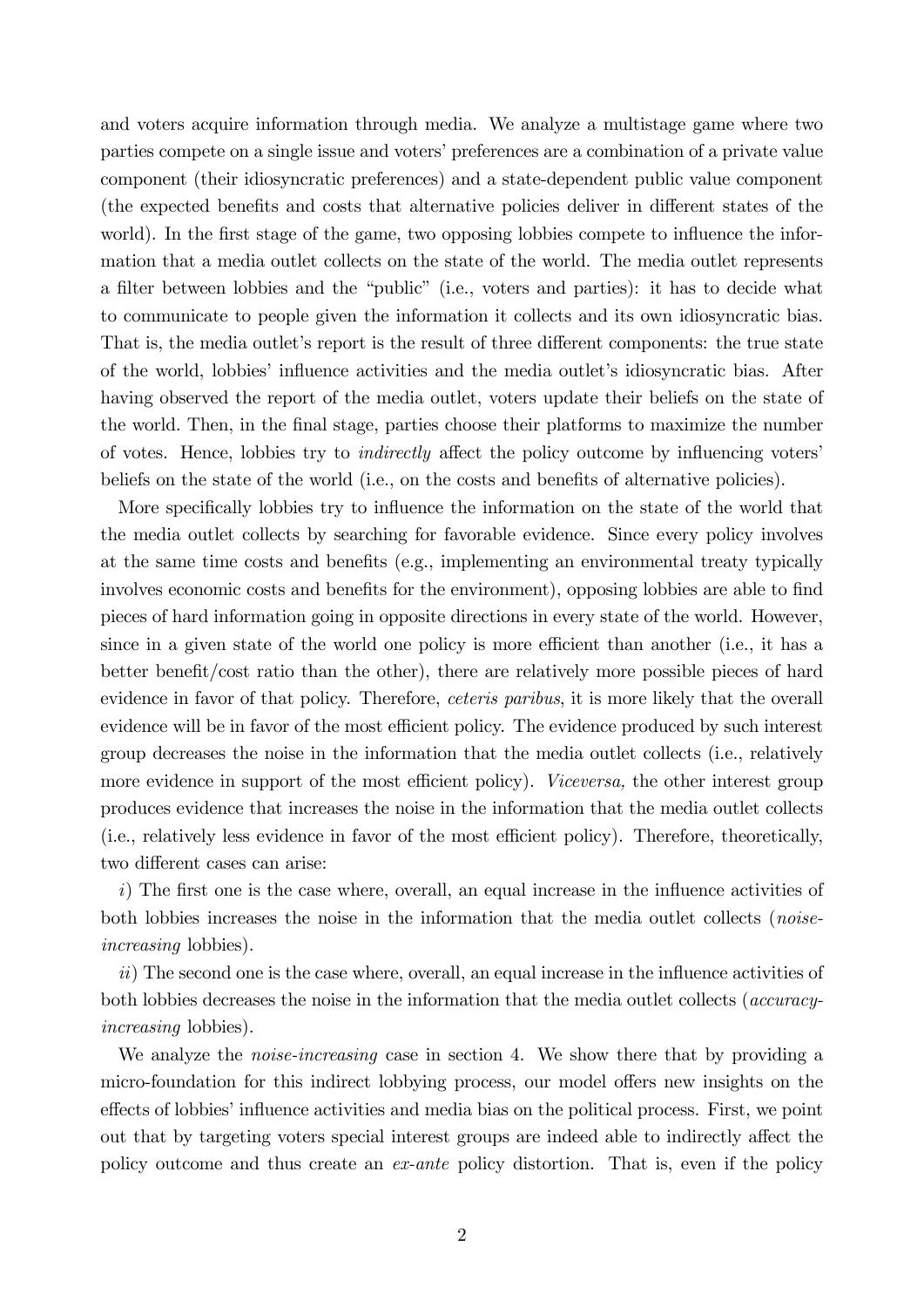and voters acquire information through media. We analyze a multistage game where two parties compete on a single issue and votersí preferences are a combination of a private value component (their idiosyncratic preferences) and a state-dependent public value component (the expected benefits and costs that alternative policies deliver in different states of the world). In the first stage of the game, two opposing lobbies compete to influence the information that a media outlet collects on the state of the world. The media outlet represents a filter between lobbies and the "public" (i.e., voters and parties): it has to decide what to communicate to people given the information it collects and its own idiosyncratic bias. That is, the media outlet's report is the result of three different components: the true state of the world, lobbies' influence activities and the media outlet's idiosyncratic bias. After having observed the report of the media outlet, voters update their beliefs on the state of the world. Then, in the Önal stage, parties choose their platforms to maximize the number of votes. Hence, lobbies try to *indirectly* affect the policy outcome by influencing voters' beliefs on the state of the world (i.e., on the costs and benefits of alternative policies).

More specifically lobbies try to influence the information on the state of the world that the media outlet collects by searching for favorable evidence. Since every policy involves at the same time costs and benefits (e.g., implementing an environmental treaty typically involves economic costs and benefits for the environment), opposing lobbies are able to find pieces of hard information going in opposite directions in every state of the world. However, since in a given state of the world one policy is more efficient than another (i.e., it has a better benefit/cost ratio than the other), there are relatively more possible pieces of hard evidence in favor of that policy. Therefore, *ceteris paribus*, it is more likely that the overall evidence will be in favor of the most efficient policy. The evidence produced by such interest group decreases the noise in the information that the media outlet collects (i.e., relatively more evidence in support of the most efficient policy). Viceversa, the other interest group produces evidence that increases the noise in the information that the media outlet collects (i.e., relatively less evidence in favor of the most efficient policy). Therefore, theoretically, two different cases can arise:

 $i)$  The first one is the case where, overall, an equal increase in the influence activities of both lobbies increases the noise in the information that the media outlet collects (*noise*increasing lobbies).

 $ii)$  The second one is the case where, overall, an equal increase in the influence activities of both lobbies decreases the noise in the information that the media outlet collects (*accuracy*increasing lobbies).

We analyze the *noise-increasing* case in section 4. We show there that by providing a micro-foundation for this indirect lobbying process, our model offers new insights on the effects of lobbies' influence activities and media bias on the political process. First, we point out that by targeting voters special interest groups are indeed able to indirectly affect the policy outcome and thus create an ex-ante policy distortion. That is, even if the policy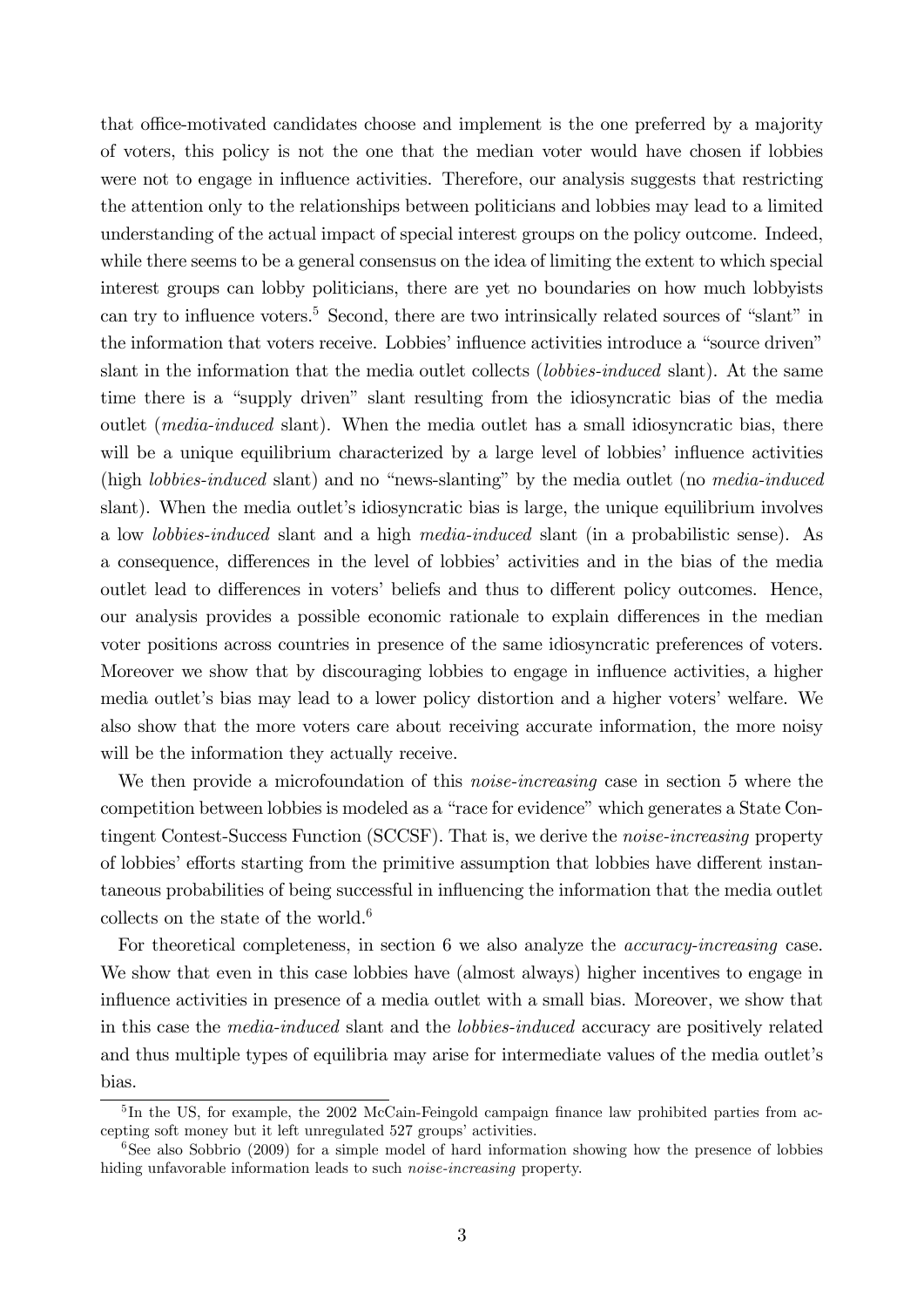that office-motivated candidates choose and implement is the one preferred by a majority of voters, this policy is not the one that the median voter would have chosen if lobbies were not to engage in influence activities. Therefore, our analysis suggests that restricting the attention only to the relationships between politicians and lobbies may lead to a limited understanding of the actual impact of special interest groups on the policy outcome. Indeed, while there seems to be a general consensus on the idea of limiting the extent to which special interest groups can lobby politicians, there are yet no boundaries on how much lobbyists can try to influence voters.<sup>5</sup> Second, there are two intrinsically related sources of "slant" in the information that voters receive. Lobbies' influence activities introduce a "source driven" slant in the information that the media outlet collects *(lobbies-induced* slant). At the same time there is a "supply driven" slant resulting from the idiosyncratic bias of the media outlet (*media-induced* slant). When the media outlet has a small idiosyncratic bias, there will be a unique equilibrium characterized by a large level of lobbies' influence activities (high *lobbies-induced* slant) and no "news-slanting" by the media outlet (no *media-induced* slant). When the media outlet's idiosyncratic bias is large, the unique equilibrium involves a low lobbies-induced slant and a high media-induced slant (in a probabilistic sense). As a consequence, differences in the level of lobbies' activities and in the bias of the media outlet lead to differences in voters' beliefs and thus to different policy outcomes. Hence, our analysis provides a possible economic rationale to explain differences in the median voter positions across countries in presence of the same idiosyncratic preferences of voters. Moreover we show that by discouraging lobbies to engage in ináuence activities, a higher media outlet's bias may lead to a lower policy distortion and a higher voters' welfare. We also show that the more voters care about receiving accurate information, the more noisy will be the information they actually receive.

We then provide a microfoundation of this *noise-increasing* case in section 5 where the competition between lobbies is modeled as a "race for evidence" which generates a State Contingent Contest-Success Function (SCCSF). That is, we derive the *noise-increasing* property of lobbies' efforts starting from the primitive assumption that lobbies have different instantaneous probabilities of being successful in influencing the information that the media outlet collects on the state of the world. $6$ 

For theoretical completeness, in section 6 we also analyze the accuracy-increasing case. We show that even in this case lobbies have (almost always) higher incentives to engage in influence activities in presence of a media outlet with a small bias. Moreover, we show that in this case the media-induced slant and the lobbies-induced accuracy are positively related and thus multiple types of equilibria may arise for intermediate values of the media outlet's bias.

<sup>&</sup>lt;sup>5</sup>In the US, for example, the 2002 McCain-Feingold campaign finance law prohibited parties from accepting soft money but it left unregulated 527 groups' activities.

<sup>&</sup>lt;sup>6</sup>See also Sobbrio (2009) for a simple model of hard information showing how the presence of lobbies hiding unfavorable information leads to such noise-increasing property.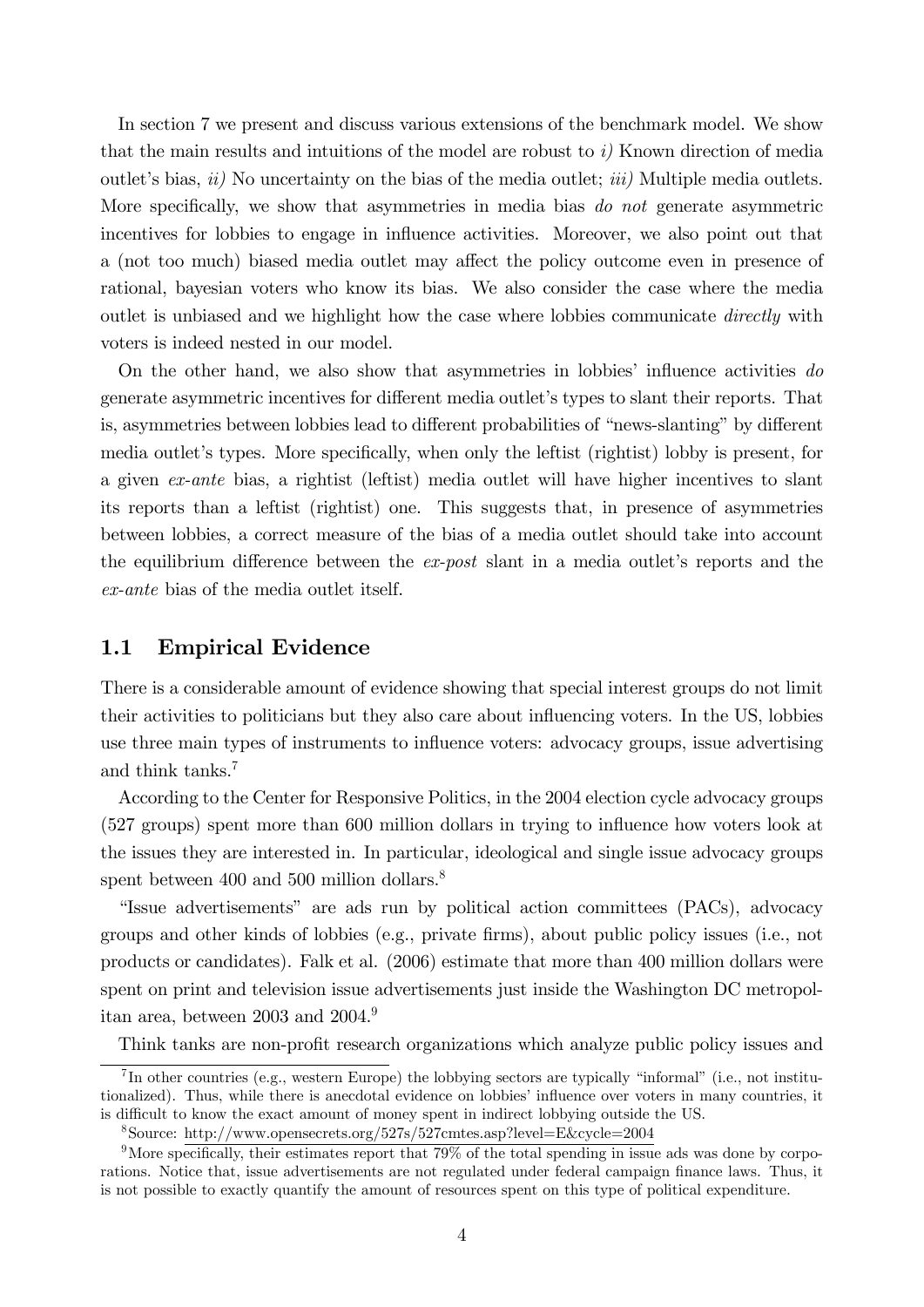In section 7 we present and discuss various extensions of the benchmark model. We show that the main results and intuitions of the model are robust to  $i$ ) Known direction of media outlet's bias,  $ii)$  No uncertainty on the bias of the media outlet;  $iii)$  Multiple media outlets. More specifically, we show that asymmetries in media bias do not generate asymmetric incentives for lobbies to engage in influence activities. Moreover, we also point out that a (not too much) biased media outlet may affect the policy outcome even in presence of rational, bayesian voters who know its bias. We also consider the case where the media out let is unbiased and we highlight how the case where lobbies communicate *directly* with voters is indeed nested in our model.

On the other hand, we also show that asymmetries in lobbies' influence activities  $do$ generate asymmetric incentives for different media outlet's types to slant their reports. That is, asymmetries between lobbies lead to different probabilities of "news-slanting" by different media outlet's types. More specifically, when only the left ist (rightist) lobby is present, for a given ex-ante bias, a rightist (leftist) media outlet will have higher incentives to slant its reports than a leftist (rightist) one. This suggests that, in presence of asymmetries between lobbies, a correct measure of the bias of a media outlet should take into account the equilibrium difference between the  $ex\text{-}post$  slant in a media outlet's reports and the ex-ante bias of the media outlet itself.

## 1.1 Empirical Evidence

There is a considerable amount of evidence showing that special interest groups do not limit their activities to politicians but they also care about ináuencing voters. In the US, lobbies use three main types of instruments to influence voters: advocacy groups, issue advertising and think tanks.<sup>7</sup>

According to the Center for Responsive Politics, in the 2004 election cycle advocacy groups (527 groups) spent more than 600 million dollars in trying to ináuence how voters look at the issues they are interested in. In particular, ideological and single issue advocacy groups spent between 400 and 500 million dollars.<sup>8</sup>

"Issue advertisements" are ads run by political action committees (PACs), advocacy groups and other kinds of lobbies (e.g., private firms), about public policy issues (i.e., not products or candidates). Falk et al. (2006) estimate that more than 400 million dollars were spent on print and television issue advertisements just inside the Washington DC metropolitan area, between 2003 and 2004.<sup>9</sup>

Think tanks are non-profit research organizations which analyze public policy issues and

 ${}^{7}$ In other countries (e.g., western Europe) the lobbying sectors are typically "informal" (i.e., not institutionalized). Thus, while there is anecdotal evidence on lobbies' influence over voters in many countries, it is difficult to know the exact amount of money spent in indirect lobbying outside the US.

<sup>8</sup>Source: http://www.opensecrets.org/527s/527cmtes.asp?level=E&cycle=2004

<sup>&</sup>lt;sup>9</sup>More specifically, their estimates report that  $79\%$  of the total spending in issue ads was done by corporations. Notice that, issue advertisements are not regulated under federal campaign finance laws. Thus, it is not possible to exactly quantify the amount of resources spent on this type of political expenditure.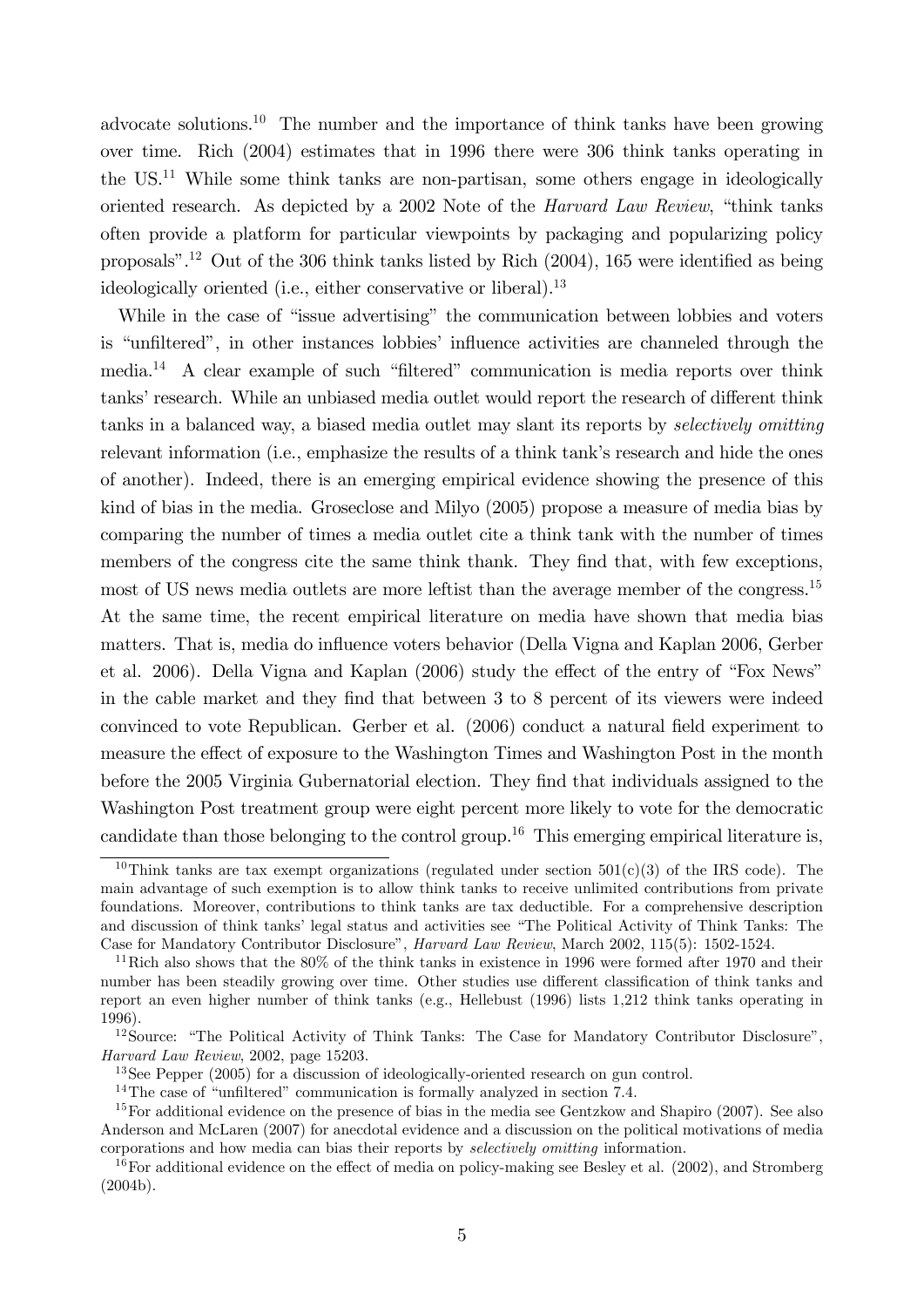advocate solutions.<sup>10</sup> The number and the importance of think tanks have been growing over time. Rich (2004) estimates that in 1996 there were 306 think tanks operating in the US.<sup>11</sup> While some think tanks are non-partisan, some others engage in ideologically oriented research. As depicted by a 2002 Note of the *Harvard Law Review*, "think tanks often provide a platform for particular viewpoints by packaging and popularizing policy proposals".<sup>12</sup> Out of the 306 think tanks listed by Rich  $(2004)$ , 165 were identified as being ideologically oriented (i.e., either conservative or liberal).<sup>13</sup>

While in the case of "issue advertising" the communication between lobbies and voters is "unfiltered", in other instances lobbies' influence activities are channeled through the  $median<sup>14</sup>$  A clear example of such "filtered" communication is media reports over think tanks' research. While an unbiased media outlet would report the research of different think tanks in a balanced way, a biased media outlet may slant its reports by *selectively omitting* relevant information (i.e., emphasize the results of a think tank's research and hide the ones of another). Indeed, there is an emerging empirical evidence showing the presence of this kind of bias in the media. Groseclose and Milyo (2005) propose a measure of media bias by comparing the number of times a media outlet cite a think tank with the number of times members of the congress cite the same think thank. They find that, with few exceptions, most of US news media outlets are more leftist than the average member of the congress.<sup>15</sup> At the same time, the recent empirical literature on media have shown that media bias matters. That is, media do influence voters behavior (Della Vigna and Kaplan 2006, Gerber et al. 2006). Della Vigna and Kaplan  $(2006)$  study the effect of the entry of "Fox News" in the cable market and they find that between 3 to 8 percent of its viewers were indeed convinced to vote Republican. Gerber et al. (2006) conduct a natural Öeld experiment to measure the effect of exposure to the Washington Times and Washington Post in the month before the 2005 Virginia Gubernatorial election. They find that individuals assigned to the Washington Post treatment group were eight percent more likely to vote for the democratic candidate than those belonging to the control group.<sup>16</sup> This emerging empirical literature is,

<sup>&</sup>lt;sup>10</sup>Think tanks are tax exempt organizations (regulated under section  $501(c)(3)$  of the IRS code). The main advantage of such exemption is to allow think tanks to receive unlimited contributions from private foundations. Moreover, contributions to think tanks are tax deductible. For a comprehensive description and discussion of think tanks' legal status and activities see "The Political Activity of Think Tanks: The Case for Mandatory Contributor Disclosure", *Harvard Law Review*, March 2002, 115(5): 1502-1524.

<sup>&</sup>lt;sup>11</sup>Rich also shows that the 80% of the think tanks in existence in 1996 were formed after 1970 and their number has been steadily growing over time. Other studies use different classification of think tanks and report an even higher number of think tanks (e.g., Hellebust (1996) lists 1,212 think tanks operating in 1996).

 $12$ Source: "The Political Activity of Think Tanks: The Case for Mandatory Contributor Disclosure", Harvard Law Review, 2002, page 15203.

<sup>13</sup>See Pepper (2005) for a discussion of ideologically-oriented research on gun control.

<sup>&</sup>lt;sup>14</sup>The case of "unfiltered" communication is formally analyzed in section 7.4.

<sup>&</sup>lt;sup>15</sup>For additional evidence on the presence of bias in the media see Gentzkow and Shapiro (2007). See also Anderson and McLaren (2007) for anecdotal evidence and a discussion on the political motivations of media corporations and how media can bias their reports by selectively omitting information.

<sup>&</sup>lt;sup>16</sup>For additional evidence on the effect of media on policy-making see Besley et al. (2002), and Stromberg (2004b).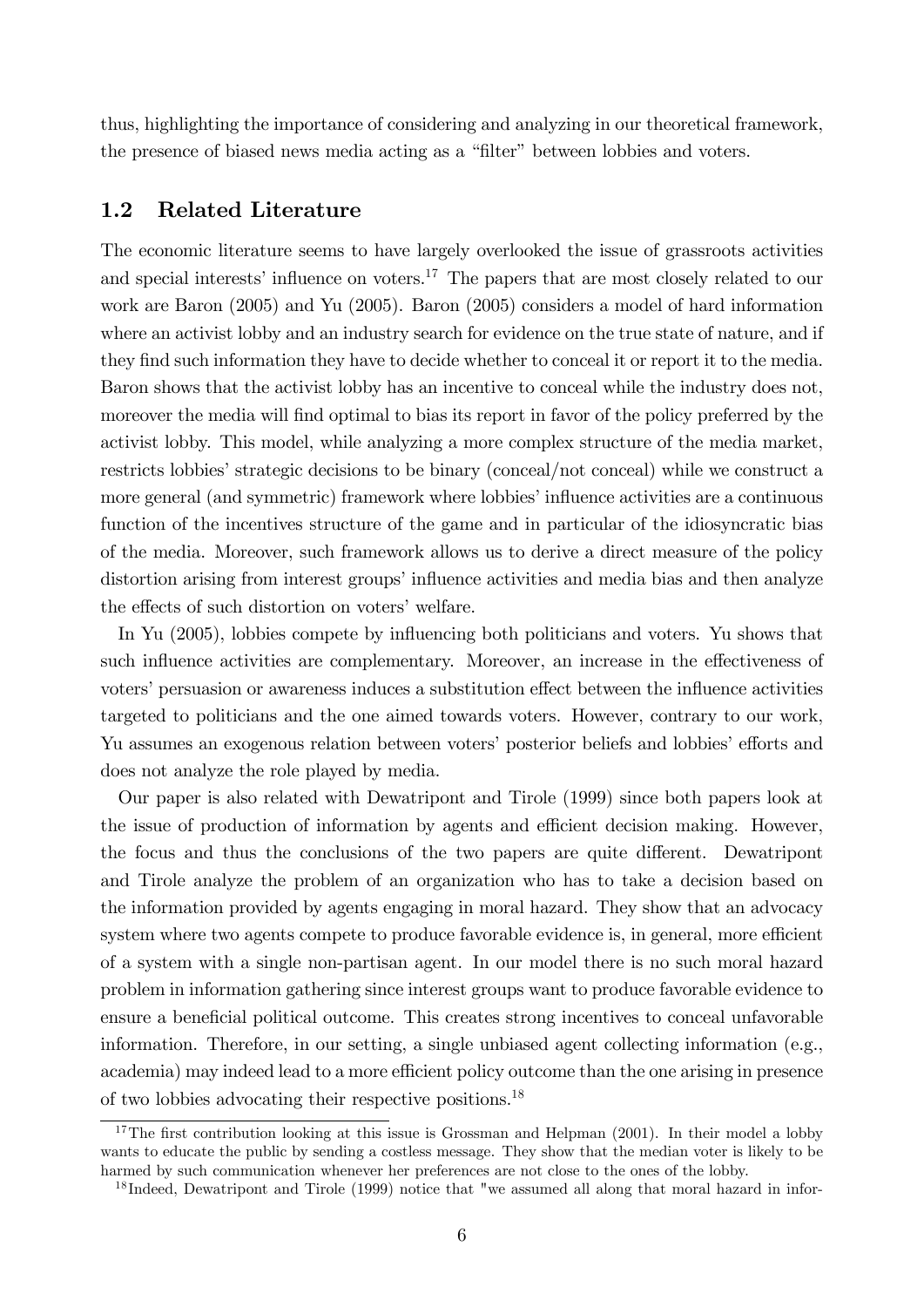thus, highlighting the importance of considering and analyzing in our theoretical framework, the presence of biased news media acting as a "filter" between lobbies and voters.

## 1.2 Related Literature

The economic literature seems to have largely overlooked the issue of grassroots activities and special interests' influence on voters.<sup>17</sup> The papers that are most closely related to our work are Baron (2005) and Yu (2005). Baron (2005) considers a model of hard information where an activist lobby and an industry search for evidence on the true state of nature, and if they find such information they have to decide whether to conceal it or report it to the media. Baron shows that the activist lobby has an incentive to conceal while the industry does not, moreover the media will find optimal to bias its report in favor of the policy preferred by the activist lobby. This model, while analyzing a more complex structure of the media market, restricts lobbies' strategic decisions to be binary (conceal/not conceal) while we construct a more general (and symmetric) framework where lobbies' influence activities are a continuous function of the incentives structure of the game and in particular of the idiosyncratic bias of the media. Moreover, such framework allows us to derive a direct measure of the policy distortion arising from interest groups' influence activities and media bias and then analyze the effects of such distortion on voters' welfare.

In Yu (2005), lobbies compete by influencing both politicians and voters. Yu shows that such influence activities are complementary. Moreover, an increase in the effectiveness of voters' persuasion or awareness induces a substitution effect between the influence activities targeted to politicians and the one aimed towards voters. However, contrary to our work, Yu assumes an exogenous relation between voters' posterior beliefs and lobbies' efforts and does not analyze the role played by media.

Our paper is also related with Dewatripont and Tirole (1999) since both papers look at the issue of production of information by agents and efficient decision making. However, the focus and thus the conclusions of the two papers are quite different. Dewatripont and Tirole analyze the problem of an organization who has to take a decision based on the information provided by agents engaging in moral hazard. They show that an advocacy system where two agents compete to produce favorable evidence is, in general, more efficient of a system with a single non-partisan agent. In our model there is no such moral hazard problem in information gathering since interest groups want to produce favorable evidence to ensure a beneficial political outcome. This creates strong incentives to conceal unfavorable information. Therefore, in our setting, a single unbiased agent collecting information (e.g., academia) may indeed lead to a more efficient policy outcome than the one arising in presence of two lobbies advocating their respective positions.<sup>18</sup>

<sup>&</sup>lt;sup>17</sup>The first contribution looking at this issue is Grossman and Helpman (2001). In their model a lobby wants to educate the public by sending a costless message. They show that the median voter is likely to be harmed by such communication whenever her preferences are not close to the ones of the lobby.

<sup>&</sup>lt;sup>18</sup> Indeed, Dewatripont and Tirole (1999) notice that "we assumed all along that moral hazard in infor-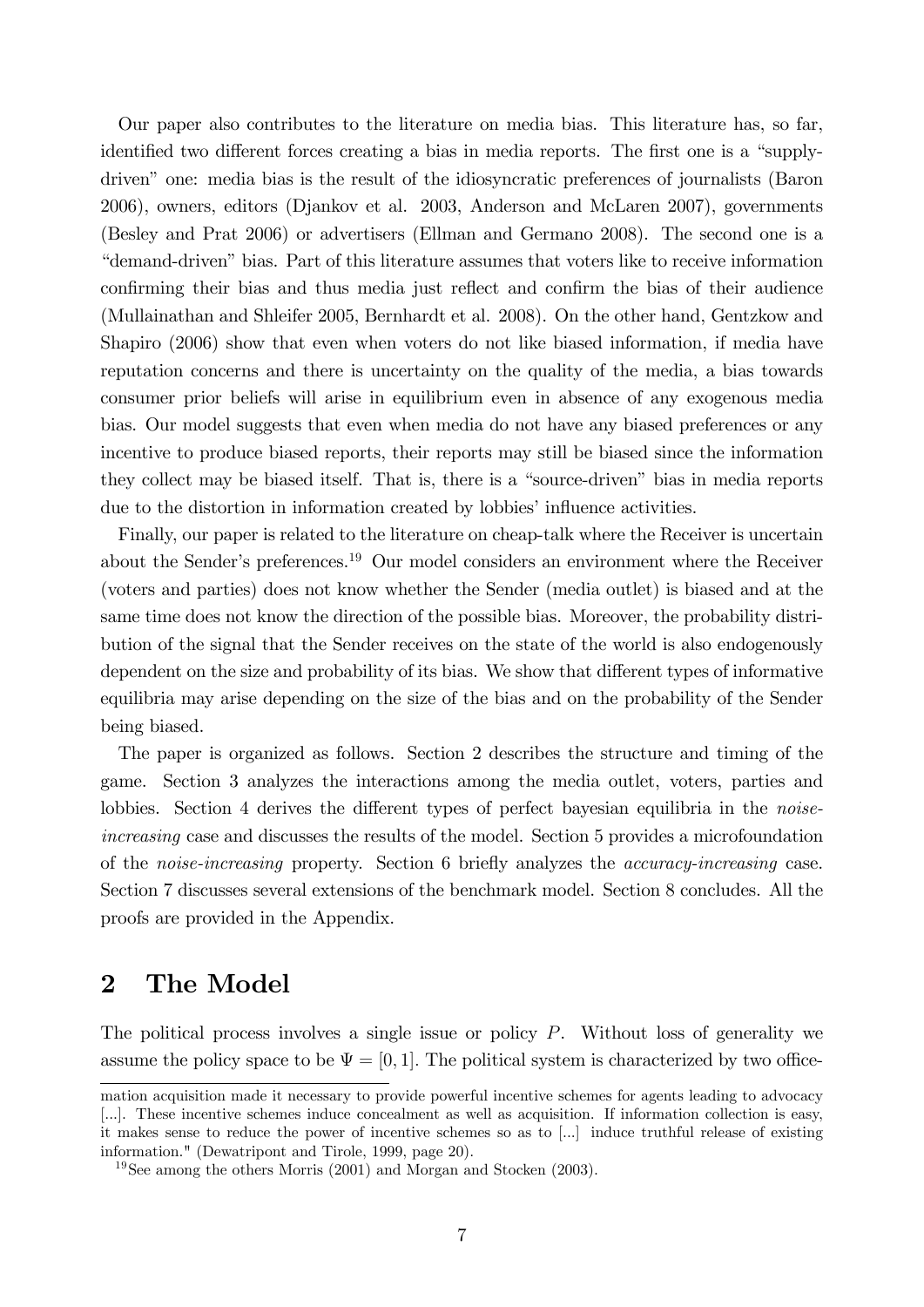Our paper also contributes to the literature on media bias. This literature has, so far, identified two different forces creating a bias in media reports. The first one is a "supplydriven" one: media bias is the result of the idiosyncratic preferences of journalists (Baron 2006), owners, editors (Djankov et al. 2003, Anderson and McLaren 2007), governments (Besley and Prat 2006) or advertisers (Ellman and Germano 2008). The second one is a ìdemand-drivenî bias. Part of this literature assumes that voters like to receive information confirming their bias and thus media just reflect and confirm the bias of their audience (Mullainathan and Shleifer 2005, Bernhardt et al. 2008). On the other hand, Gentzkow and Shapiro (2006) show that even when voters do not like biased information, if media have reputation concerns and there is uncertainty on the quality of the media, a bias towards consumer prior beliefs will arise in equilibrium even in absence of any exogenous media bias. Our model suggests that even when media do not have any biased preferences or any incentive to produce biased reports, their reports may still be biased since the information they collect may be biased itself. That is, there is a "source-driven" bias in media reports due to the distortion in information created by lobbies' influence activities.

Finally, our paper is related to the literature on cheap-talk where the Receiver is uncertain about the Sender's preferences.<sup>19</sup> Our model considers an environment where the Receiver (voters and parties) does not know whether the Sender (media outlet) is biased and at the same time does not know the direction of the possible bias. Moreover, the probability distribution of the signal that the Sender receives on the state of the world is also endogenously dependent on the size and probability of its bias. We show that different types of informative equilibria may arise depending on the size of the bias and on the probability of the Sender being biased.

The paper is organized as follows. Section 2 describes the structure and timing of the game. Section 3 analyzes the interactions among the media outlet, voters, parties and lobbies. Section 4 derives the different types of perfect bayesian equilibria in the *noise*increasing case and discusses the results of the model. Section 5 provides a microfoundation of the *noise-increasing* property. Section 6 briefly analyzes the *accuracy-increasing* case. Section 7 discusses several extensions of the benchmark model. Section 8 concludes. All the proofs are provided in the Appendix.

# 2 The Model

The political process involves a single issue or policy  $P$ . Without loss of generality we assume the policy space to be  $\Psi = [0, 1]$ . The political system is characterized by two office-

mation acquisition made it necessary to provide powerful incentive schemes for agents leading to advocacy [...]. These incentive schemes induce concealment as well as acquisition. If information collection is easy, it makes sense to reduce the power of incentive schemes so as to [...] induce truthful release of existing information." (Dewatripont and Tirole, 1999, page 20).

<sup>&</sup>lt;sup>19</sup>See among the others Morris (2001) and Morgan and Stocken (2003).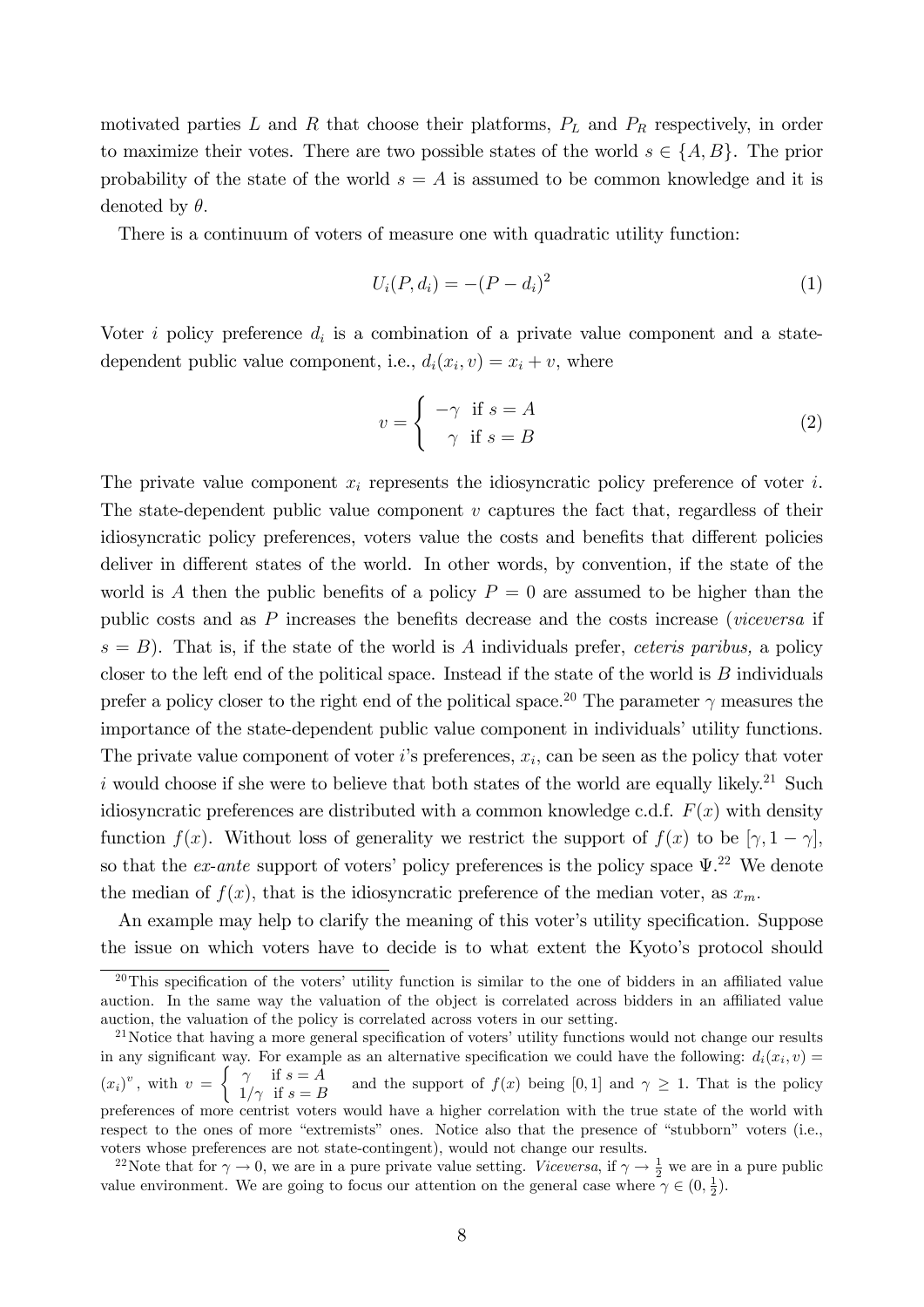motivated parties  $L$  and  $R$  that choose their platforms,  $P_L$  and  $P_R$  respectively, in order to maximize their votes. There are two possible states of the world  $s \in \{A, B\}$ . The prior probability of the state of the world  $s = A$  is assumed to be common knowledge and it is denoted by  $\theta$ .

There is a continuum of voters of measure one with quadratic utility function:

$$
U_i(P, d_i) = -(P - d_i)^2
$$
\n(1)

Voter *i* policy preference  $d_i$  is a combination of a private value component and a statedependent public value component, i.e.,  $d_i(x_i, v) = x_i + v$ , where

$$
v = \begin{cases} -\gamma & \text{if } s = A \\ \gamma & \text{if } s = B \end{cases}
$$
 (2)

The private value component  $x_i$  represents the idiosyncratic policy preference of voter i. The state-dependent public value component  $v$  captures the fact that, regardless of their idiosyncratic policy preferences, voters value the costs and benefits that different policies deliver in different states of the world. In other words, by convention, if the state of the world is A then the public benefits of a policy  $P = 0$  are assumed to be higher than the public costs and as  $P$  increases the benefits decrease and the costs increase (viceversa if  $s = B$ ). That is, if the state of the world is A individuals prefer, ceteris paribus, a policy closer to the left end of the political space. Instead if the state of the world is  $B$  individuals prefer a policy closer to the right end of the political space.<sup>20</sup> The parameter  $\gamma$  measures the importance of the state-dependent public value component in individuals' utility functions. The private value component of voter  $i$ 's preferences,  $x_i$ , can be seen as the policy that voter i would choose if she were to believe that both states of the world are equally likely.<sup>21</sup> Such idiosyncratic preferences are distributed with a common knowledge c.d.f.  $F(x)$  with density function  $f(x)$ . Without loss of generality we restrict the support of  $f(x)$  to be  $[\gamma, 1 - \gamma]$ , so that the *ex-ante* support of voters' policy preferences is the policy space  $\Psi$ <sup>22</sup>. We denote the median of  $f(x)$ , that is the idiosyncratic preference of the median voter, as  $x_m$ .

An example may help to clarify the meaning of this voter's utility specification. Suppose the issue on which voters have to decide is to what extent the Kyoto's protocol should

 $20$ This specification of the voters' utility function is similar to the one of bidders in an affiliated value auction. In the same way the valuation of the object is correlated across bidders in an affiliated value auction, the valuation of the policy is correlated across voters in our setting.

<sup>&</sup>lt;sup>21</sup>Notice that having a more general specification of voters' utility functions would not change our results in any significant way. For example as an alternative specification we could have the following:  $d_i(x_i, v) =$  $(x_i)^v$ , with  $v =$  $\int \gamma$  if  $s = A$  $1/\gamma$  if  $s = B$ and the support of  $f(x)$  being [0,1] and  $\gamma \geq 1$ . That is the policy preferences of more centrist voters would have a higher correlation with the true state of the world with respect to the ones of more "extremists" ones. Notice also that the presence of "stubborn" voters (i.e., voters whose preferences are not state-contingent), would not change our results.

<sup>&</sup>lt;sup>22</sup>Note that for  $\gamma \to 0$ , we are in a pure private value setting. Viceversa, if  $\gamma \to \frac{1}{2}$  we are in a pure public value environment. We are going to focus our attention on the general case where  $\gamma \in (0, \frac{1}{2})$ .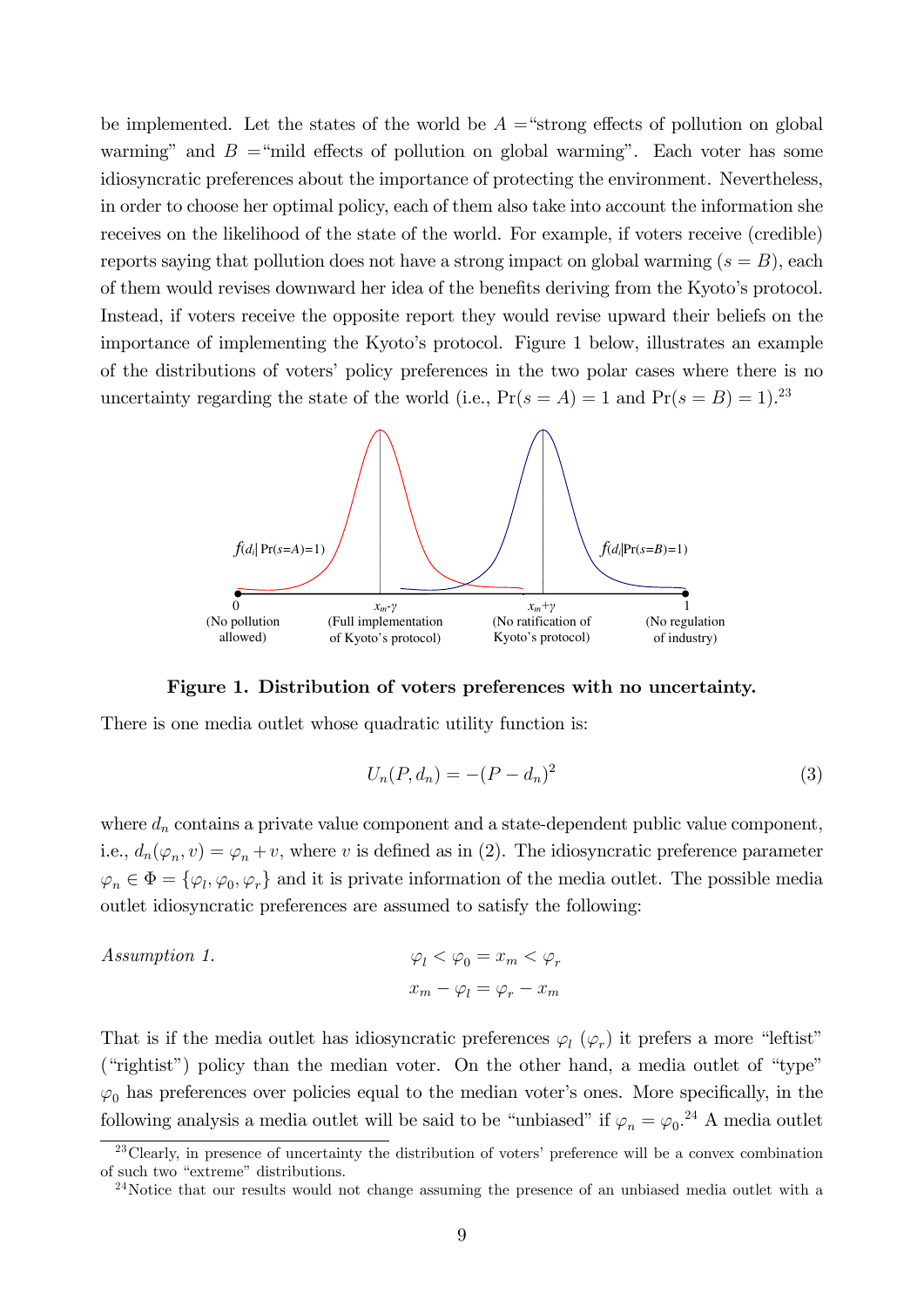be implemented. Let the states of the world be  $A =$ "strong effects of pollution on global warming" and  $B = \text{``mild effects of pollution on global warming''}.$  Each voter has some idiosyncratic preferences about the importance of protecting the environment. Nevertheless, in order to choose her optimal policy, each of them also take into account the information she receives on the likelihood of the state of the world. For example, if voters receive (credible) reports saying that pollution does not have a strong impact on global warming  $(s = B)$ , each of them would revises downward her idea of the benefits deriving from the Kyoto's protocol. Instead, if voters receive the opposite report they would revise upward their beliefs on the importance of implementing the Kyoto's protocol. Figure 1 below, illustrates an example of the distributions of voters' policy preferences in the two polar cases where there is no uncertainty regarding the state of the world (i.e.,  $Pr(s = A) = 1$  and  $Pr(s = B) = 1$ ).<sup>23</sup>



Figure 1. Distribution of voters preferences with no uncertainty.

There is one media outlet whose quadratic utility function is:

$$
U_n(P, d_n) = -(P - d_n)^2
$$
\n(3)

where  $d_n$  contains a private value component and a state-dependent public value component, i.e.,  $d_n(\varphi_n, v) = \varphi_n + v$ , where v is defined as in (2). The idiosyncratic preference parameter  $\varphi_n \in \Phi = {\varphi_l, \varphi_0, \varphi_r}$  and it is private information of the media outlet. The possible media outlet idiosyncratic preferences are assumed to satisfy the following:

Assumption 1. 
$$
\varphi_l < \varphi_0 = x_m < \varphi_r
$$
\n
$$
x_m - \varphi_l = \varphi_r - x_m
$$

That is if the media outlet has idiosyncratic preferences  $\varphi_l$  ( $\varphi_r$ ) it prefers a more "leftist" ("rightist") policy than the median voter. On the other hand, a media outlet of "type"  $\varphi_0$  has preferences over policies equal to the median voter's ones. More specifically, in the following analysis a media outlet will be said to be "unbiased" if  $\varphi_n = \varphi_0$ <sup>24</sup> A media outlet

 $23$ Clearly, in presence of uncertainty the distribution of voters' preference will be a convex combination of such two "extreme" distributions.

<sup>&</sup>lt;sup>24</sup>Notice that our results would not change assuming the presence of an unbiased media outlet with a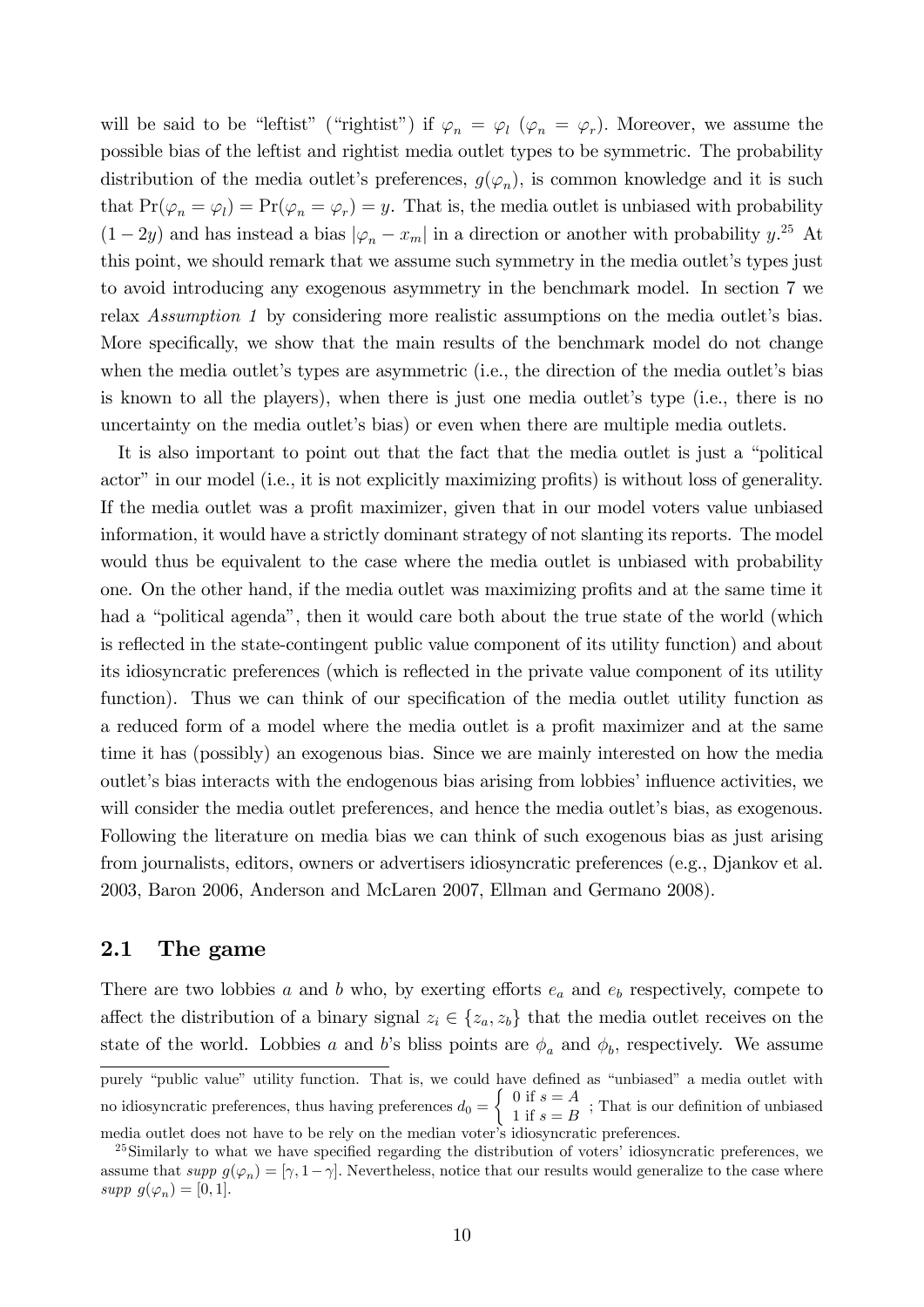will be said to be "leftist" ("rightist") if  $\varphi_n = \varphi_l$  ( $\varphi_n = \varphi_r$ ). Moreover, we assume the possible bias of the leftist and rightist media outlet types to be symmetric. The probability distribution of the media outlet's preferences,  $g(\varphi_n)$ , is common knowledge and it is such that  $Pr(\varphi_n = \varphi_l) = Pr(\varphi_n = \varphi_r) = y$ . That is, the media outlet is unbiased with probability  $(1 - 2y)$  and has instead a bias  $|\varphi_n - x_m|$  in a direction or another with probability  $y$ <sup>25</sup>. this point, we should remark that we assume such symmetry in the media outlet's types just to avoid introducing any exogenous asymmetry in the benchmark model. In section 7 we relax Assumption 1 by considering more realistic assumptions on the media outlet's bias. More specifically, we show that the main results of the benchmark model do not change when the media outlet's types are asymmetric (i.e., the direction of the media outlet's bias is known to all the players), when there is just one media outlet's type (i.e., there is no uncertainty on the media outlet's bias) or even when there are multiple media outlets.

It is also important to point out that the fact that the media outlet is just a "political" actor" in our model (i.e., it is not explicitly maximizing profits) is without loss of generality. If the media outlet was a profit maximizer, given that in our model voters value unbiased information, it would have a strictly dominant strategy of not slanting its reports. The model would thus be equivalent to the case where the media outlet is unbiased with probability one. On the other hand, if the media outlet was maximizing profits and at the same time it had a "political agenda", then it would care both about the true state of the world (which is reflected in the state-contingent public value component of its utility function) and about its idiosyncratic preferences (which is reflected in the private value component of its utility function). Thus we can think of our specification of the media outlet utility function as a reduced form of a model where the media outlet is a profit maximizer and at the same time it has (possibly) an exogenous bias. Since we are mainly interested on how the media out the endogenous bias arising from lobbies' influence activities, we will consider the media outlet preferences, and hence the media outlet's bias, as exogenous. Following the literature on media bias we can think of such exogenous bias as just arising from journalists, editors, owners or advertisers idiosyncratic preferences (e.g., Djankov et al. 2003, Baron 2006, Anderson and McLaren 2007, Ellman and Germano 2008).

### 2.1 The game

There are two lobbies a and b who, by exerting efforts  $e_a$  and  $e_b$  respectively, compete to affect the distribution of a binary signal  $z_i \in \{z_a, z_b\}$  that the media outlet receives on the state of the world. Lobbies a and b's bliss points are  $\phi_a$  and  $\phi_b$ , respectively. We assume

purely "public value" utility function. That is, we could have defined as "unbiased" a media outlet with no idiosyncratic preferences, thus having preferences  $d_0 =$  $\int 0$  if  $s = A$  $\frac{1}{1}$  if  $s = B$ ; That is our definition of unbiased media outlet does not have to be rely on the median voter's idiosyncratic preferences.

 $^{25}$ Similarly to what we have specified regarding the distribution of voters' idiosyncratic preferences, we assume that supp  $g(\varphi_n) = [\gamma, 1-\gamma]$ . Nevertheless, notice that our results would generalize to the case where supp  $g(\varphi_n) = [0, 1].$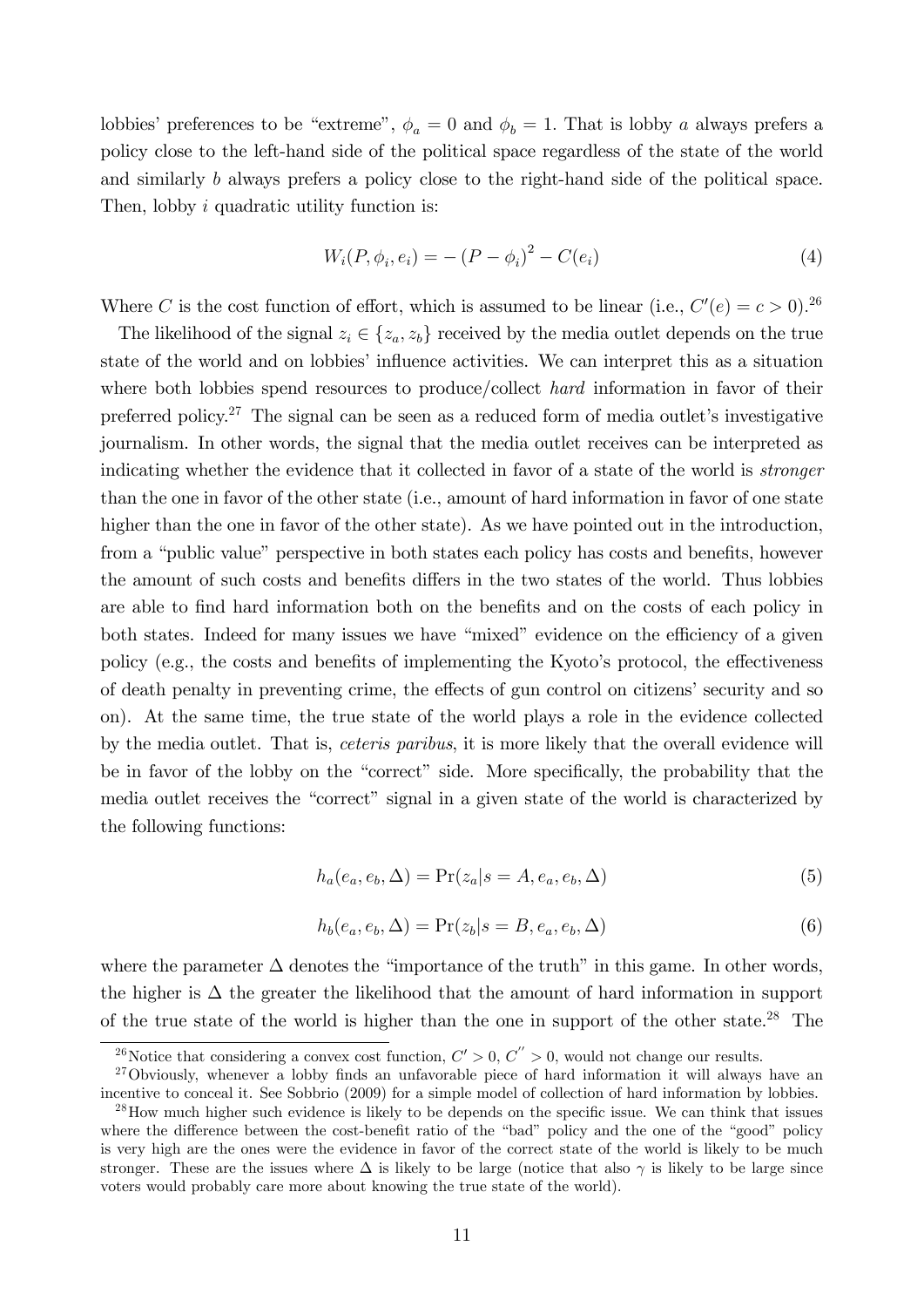lobbies' preferences to be "extreme",  $\phi_a = 0$  and  $\phi_b = 1$ . That is lobby a always prefers a policy close to the left-hand side of the political space regardless of the state of the world and similarly b always prefers a policy close to the right-hand side of the political space. Then, lobby *i* quadratic utility function is:

$$
W_i(P, \phi_i, e_i) = -(P - \phi_i)^2 - C(e_i)
$$
\n(4)

Where C is the cost function of effort, which is assumed to be linear (i.e.,  $C'(e) = c > 0$ ).<sup>26</sup>

The likelihood of the signal  $z_i \in \{z_a, z_b\}$  received by the media outlet depends on the true state of the world and on lobbies' influence activities. We can interpret this as a situation where both lobbies spend resources to produce/collect hard information in favor of their preferred policy.<sup>27</sup> The signal can be seen as a reduced form of media outlet's investigative journalism. In other words, the signal that the media outlet receives can be interpreted as indicating whether the evidence that it collected in favor of a state of the world is stronger than the one in favor of the other state (i.e., amount of hard information in favor of one state higher than the one in favor of the other state). As we have pointed out in the introduction, from a "public value" perspective in both states each policy has costs and benefits, however the amount of such costs and benefits differs in the two states of the world. Thus lobbies are able to find hard information both on the benefits and on the costs of each policy in both states. Indeed for many issues we have "mixed" evidence on the efficiency of a given policy (e.g., the costs and benefits of implementing the Kyoto's protocol, the effectiveness of death penalty in preventing crime, the effects of gun control on citizens' security and so on). At the same time, the true state of the world plays a role in the evidence collected by the media outlet. That is, ceteris paribus, it is more likely that the overall evidence will be in favor of the lobby on the "correct" side. More specifically, the probability that the media outlet receives the "correct" signal in a given state of the world is characterized by the following functions:

$$
h_a(e_a, e_b, \Delta) = \Pr(z_a | s = A, e_a, e_b, \Delta)
$$
\n<sup>(5)</sup>

$$
h_b(e_a, e_b, \Delta) = \Pr(z_b|s = B, e_a, e_b, \Delta)
$$
\n(6)

where the parameter  $\Delta$  denotes the "importance of the truth" in this game. In other words, the higher is  $\Delta$  the greater the likelihood that the amount of hard information in support of the true state of the world is higher than the one in support of the other state.<sup>28</sup> The

<sup>&</sup>lt;sup>26</sup>Notice that considering a convex cost function,  $C' > 0$ ,  $C'' > 0$ , would not change our results.

 $27$ Obviously, whenever a lobby finds an unfavorable piece of hard information it will always have an incentive to conceal it. See Sobbrio (2009) for a simple model of collection of hard information by lobbies.

 $^{28}$ How much higher such evidence is likely to be depends on the specific issue. We can think that issues where the difference between the cost-benefit ratio of the "bad" policy and the one of the "good" policy is very high are the ones were the evidence in favor of the correct state of the world is likely to be much stronger. These are the issues where  $\Delta$  is likely to be large (notice that also  $\gamma$  is likely to be large since voters would probably care more about knowing the true state of the world).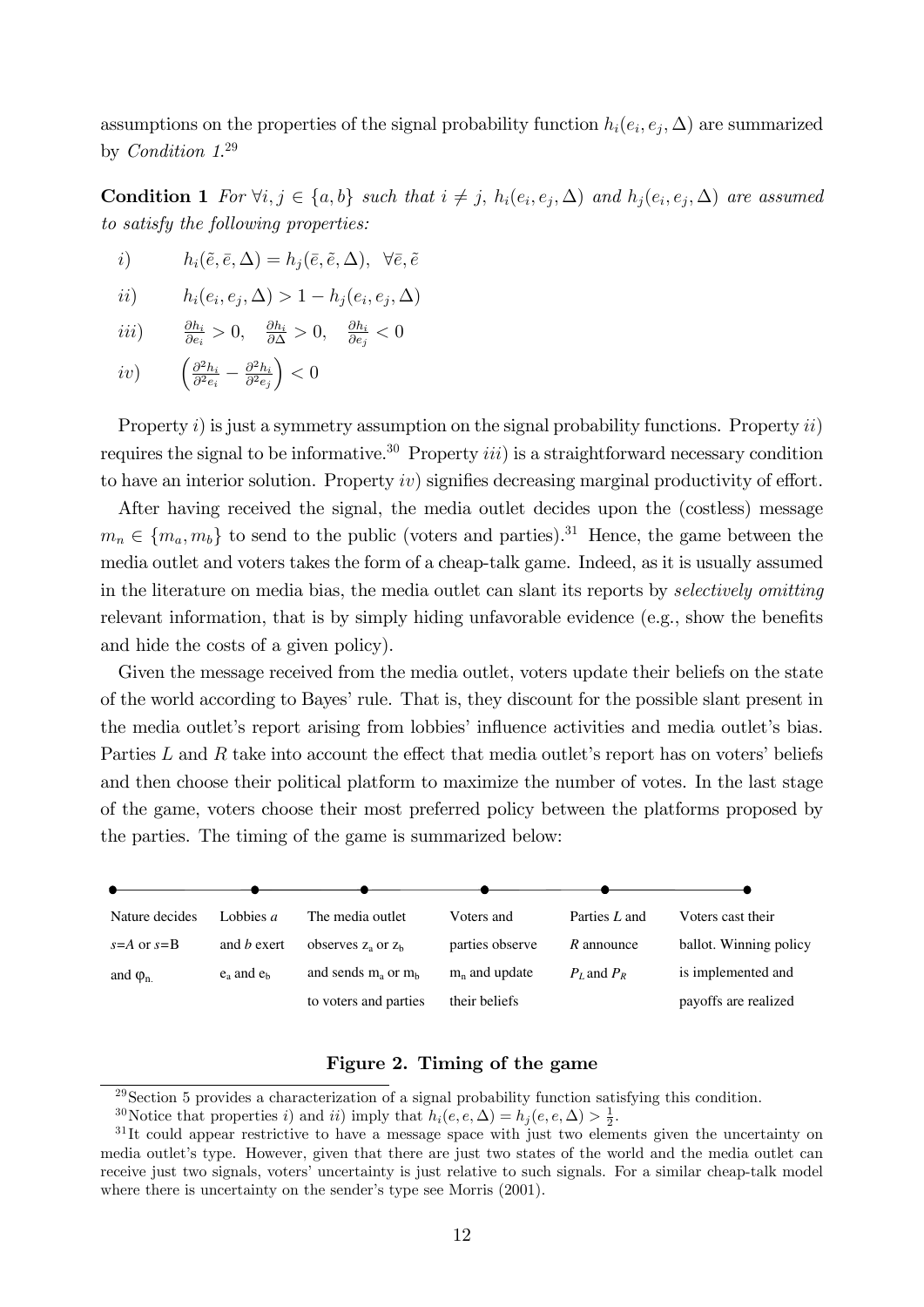assumptions on the properties of the signal probability function  $h_i(e_i, e_j, \Delta)$  are summarized by Condition 1. 29

**Condition 1** For  $\forall i, j \in \{a, b\}$  such that  $i \neq j$ ,  $h_i(e_i, e_j, \Delta)$  and  $h_j(e_i, e_j, \Delta)$  are assumed to satisfy the following properties:

i) 
$$
h_i(\tilde{e}, \bar{e}, \Delta) = h_j(\bar{e}, \tilde{e}, \Delta), \ \forall \bar{e}, \tilde{e}
$$

$$
ii) \qquad h_i(e_i, e_j, \Delta) > 1 - h_j(e_i, e_j, \Delta)
$$

- iii)  $\underline{\partial h_i}$  $\frac{\partial h_i}{\partial e_i} > 0$ ,  $\frac{\partial h_i}{\partial \Delta} > 0$ ,  $\frac{\partial h_i}{\partial e_j}$  $\frac{\partial h_i}{\partial e_j} < 0$
- iv)  $\int \frac{\partial^2 h_i}{\partial x^2}$  $\frac{\partial^2 h_i}{\partial^2 e_i} - \frac{\partial^2 h_i}{\partial^2 e_j}$  $\partial^2 e_j$  $\Big) < 0$

Property i) is just a symmetry assumption on the signal probability functions. Property  $ii$ ) requires the signal to be informative.<sup>30</sup> Property *iii*) is a straightforward necessary condition to have an interior solution. Property  $iv$  signifies decreasing marginal productivity of effort.

After having received the signal, the media outlet decides upon the (costless) message  $m_n \in \{m_a, m_b\}$  to send to the public (voters and parties).<sup>31</sup> Hence, the game between the media outlet and voters takes the form of a cheap-talk game. Indeed, as it is usually assumed in the literature on media bias, the media outlet can slant its reports by selectively omitting relevant information, that is by simply hiding unfavorable evidence (e.g., show the benefits and hide the costs of a given policy).

Given the message received from the media outlet, voters update their beliefs on the state of the world according to Bayesí rule. That is, they discount for the possible slant present in the media outlet's report arising from lobbies' influence activities and media outlet's bias. Parties  $L$  and  $R$  take into account the effect that media outlet's report has on voters' beliefs and then choose their political platform to maximize the number of votes. In the last stage of the game, voters choose their most preferred policy between the platforms proposed by the parties. The timing of the game is summarized below:

| Nature decides               | Lobbies $a$        | The media outlet         | Voters and      | Parties L and   | Voters cast their      |
|------------------------------|--------------------|--------------------------|-----------------|-----------------|------------------------|
| $s = A$ or $s = B$           | and <i>b</i> exert | observes $z_a$ or $z_b$  | parties observe | R announce      | ballot. Winning policy |
| and $\varphi$ <sub>n</sub> . | $e_a$ and $e_b$    | and sends $m_a$ or $m_b$ | $mn$ and update | $P_I$ and $P_R$ | is implemented and     |
|                              |                    | to voters and parties    | their beliefs   |                 | payoffs are realized   |

### Figure 2. Timing of the game

<sup>29</sup>Section 5 provides a characterization of a signal probability function satisfying this condition.

<sup>&</sup>lt;sup>30</sup>Notice that properties *i*) and *ii*) imply that  $h_i(e, e, \Delta) = h_j(e, e, \Delta) > \frac{1}{2}$ .

<sup>&</sup>lt;sup>31</sup>It could appear restrictive to have a message space with just two elements given the uncertainty on media outlet's type. However, given that there are just two states of the world and the media outlet can receive just two signals, voters' uncertainty is just relative to such signals. For a similar cheap-talk model where there is uncertainty on the sender's type see Morris  $(2001)$ .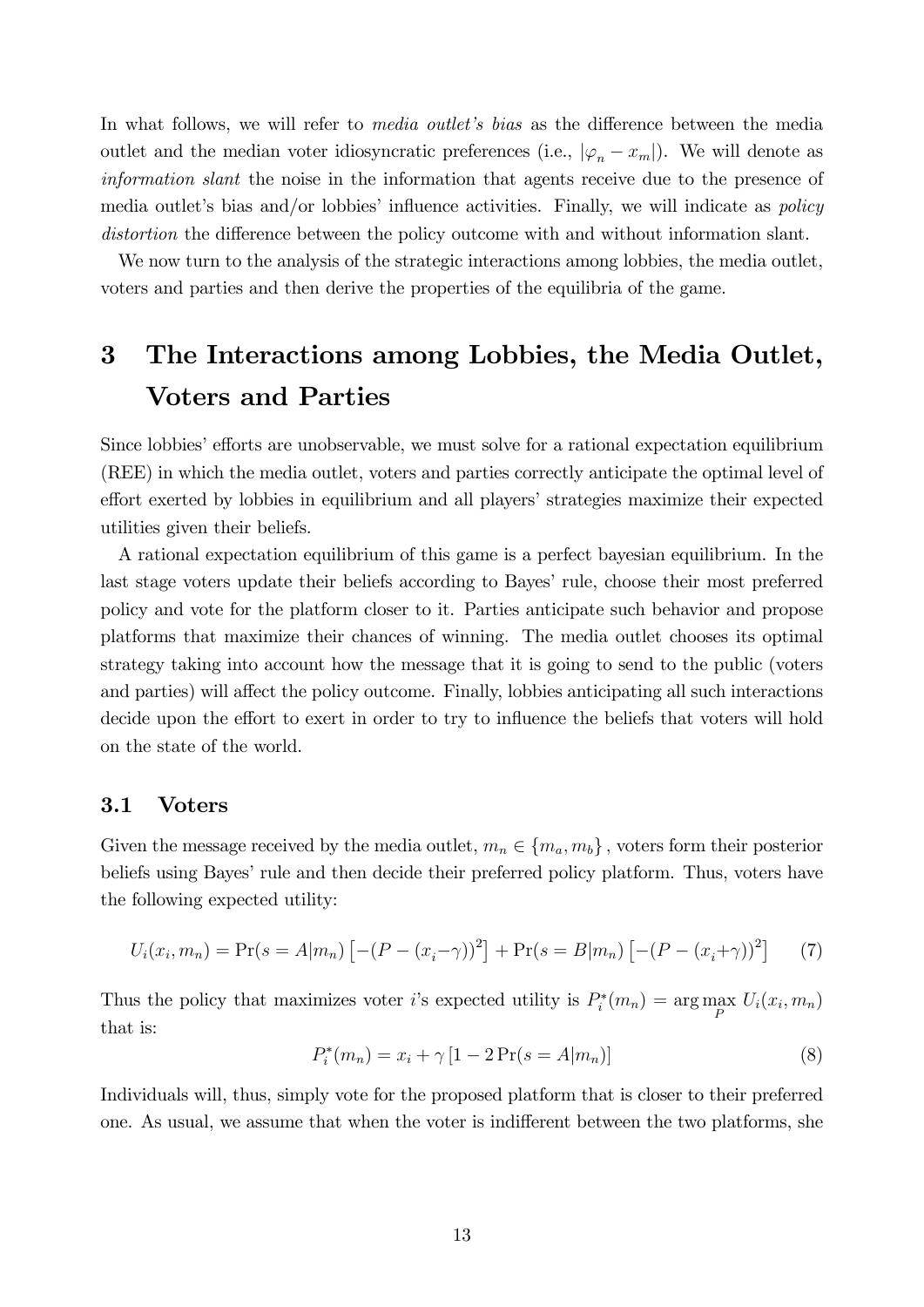In what follows, we will refer to *media outlet's bias* as the difference between the media outlet and the median voter idiosyncratic preferences (i.e.,  $|\varphi_n - x_m|$ ). We will denote as information slant the noise in the information that agents receive due to the presence of media outlet's bias and/or lobbies' influence activities. Finally, we will indicate as *policy* distortion the difference between the policy outcome with and without information slant.

We now turn to the analysis of the strategic interactions among lobbies, the media outlet, voters and parties and then derive the properties of the equilibria of the game.

# 3 The Interactions among Lobbies, the Media Outlet, Voters and Parties

Since lobbies' efforts are unobservable, we must solve for a rational expectation equilibrium (REE) in which the media outlet, voters and parties correctly anticipate the optimal level of effort exerted by lobbies in equilibrium and all players' strategies maximize their expected utilities given their beliefs.

A rational expectation equilibrium of this game is a perfect bayesian equilibrium. In the last stage voters update their beliefs according to Bayes' rule, choose their most preferred policy and vote for the platform closer to it. Parties anticipate such behavior and propose platforms that maximize their chances of winning. The media outlet chooses its optimal strategy taking into account how the message that it is going to send to the public (voters and parties) will affect the policy outcome. Finally, lobbies anticipating all such interactions decide upon the effort to exert in order to try to influence the beliefs that voters will hold on the state of the world.

### 3.1 Voters

Given the message received by the media outlet,  $m_n \in \{m_a, m_b\}$ , voters form their posterior beliefs using Bayes' rule and then decide their preferred policy platform. Thus, voters have the following expected utility:

$$
U_i(x_i, m_n) = \Pr(s = A|m_n) \left[ -(P - (x_i - \gamma))^2 \right] + \Pr(s = B|m_n) \left[ -(P - (x_i + \gamma))^2 \right] \tag{7}
$$

Thus the policy that maximizes voter *i*'s expected utility is  $P_i^*(m_n) = \arg\max_P U_i(x_i, m_n)$ that is:

$$
P_i^*(m_n) = x_i + \gamma \left[1 - 2\Pr(s = A|m_n)\right] \tag{8}
$$

Individuals will, thus, simply vote for the proposed platform that is closer to their preferred one. As usual, we assume that when the voter is indifferent between the two platforms, she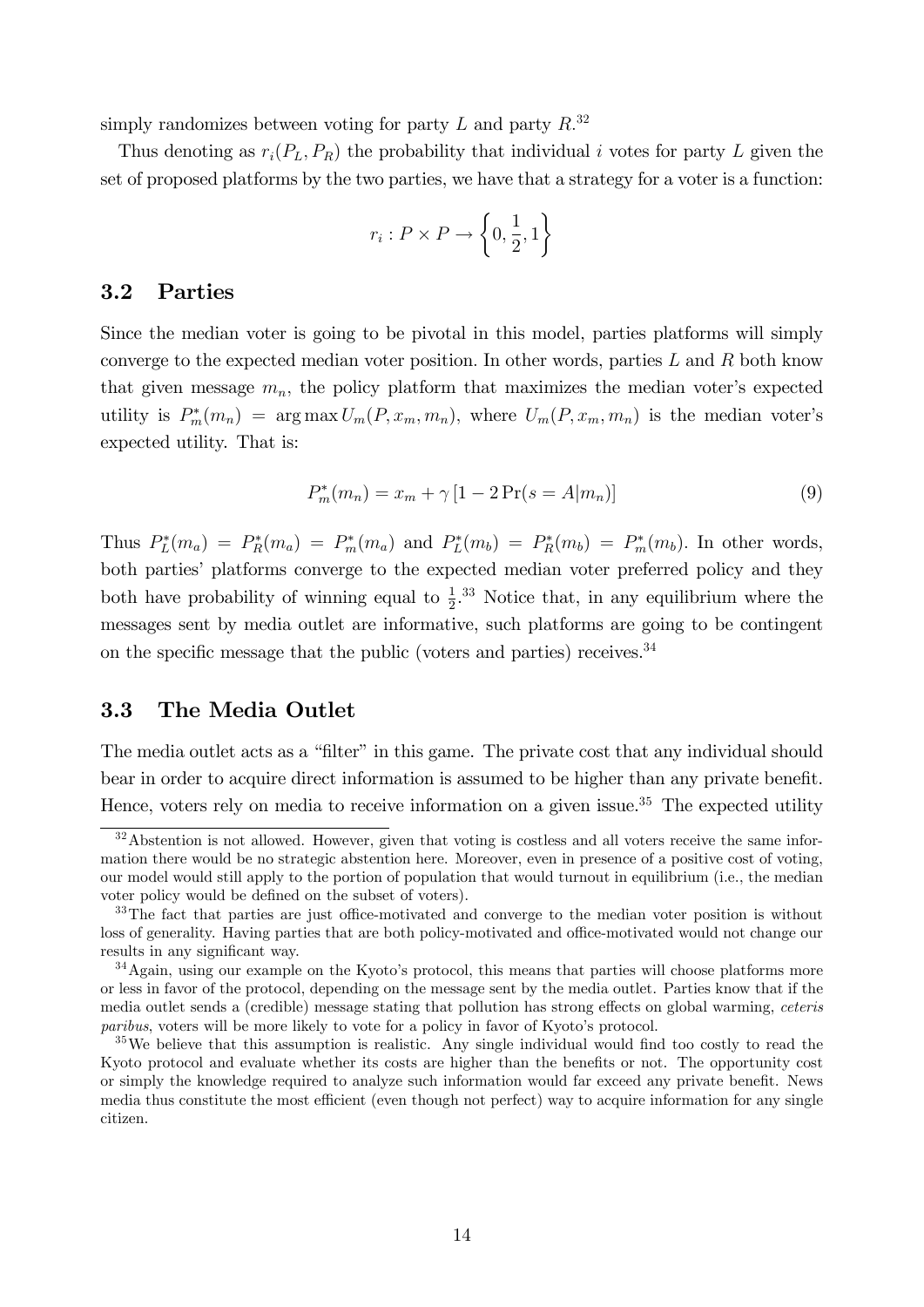simply randomizes between voting for party  $L$  and party  $R.^{32}$ 

Thus denoting as  $r_i(P_L, P_R)$  the probability that individual i votes for party L given the set of proposed platforms by the two parties, we have that a strategy for a voter is a function:

$$
r_i: P \times P \to \left\{0, \frac{1}{2}, 1\right\}
$$

### 3.2 Parties

Since the median voter is going to be pivotal in this model, parties platforms will simply converge to the expected median voter position. In other words, parties  $L$  and  $R$  both know that given message  $m_n$ , the policy platform that maximizes the median voter's expected utility is  $P_m^*(m_n) = \arg \max U_m(P, x_m, m_n)$ , where  $U_m(P, x_m, m_n)$  is the median voter's expected utility. That is:

$$
P_m^*(m_n) = x_m + \gamma \left[ 1 - 2 \Pr(s = A | m_n) \right]
$$
\n(9)

Thus  $P_L^*(m_a) = P_R^*(m_a) = P_m^*(m_a)$  and  $P_L^*(m_b) = P_R^*(m_b) = P_m^*(m_b)$ . In other words, both parties' platforms converge to the expected median voter preferred policy and they both have probability of winning equal to  $\frac{1}{2}$ .<sup>33</sup> Notice that, in any equilibrium where the messages sent by media outlet are informative, such platforms are going to be contingent on the specific message that the public (voters and parties) receives.<sup>34</sup>

## 3.3 The Media Outlet

The media outlet acts as a "filter" in this game. The private cost that any individual should bear in order to acquire direct information is assumed to be higher than any private benefit. Hence, voters rely on media to receive information on a given issue.<sup>35</sup> The expected utility

<sup>&</sup>lt;sup>32</sup>Abstention is not allowed. However, given that voting is costless and all voters receive the same information there would be no strategic abstention here. Moreover, even in presence of a positive cost of voting, our model would still apply to the portion of population that would turnout in equilibrium (i.e., the median voter policy would be defined on the subset of voters).

<sup>&</sup>lt;sup>33</sup>The fact that parties are just office-motivated and converge to the median voter position is without loss of generality. Having parties that are both policy-motivated and office-motivated would not change our results in any significant way.

<sup>&</sup>lt;sup>34</sup>Again, using our example on the Kyoto's protocol, this means that parties will choose platforms more or less in favor of the protocol, depending on the message sent by the media outlet. Parties know that if the media outlet sends a (credible) message stating that pollution has strong effects on global warming, ceteris paribus, voters will be more likely to vote for a policy in favor of Kyoto's protocol.

 $35\text{We believe that this assumption is realistic. Any single individual would find too costly to read the$ Kyoto protocol and evaluate whether its costs are higher than the benefits or not. The opportunity cost or simply the knowledge required to analyze such information would far exceed any private benefit. News media thus constitute the most efficient (even though not perfect) way to acquire information for any single citizen.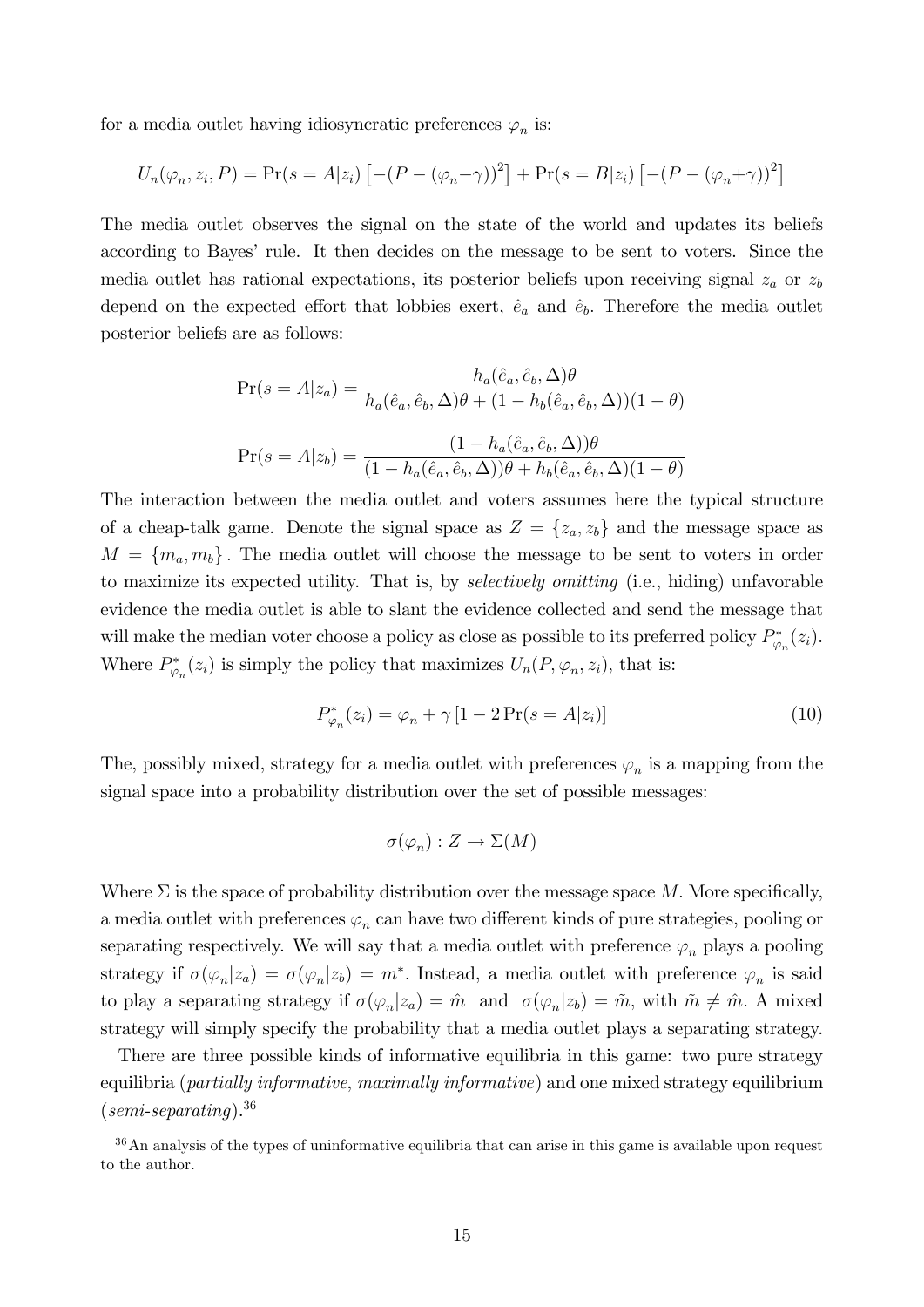for a media outlet having idiosyncratic preferences  $\varphi_n$  is:

$$
U_n(\varphi_n, z_i, P) = \Pr(s = A | z_i) [-(P - (\varphi_n - \gamma))^2] + \Pr(s = B | z_i) [-(P - (\varphi_n + \gamma))^2]
$$

The media outlet observes the signal on the state of the world and updates its beliefs according to Bayesí rule. It then decides on the message to be sent to voters. Since the media outlet has rational expectations, its posterior beliefs upon receiving signal  $z_a$  or  $z_b$ depend on the expected effort that lobbies exert,  $\hat{e}_a$  and  $\hat{e}_b$ . Therefore the media outlet posterior beliefs are as follows:

$$
\Pr(s = A|z_a) = \frac{h_a(\hat{e}_a, \hat{e}_b, \Delta)\theta}{h_a(\hat{e}_a, \hat{e}_b, \Delta)\theta + (1 - h_b(\hat{e}_a, \hat{e}_b, \Delta))(1 - \theta)}
$$

$$
\Pr(s = A|z_b) = \frac{(1 - h_a(\hat{e}_a, \hat{e}_b, \Delta))\theta}{(1 - h_a(\hat{e}_a, \hat{e}_b, \Delta))\theta + h_b(\hat{e}_a, \hat{e}_b, \Delta)(1 - \theta)}
$$

The interaction between the media outlet and voters assumes here the typical structure of a cheap-talk game. Denote the signal space as  $Z = \{z_a, z_b\}$  and the message space as  $M = \{m_a, m_b\}$ . The media outlet will choose the message to be sent to voters in order to maximize its expected utility. That is, by *selectively omitting* (i.e., hiding) unfavorable evidence the media outlet is able to slant the evidence collected and send the message that will make the median voter choose a policy as close as possible to its preferred policy  $P_{\varphi_n}^*(z_i)$ . Where  $P^*_{\varphi_n}(z_i)$  is simply the policy that maximizes  $U_n(P, \varphi_n, z_i)$ , that is:

$$
P_{\varphi_n}^*(z_i) = \varphi_n + \gamma \left[ 1 - 2\Pr(s = A|z_i) \right] \tag{10}
$$

The, possibly mixed, strategy for a media outlet with preferences  $\varphi_n$  is a mapping from the signal space into a probability distribution over the set of possible messages:

$$
\sigma(\varphi_n): Z \to \Sigma(M)
$$

Where  $\Sigma$  is the space of probability distribution over the message space M. More specifically, a media outlet with preferences  $\varphi_n$  can have two different kinds of pure strategies, pooling or separating respectively. We will say that a media outlet with preference  $\varphi_n$  plays a pooling strategy if  $\sigma(\varphi_n|z_a) = \sigma(\varphi_n|z_b) = m^*$ . Instead, a media outlet with preference  $\varphi_n$  is said to play a separating strategy if  $\sigma(\varphi_n|z_a) = \hat{m}$  and  $\sigma(\varphi_n|z_b) = \tilde{m}$ , with  $\tilde{m} \neq \hat{m}$ . A mixed strategy will simply specify the probability that a media outlet plays a separating strategy.

There are three possible kinds of informative equilibria in this game: two pure strategy equilibria (*partially informative, maximally informative*) and one mixed strategy equilibrium  $(semi-separating).$ <sup>36</sup>

<sup>&</sup>lt;sup>36</sup>An analysis of the types of uninformative equilibria that can arise in this game is available upon request to the author.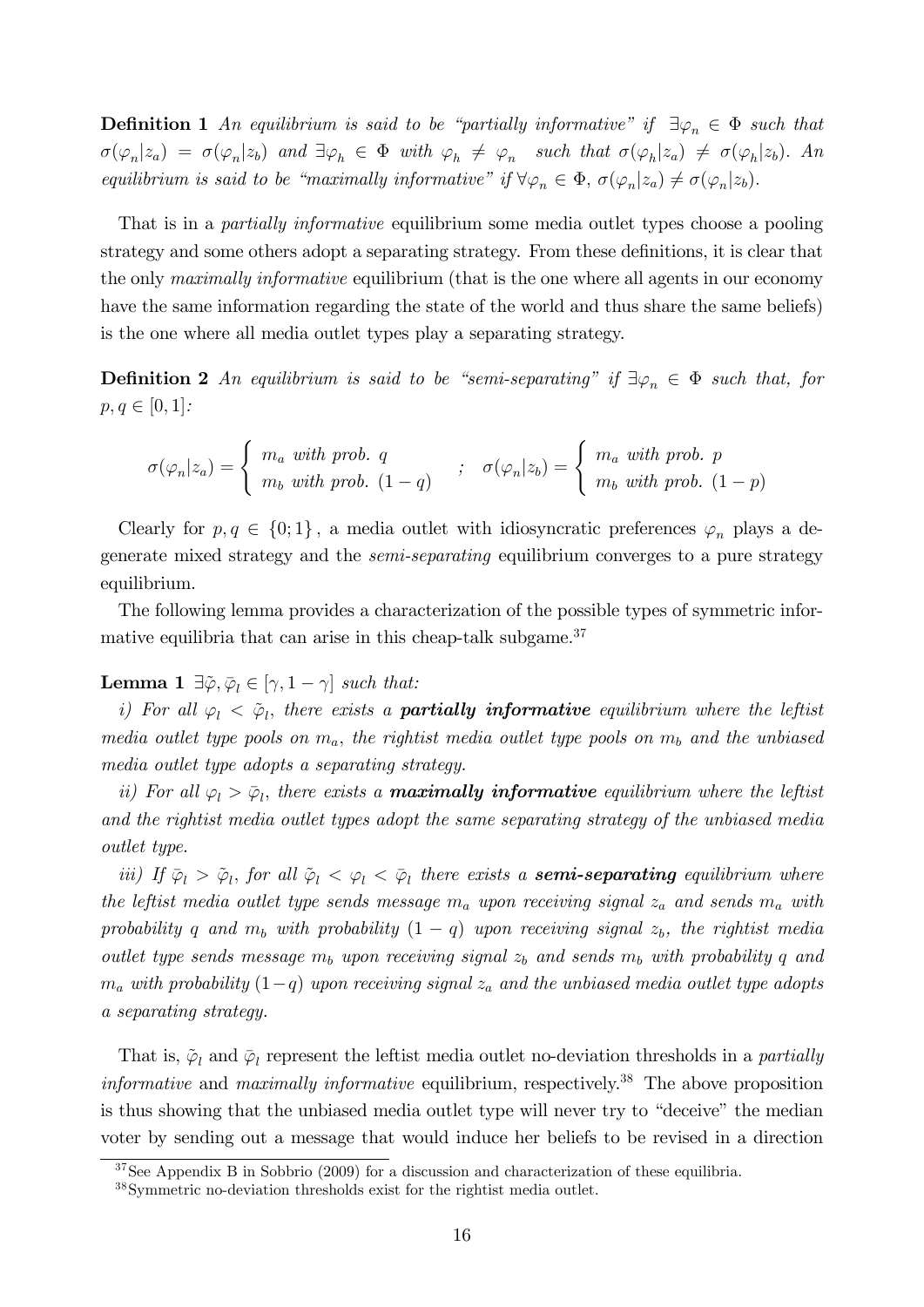**Definition 1** An equilibrium is said to be "partially informative" if  $\exists \varphi_n \in \Phi$  such that  $\sigma(\varphi_n|z_a) = \sigma(\varphi_n|z_b)$  and  $\exists \varphi_h \in \Phi$  with  $\varphi_h \neq \varphi_n$  such that  $\sigma(\varphi_h|z_a) \neq \sigma(\varphi_h|z_b)$ . An equilibrium is said to be "maximally informative" if  $\forall \varphi_n \in \Phi$ ,  $\sigma(\varphi_n|z_a) \neq \sigma(\varphi_n|z_b)$ .

That is in a *partially informative* equilibrium some media outlet types choose a pooling strategy and some others adopt a separating strategy. From these definitions, it is clear that the only *maximally informative* equilibrium (that is the one where all agents in our economy have the same information regarding the state of the world and thus share the same beliefs) is the one where all media outlet types play a separating strategy.

**Definition 2** An equilibrium is said to be "semi-separating" if  $\exists \varphi_n \in \Phi$  such that, for  $p, q \in [0, 1]:$ 

$$
\sigma(\varphi_n|z_a) = \begin{cases} m_a \text{ with prob. } q \\ m_b \text{ with prob. } (1-q) \end{cases} ; \quad \sigma(\varphi_n|z_b) = \begin{cases} m_a \text{ with prob. } p \\ m_b \text{ with prob. } (1-p) \end{cases}
$$

Clearly for  $p, q \in \{0, 1\}$ , a media outlet with idiosyncratic preferences  $\varphi_n$  plays a degenerate mixed strategy and the semi-separating equilibrium converges to a pure strategy equilibrium.

The following lemma provides a characterization of the possible types of symmetric informative equilibria that can arise in this cheap-talk subgame.<sup>37</sup>

## **Lemma 1**  $\exists \tilde{\varphi}, \bar{\varphi}_l \in [\gamma, 1 - \gamma]$  such that:

i) For all  $\varphi_l < \tilde{\varphi}_l$ , there exists a **partially informative** equilibrium where the leftist media outlet type pools on  $m_a$ , the rightist media outlet type pools on  $m_b$  and the unbiased media outlet type adopts a separating strategy.

ii) For all  $\varphi_l > \bar{\varphi}_l$ , there exists a **maximally informative** equilibrium where the leftist and the rightist media outlet types adopt the same separating strategy of the unbiased media outlet type.

iii) If  $\bar{\varphi}_l > \tilde{\varphi}_l$ , for all  $\tilde{\varphi}_l < \varphi_l < \bar{\varphi}_l$  there exists a **semi-separating** equilibrium where the leftist media outlet type sends message  $m_a$  upon receiving signal  $z_a$  and sends  $m_a$  with probability q and  $m_b$  with probability  $(1 - q)$  upon receiving signal  $z_b$ , the rightist media outlet type sends message  $m_b$  upon receiving signal  $z_b$  and sends  $m_b$  with probability q and  $m_a$  with probability  $(1-q)$  upon receiving signal  $z_a$  and the unbiased media outlet type adopts a separating strategy.

That is,  $\tilde{\varphi}_l$  and  $\bar{\varphi}_l$  represent the leftist media outlet no-deviation thresholds in a *partially informative* and *maximally informative* equilibrium, respectively.<sup>38</sup> The above proposition is thus showing that the unbiased media outlet type will never try to "deceive" the median voter by sending out a message that would induce her beliefs to be revised in a direction

<sup>&</sup>lt;sup>37</sup>See Appendix B in Sobbrio (2009) for a discussion and characterization of these equilibria.

<sup>38</sup>Symmetric no-deviation thresholds exist for the rightist media outlet.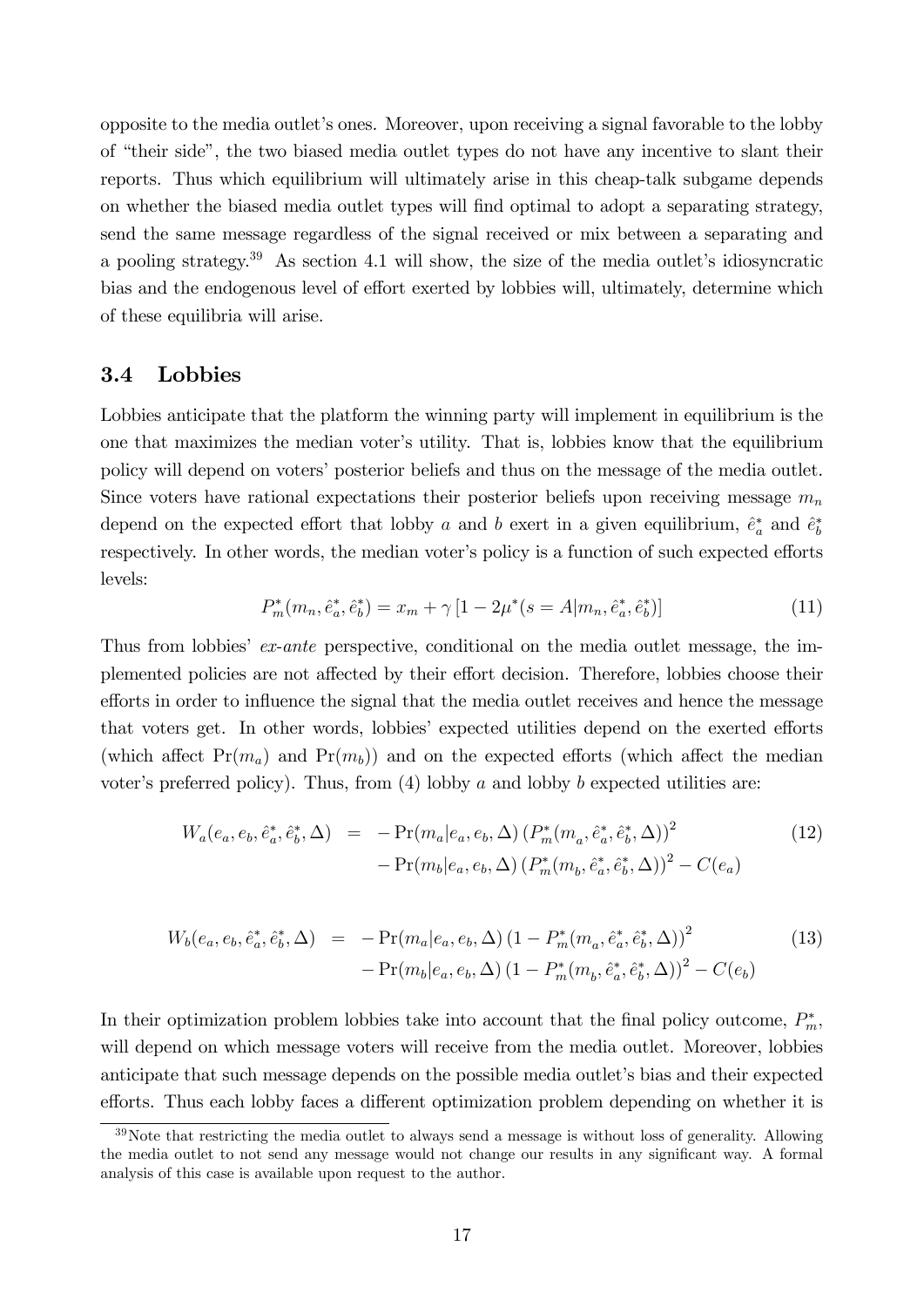opposite to the media outletís ones. Moreover, upon receiving a signal favorable to the lobby of "their side", the two biased media outlet types do not have any incentive to slant their reports. Thus which equilibrium will ultimately arise in this cheap-talk subgame depends on whether the biased media outlet types will Önd optimal to adopt a separating strategy, send the same message regardless of the signal received or mix between a separating and a pooling strategy.<sup>39</sup> As section 4.1 will show, the size of the media outlet's idiosyncratic bias and the endogenous level of effort exerted by lobbies will, ultimately, determine which of these equilibria will arise.

### 3.4 Lobbies

Lobbies anticipate that the platform the winning party will implement in equilibrium is the one that maximizes the median voter's utility. That is, lobbies know that the equilibrium policy will depend on voters' posterior beliefs and thus on the message of the media outlet. Since voters have rational expectations their posterior beliefs upon receiving message  $m_n$ depend on the expected effort that lobby a and b exert in a given equilibrium,  $\hat{e}_a^*$  and  $\hat{e}_b^*$ respectively. In other words, the median voter's policy is a function of such expected efforts levels:

$$
P_m^*(m_n, \hat{e}_a^*, \hat{e}_b^*) = x_m + \gamma \left[ 1 - 2\mu^*(s = A|m_n, \hat{e}_a^*, \hat{e}_b^*) \right]
$$
(11)

Thus from lobbies' ex-ante perspective, conditional on the media outlet message, the implemented policies are not affected by their effort decision. Therefore, lobbies choose their efforts in order to influence the signal that the media outlet receives and hence the message that voters get. In other words, lobbies' expected utilities depend on the exerted efforts (which affect  $Pr(m_a)$  and  $Pr(m_b)$ ) and on the expected efforts (which affect the median voter's preferred policy). Thus, from  $(4)$  lobby a and lobby b expected utilities are:

$$
W_a(e_a, e_b, \hat{e}_a^*, \hat{e}_b^*, \Delta) = -\Pr(m_a|e_a, e_b, \Delta) (P_m^*(m_a, \hat{e}_a^*, \hat{e}_b^*, \Delta))^2 - \Pr(m_b|e_a, e_b, \Delta) (P_m^*(m_b, \hat{e}_a^*, \hat{e}_b^*, \Delta))^2 - C(e_a)
$$
\n(12)

$$
W_b(e_a, e_b, \hat{e}_a^*, \hat{e}_b^*, \Delta) = -\Pr(m_a|e_a, e_b, \Delta) \left(1 - P_m^*(m_a, \hat{e}_a^*, \hat{e}_b^*, \Delta)\right)^2 - \Pr(m_b|e_a, e_b, \Delta) \left(1 - P_m^*(m_b, \hat{e}_a^*, \hat{e}_b^*, \Delta)\right)^2 - C(e_b)
$$
\n(13)

In their optimization problem lobbies take into account that the final policy outcome,  $P_m^*$ , will depend on which message voters will receive from the media outlet. Moreover, lobbies anticipate that such message depends on the possible media outlet's bias and their expected efforts. Thus each lobby faces a different optimization problem depending on whether it is

 $39$ Note that restricting the media outlet to always send a message is without loss of generality. Allowing the media outlet to not send any message would not change our results in any significant way. A formal analysis of this case is available upon request to the author.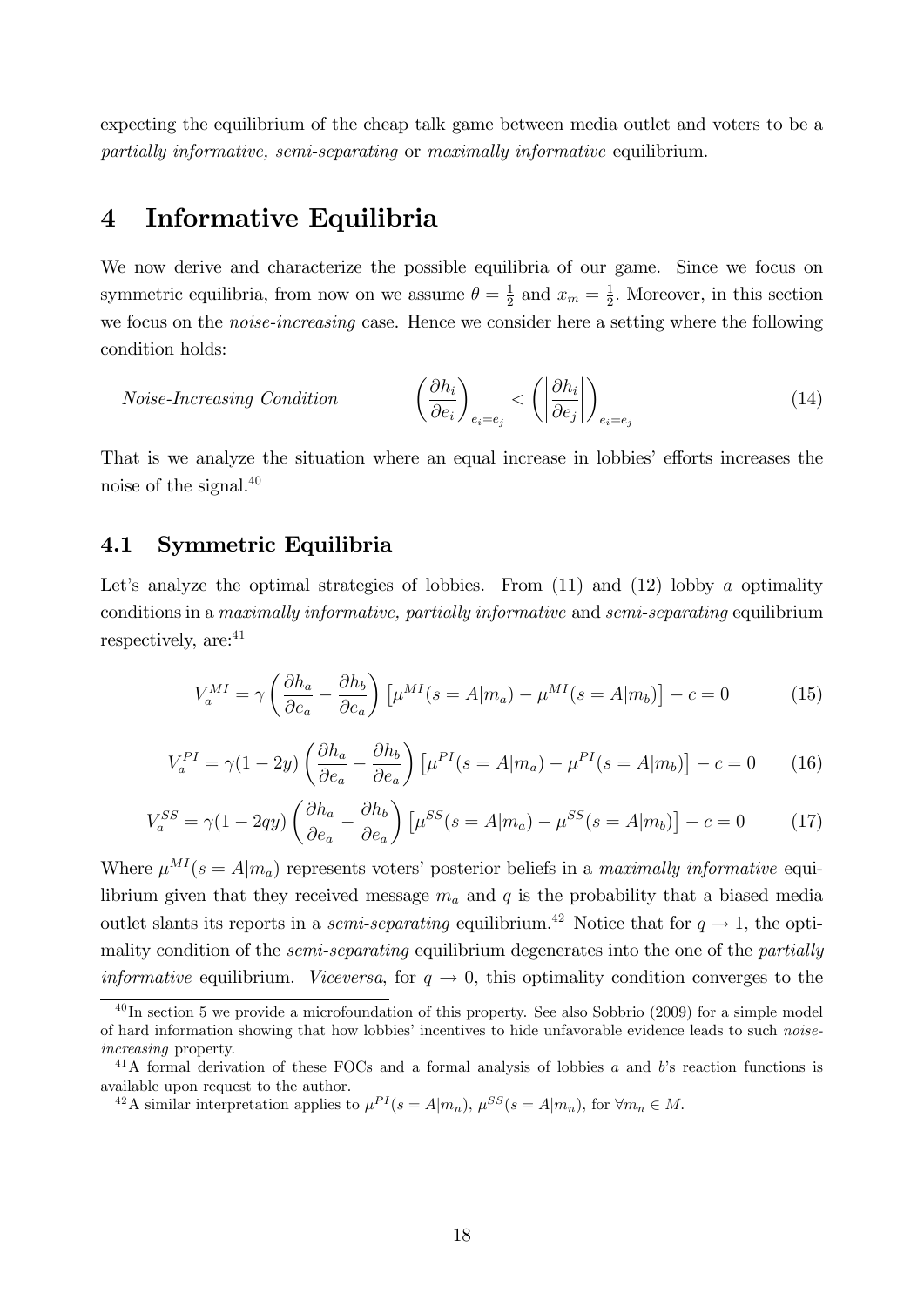expecting the equilibrium of the cheap talk game between media outlet and voters to be a partially informative, semi-separating or maximally informative equilibrium.

# 4 Informative Equilibria

We now derive and characterize the possible equilibria of our game. Since we focus on symmetric equilibria, from now on we assume  $\theta = \frac{1}{2}$  $rac{1}{2}$  and  $x_m = \frac{1}{2}$  $\frac{1}{2}$ . Moreover, in this section we focus on the noise-increasing case. Hence we consider here a setting where the following condition holds:

$$
Noise\text{-}Increasing Condition \qquad \qquad \left(\frac{\partial h_i}{\partial e_i}\right)_{e_i = e_j} < \left(\left|\frac{\partial h_i}{\partial e_j}\right|\right)_{e_i = e_j} \tag{14}
$$

That is we analyze the situation where an equal increase in lobbies' efforts increases the noise of the signal.<sup>40</sup>

## 4.1 Symmetric Equilibria

Let's analyze the optimal strategies of lobbies. From  $(11)$  and  $(12)$  lobby a optimality conditions in a maximally informative, partially informative and semi-separating equilibrium respectively, are:  $41$ 

$$
V_a^{MI} = \gamma \left(\frac{\partial h_a}{\partial e_a} - \frac{\partial h_b}{\partial e_a}\right) \left[\mu^{MI}(s = A|m_a) - \mu^{MI}(s = A|m_b)\right] - c = 0 \tag{15}
$$

$$
V_a^{PI} = \gamma (1 - 2y) \left( \frac{\partial h_a}{\partial e_a} - \frac{\partial h_b}{\partial e_a} \right) \left[ \mu^{PI}(s = A | m_a) - \mu^{PI}(s = A | m_b) \right] - c = 0 \tag{16}
$$

$$
V_a^{SS} = \gamma (1 - 2qy) \left( \frac{\partial h_a}{\partial e_a} - \frac{\partial h_b}{\partial e_a} \right) \left[ \mu^{SS} (s = A | m_a) - \mu^{SS} (s = A | m_b) \right] - c = 0 \tag{17}
$$

Where  $\mu^{MI}(s = A|m_a)$  represents voters' posterior beliefs in a maximally informative equilibrium given that they received message  $m_a$  and q is the probability that a biased media outlet slants its reports in a *semi-separating* equilibrium.<sup>42</sup> Notice that for  $q \rightarrow 1$ , the optimality condition of the *semi-separating* equilibrium degenerates into the one of the *partially informative* equilibrium. *Viceversa*, for  $q \rightarrow 0$ , this optimality condition converges to the

 $^{40}$ In section 5 we provide a microfoundation of this property. See also Sobbrio (2009) for a simple model of hard information showing that how lobbies' incentives to hide unfavorable evidence leads to such noiseincreasing property.

<sup>&</sup>lt;sup>41</sup>A formal derivation of these FOCs and a formal analysis of lobbies a and b's reaction functions is available upon request to the author.

<sup>&</sup>lt;sup>42</sup>A similar interpretation applies to  $\mu^{PI}(s = A|m_n)$ ,  $\mu^{SS}(s = A|m_n)$ , for  $\forall m_n \in M$ .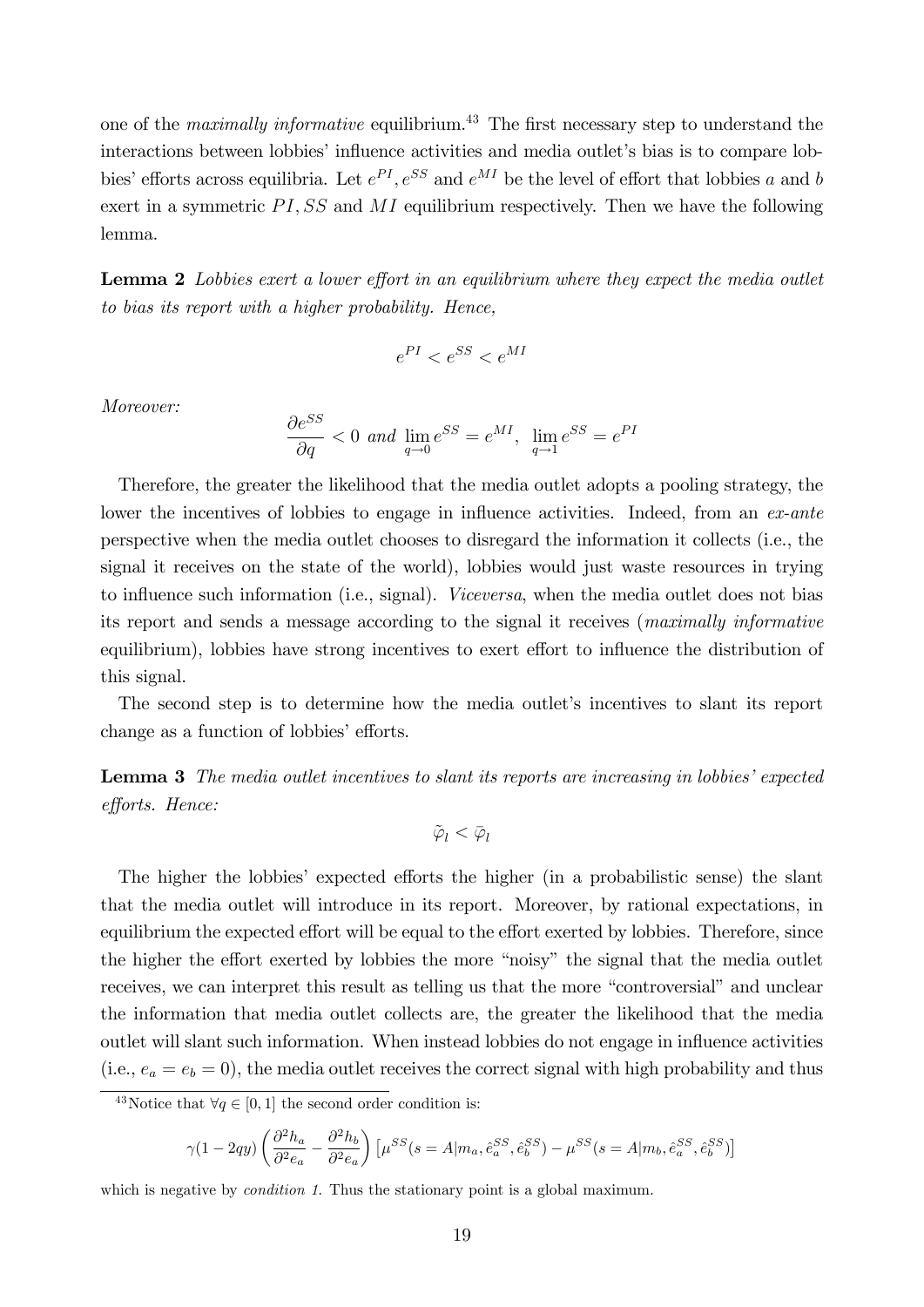one of the *maximally informative* equilibrium.<sup>43</sup> The first necessary step to understand the interactions between lobbies' influence activities and media outlet's bias is to compare lobbies' efforts across equilibria. Let  $e^{PI}$ ,  $e^{SS}$  and  $e^{MI}$  be the level of effort that lobbies a and b exert in a symmetric  $PI, SS$  and  $MI$  equilibrium respectively. Then we have the following lemma.

**Lemma 2** Lobbies exert a lower effort in an equilibrium where they expect the media outlet to bias its report with a higher probability. Hence,

$$
e^{PI} < e^{SS} < e^{MI}
$$

Moreover:

$$
\frac{\partial e^{SS}}{\partial q} < 0 \text{ and } \lim_{q \to 0} e^{SS} = e^{MI}, \lim_{q \to 1} e^{SS} = e^{PI}
$$

Therefore, the greater the likelihood that the media outlet adopts a pooling strategy, the lower the incentives of lobbies to engage in influence activities. Indeed, from an  $ex$ -ante perspective when the media outlet chooses to disregard the information it collects (i.e., the signal it receives on the state of the world), lobbies would just waste resources in trying to influence such information (i.e., signal). Viceversa, when the media outlet does not bias its report and sends a message according to the signal it receives (maximally informative equilibrium), lobbies have strong incentives to exert effort to influence the distribution of this signal.

The second step is to determine how the media outlet's incentives to slant its report change as a function of lobbies' efforts.

**Lemma 3** The media outlet incentives to slant its reports are increasing in lobbies' expected efforts. Hence:

$$
\tilde{\varphi}_l < \bar{\varphi}_l
$$

The higher the lobbies' expected efforts the higher (in a probabilistic sense) the slant that the media outlet will introduce in its report. Moreover, by rational expectations, in equilibrium the expected effort will be equal to the effort exerted by lobbies. Therefore, since the higher the effort exerted by lobbies the more "noisy" the signal that the media outlet receives, we can interpret this result as telling us that the more "controversial" and unclear the information that media outlet collects are, the greater the likelihood that the media outlet will slant such information. When instead lobbies do not engage in influence activities (i.e.,  $e_a = e_b = 0$ ), the media outlet receives the correct signal with high probability and thus

$$
\gamma(1-2q y)\left(\frac{\partial^2 h_a}{\partial^2 e_a}-\frac{\partial^2 h_b}{\partial^2 e_a}\right)\left[\mu^{SS}(s=A|m_a,\hat{e}^{SS}_a,\hat{e}^{SS}_b)-\mu^{SS}(s=A|m_b,\hat{e}^{SS}_a,\hat{e}^{SS}_b)\right]
$$

which is negative by *condition 1*. Thus the stationary point is a global maximum.

<sup>&</sup>lt;sup>43</sup>Notice that  $\forall q \in [0, 1]$  the second order condition is: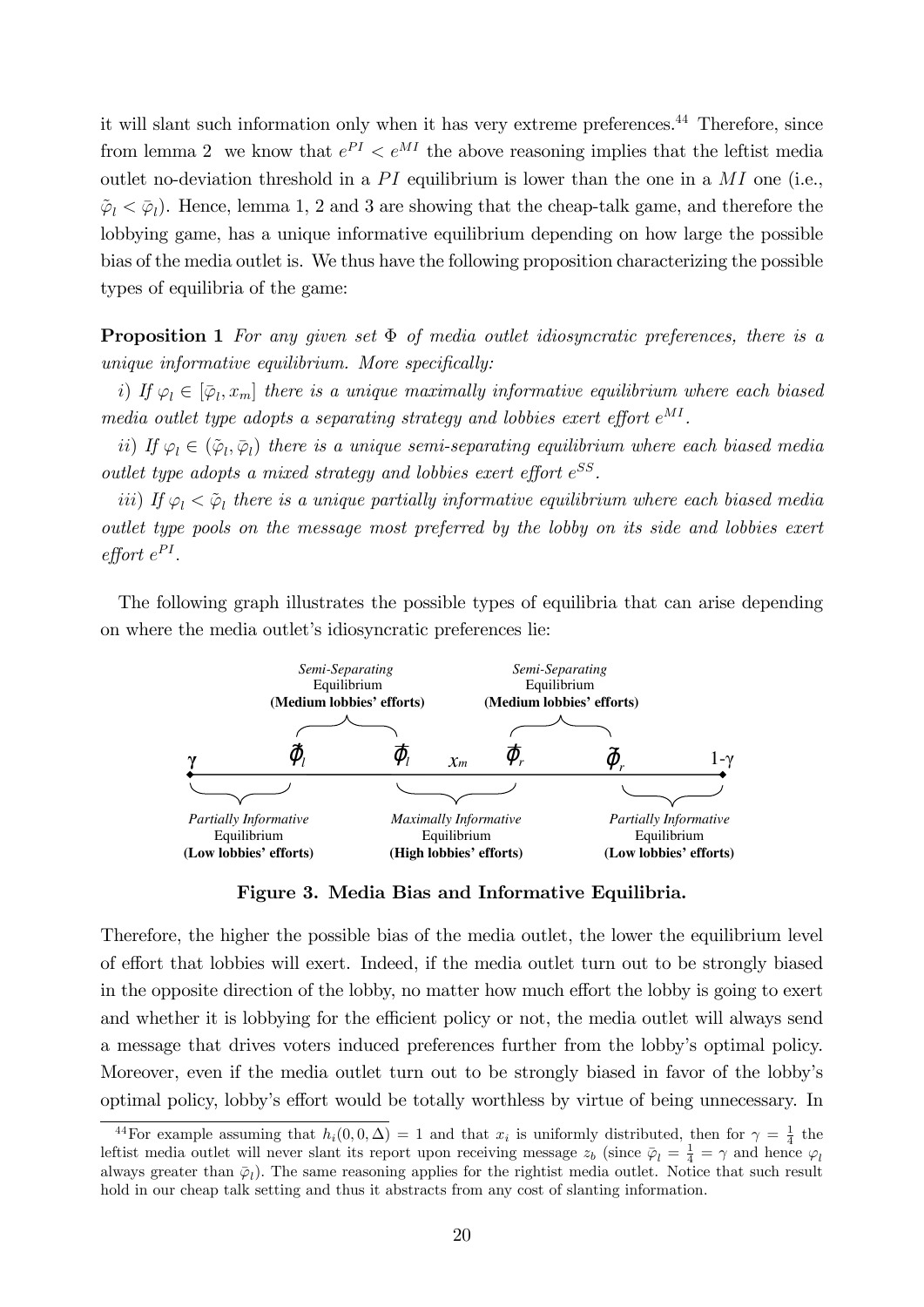it will slant such information only when it has very extreme preferences.<sup>44</sup> Therefore, since from lemma 2 we know that  $e^{PI} < e^{MI}$  the above reasoning implies that the leftist media outlet no-deviation threshold in a  $PI$  equilibrium is lower than the one in a  $MI$  one (i.e.,  $\tilde{\varphi}_l < \bar{\varphi}_l$ ). Hence, lemma 1, 2 and 3 are showing that the cheap-talk game, and therefore the lobbying game, has a unique informative equilibrium depending on how large the possible bias of the media outlet is. We thus have the following proposition characterizing the possible types of equilibria of the game:

**Proposition 1** For any given set  $\Phi$  of media outlet idiosyncratic preferences, there is a  $unique$  informative equilibrium. More specifically:

i) If  $\varphi_l \in [\bar{\varphi}_l, x_m]$  there is a unique maximally informative equilibrium where each biased media outlet type adopts a separating strategy and lobbies exert effort  $e^{MI}$ .

ii) If  $\varphi_l \in (\tilde{\varphi}_l, \bar{\varphi}_l)$  there is a unique semi-separating equilibrium where each biased media outlet type adopts a mixed strategy and lobbies exert effort  $e^{SS}$ .

iii) If  $\varphi_l < \tilde{\varphi}_l$  there is a unique partially informative equilibrium where each biased media outlet type pools on the message most preferred by the lobby on its side and lobbies exert  $\emph{effort}$   $e^{PI}$ .

The following graph illustrates the possible types of equilibria that can arise depending on where the media outlet's idiosyncratic preferences lie:



Figure 3. Media Bias and Informative Equilibria.

Therefore, the higher the possible bias of the media outlet, the lower the equilibrium level of effort that lobbies will exert. Indeed, if the media outlet turn out to be strongly biased in the opposite direction of the lobby, no matter how much effort the lobby is going to exert and whether it is lobbying for the efficient policy or not, the media outlet will always send a message that drives voters induced preferences further from the lobbyís optimal policy. Moreover, even if the media outlet turn out to be strongly biased in favor of the lobbyís optimal policy, lobby's effort would be totally worthless by virtue of being unnecessary. In

<sup>&</sup>lt;sup>44</sup>For example assuming that  $h_i(0,0,\Delta) = 1$  and that  $x_i$  is uniformly distributed, then for  $\gamma = \frac{1}{4}$  the leftist media outlet will never slant its report upon receiving message  $z_b$  (since  $\bar{\varphi}_l = \frac{1}{4} = \gamma$  and hence  $\varphi_l$ always greater than  $\bar{\varphi}_l$ ). The same reasoning applies for the rightist media outlet. Notice that such result hold in our cheap talk setting and thus it abstracts from any cost of slanting information.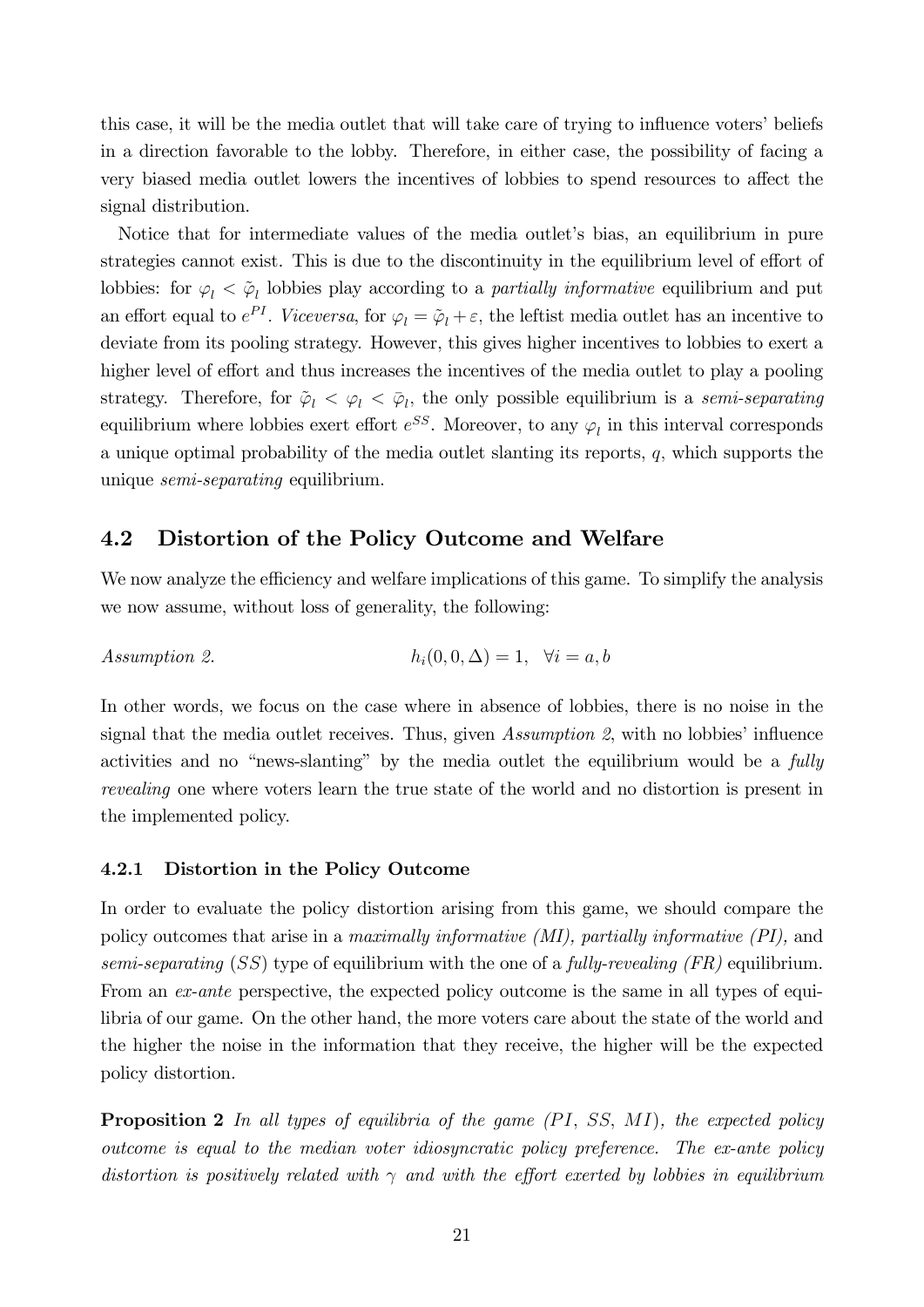this case, it will be the media outlet that will take care of trying to influence voters' beliefs in a direction favorable to the lobby. Therefore, in either case, the possibility of facing a very biased media outlet lowers the incentives of lobbies to spend resources to affect the signal distribution.

Notice that for intermediate values of the media outlet's bias, an equilibrium in pure strategies cannot exist. This is due to the discontinuity in the equilibrium level of effort of lobbies: for  $\varphi_l < \tilde{\varphi}_l$  lobbies play according to a *partially informative* equilibrium and put an effort equal to  $e^{PI}$ . Viceversa, for  $\varphi_l = \tilde{\varphi}_l + \varepsilon$ , the leftist media outlet has an incentive to deviate from its pooling strategy. However, this gives higher incentives to lobbies to exert a higher level of effort and thus increases the incentives of the media outlet to play a pooling strategy. Therefore, for  $\tilde{\varphi}_l < \varphi_l < \bar{\varphi}_l$ , the only possible equilibrium is a semi-separating equilibrium where lobbies exert effort  $e^{SS}$ . Moreover, to any  $\varphi_l$  in this interval corresponds a unique optimal probability of the media outlet slanting its reports,  $q$ , which supports the unique *semi-separating* equilibrium.

# 4.2 Distortion of the Policy Outcome and Welfare

We now analyze the efficiency and welfare implications of this game. To simplify the analysis we now assume, without loss of generality, the following:

Assumption 2. 
$$
h_i(0,0,\Delta) = 1, \quad \forall i = a, b
$$

In other words, we focus on the case where in absence of lobbies, there is no noise in the signal that the media outlet receives. Thus, given  $Assumption 2$ , with no lobbies' influence activities and no "news-slanting" by the media outlet the equilibrium would be a  $fully$ revealing one where voters learn the true state of the world and no distortion is present in the implemented policy.

### 4.2.1 Distortion in the Policy Outcome

In order to evaluate the policy distortion arising from this game, we should compare the policy outcomes that arise in a maximally informative (MI), partially informative (PI), and semi-separating  $(SS)$  type of equilibrium with the one of a fully-revealing  $(FR)$  equilibrium. From an *ex-ante* perspective, the expected policy outcome is the same in all types of equilibria of our game. On the other hand, the more voters care about the state of the world and the higher the noise in the information that they receive, the higher will be the expected policy distortion.

**Proposition 2** In all types of equilibria of the game  $(PI, SS, MI)$ , the expected policy outcome is equal to the median voter idiosyncratic policy preference. The ex-ante policy distortion is positively related with  $\gamma$  and with the effort exerted by lobbies in equilibrium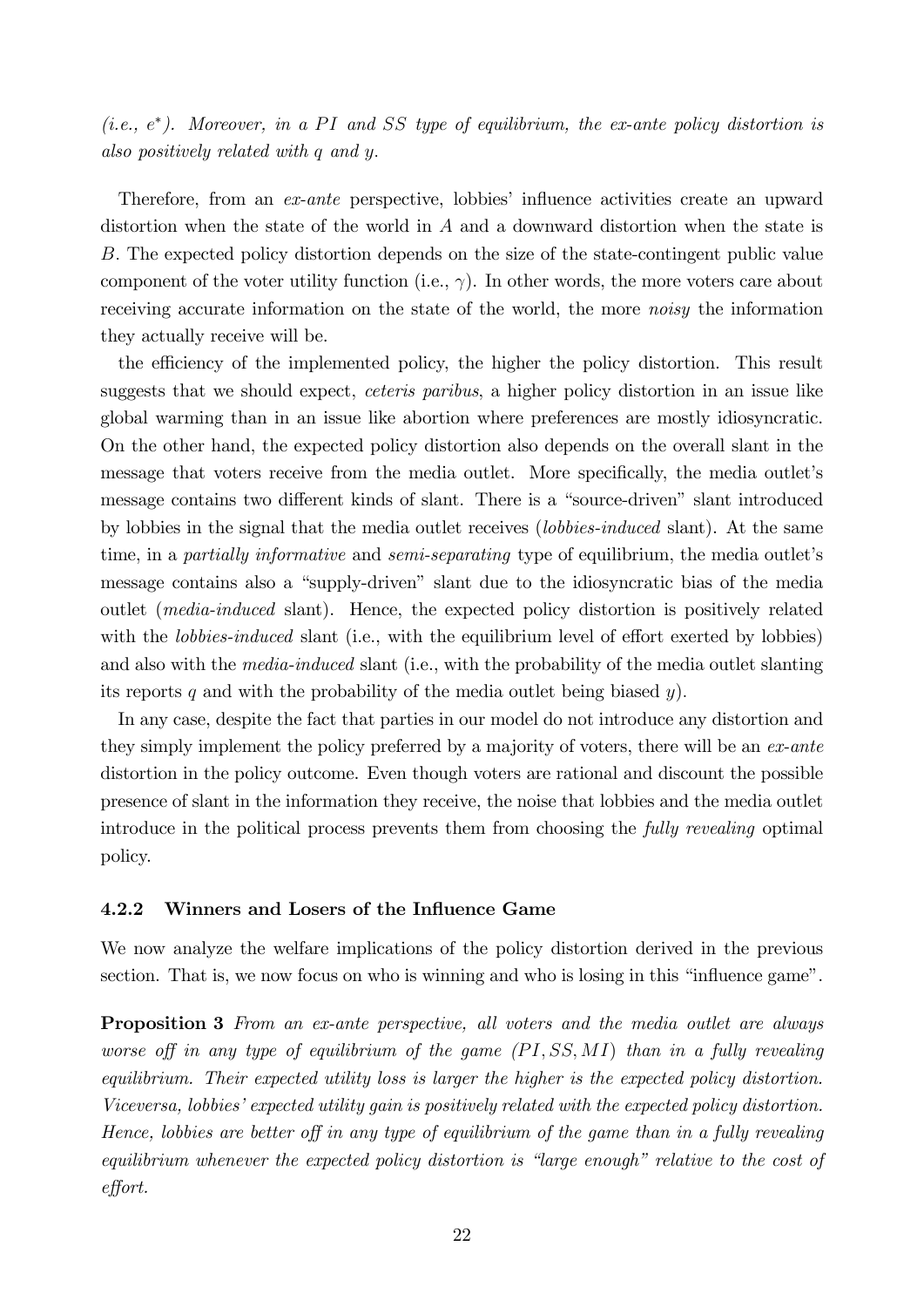(i.e.,  $e^*$ ). Moreover, in a PI and SS type of equilibrium, the ex-ante policy distortion is also positively related with q and y:

Therefore, from an ex-ante perspective, lobbies' influence activities create an upward distortion when the state of the world in A and a downward distortion when the state is B: The expected policy distortion depends on the size of the state-contingent public value component of the voter utility function (i.e.,  $\gamma$ ). In other words, the more voters care about receiving accurate information on the state of the world, the more noisy the information they actually receive will be.

the efficiency of the implemented policy, the higher the policy distortion. This result suggests that we should expect, ceteris paribus, a higher policy distortion in an issue like global warming than in an issue like abortion where preferences are mostly idiosyncratic. On the other hand, the expected policy distortion also depends on the overall slant in the message that voters receive from the media outlet. More specifically, the media outlet's message contains two different kinds of slant. There is a "source-driven" slant introduced by lobbies in the signal that the media outlet receives (lobbies-induced slant). At the same time, in a *partially informative* and *semi-separating* type of equilibrium, the media outlet's message contains also a "supply-driven" slant due to the idiosyncratic bias of the media outlet (media-induced slant). Hence, the expected policy distortion is positively related with the *lobbies-induced* slant (i.e., with the equilibrium level of effort exerted by lobbies) and also with the *media-induced* slant (i.e., with the probability of the media outlet slanting its reports q and with the probability of the media outlet being biased  $y$ ).

In any case, despite the fact that parties in our model do not introduce any distortion and they simply implement the policy preferred by a majority of voters, there will be an ex-ante distortion in the policy outcome. Even though voters are rational and discount the possible presence of slant in the information they receive, the noise that lobbies and the media outlet introduce in the political process prevents them from choosing the fully revealing optimal policy.

### 4.2.2 Winners and Losers of the Influence Game

We now analyze the welfare implications of the policy distortion derived in the previous section. That is, we now focus on who is winning and who is losing in this "influence game".

**Proposition 3** From an ex-ante perspective, all voters and the media outlet are always worse off in any type of equilibrium of the game  $(PI, SS, MI)$  than in a fully revealing equilibrium. Their expected utility loss is larger the higher is the expected policy distortion. Viceversa, lobbies' expected utility gain is positively related with the expected policy distortion. Hence, lobbies are better off in any type of equilibrium of the game than in a fully revealing equilibrium whenever the expected policy distortion is "large enough" relative to the cost of effort.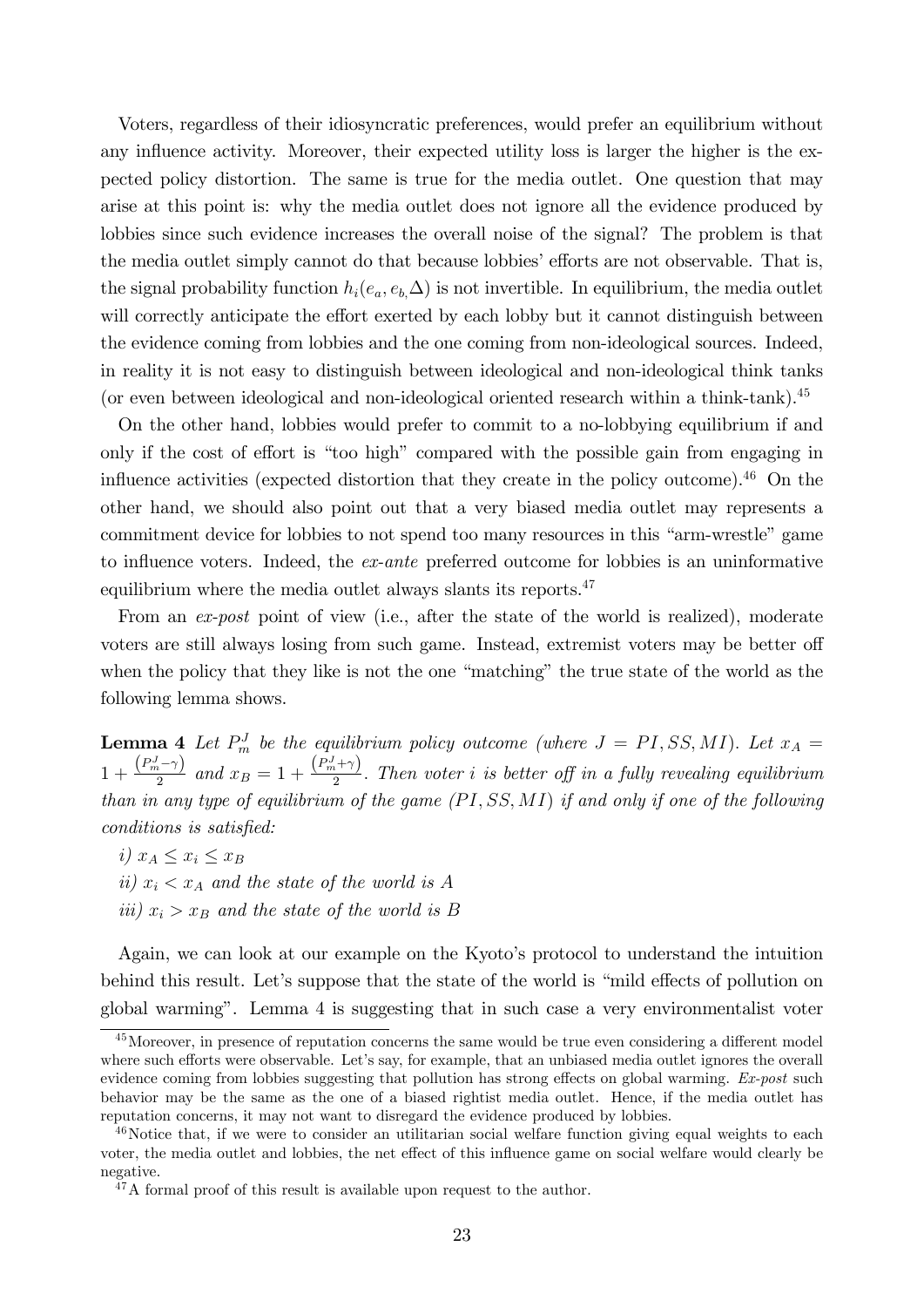Voters, regardless of their idiosyncratic preferences, would prefer an equilibrium without any influence activity. Moreover, their expected utility loss is larger the higher is the expected policy distortion. The same is true for the media outlet. One question that may arise at this point is: why the media outlet does not ignore all the evidence produced by lobbies since such evidence increases the overall noise of the signal? The problem is that the media outlet simply cannot do that because lobbies' efforts are not observable. That is, the signal probability function  $h_i(e_a, e_b, \Delta)$  is not invertible. In equilibrium, the media outlet will correctly anticipate the effort exerted by each lobby but it cannot distinguish between the evidence coming from lobbies and the one coming from non-ideological sources. Indeed, in reality it is not easy to distinguish between ideological and non-ideological think tanks (or even between ideological and non-ideological oriented research within a think-tank).<sup>45</sup>

On the other hand, lobbies would prefer to commit to a no-lobbying equilibrium if and only if the cost of effort is "too high" compared with the possible gain from engaging in influence activities (expected distortion that they create in the policy outcome). $46$  On the other hand, we should also point out that a very biased media outlet may represents a commitment device for lobbies to not spend too many resources in this "arm-wrestle" game to influence voters. Indeed, the  $ex$ -ante preferred outcome for lobbies is an uninformative equilibrium where the media outlet always slants its reports.<sup>47</sup>

From an ex-post point of view (i.e., after the state of the world is realized), moderate voters are still always losing from such game. Instead, extremist voters may be better off when the policy that they like is not the one "matching" the true state of the world as the following lemma shows.

**Lemma 4** Let  $P_m^J$  be the equilibrium policy outcome (where  $J = PI$ , SS, MI). Let  $x_A =$  $1+\frac{\left(P_m^J-\gamma\right)}{2}$  $\frac{(n-1)(n-1)}{2}$  and  $x_B = 1 + \frac{(P_m^J + \gamma)}{2}$  $\frac{1}{2}$ . Then voter *i* is better off in a fully revealing equilibrium than in any type of equilibrium of the game  $(PI, SS, MI)$  if and only if one of the following conditions is satisfied:

i)  $x_A \leq x_i \leq x_B$ ii)  $x_i < x_A$  and the state of the world is A iii)  $x_i > x_B$  and the state of the world is B

Again, we can look at our example on the Kyoto's protocol to understand the intuition behind this result. Let's suppose that the state of the world is "mild effects of pollution on global warmingî. Lemma 4 is suggesting that in such case a very environmentalist voter

 $45$ Moreover, in presence of reputation concerns the same would be true even considering a different model where such efforts were observable. Let's say, for example, that an unbiased media outlet ignores the overall evidence coming from lobbies suggesting that pollution has strong effects on global warming.  $Ex\text{-}post$  such behavior may be the same as the one of a biased rightist media outlet. Hence, if the media outlet has reputation concerns, it may not want to disregard the evidence produced by lobbies.

<sup>&</sup>lt;sup>46</sup>Notice that, if we were to consider an utilitarian social welfare function giving equal weights to each voter, the media outlet and lobbies, the net effect of this influence game on social welfare would clearly be negative.

 $47A$  formal proof of this result is available upon request to the author.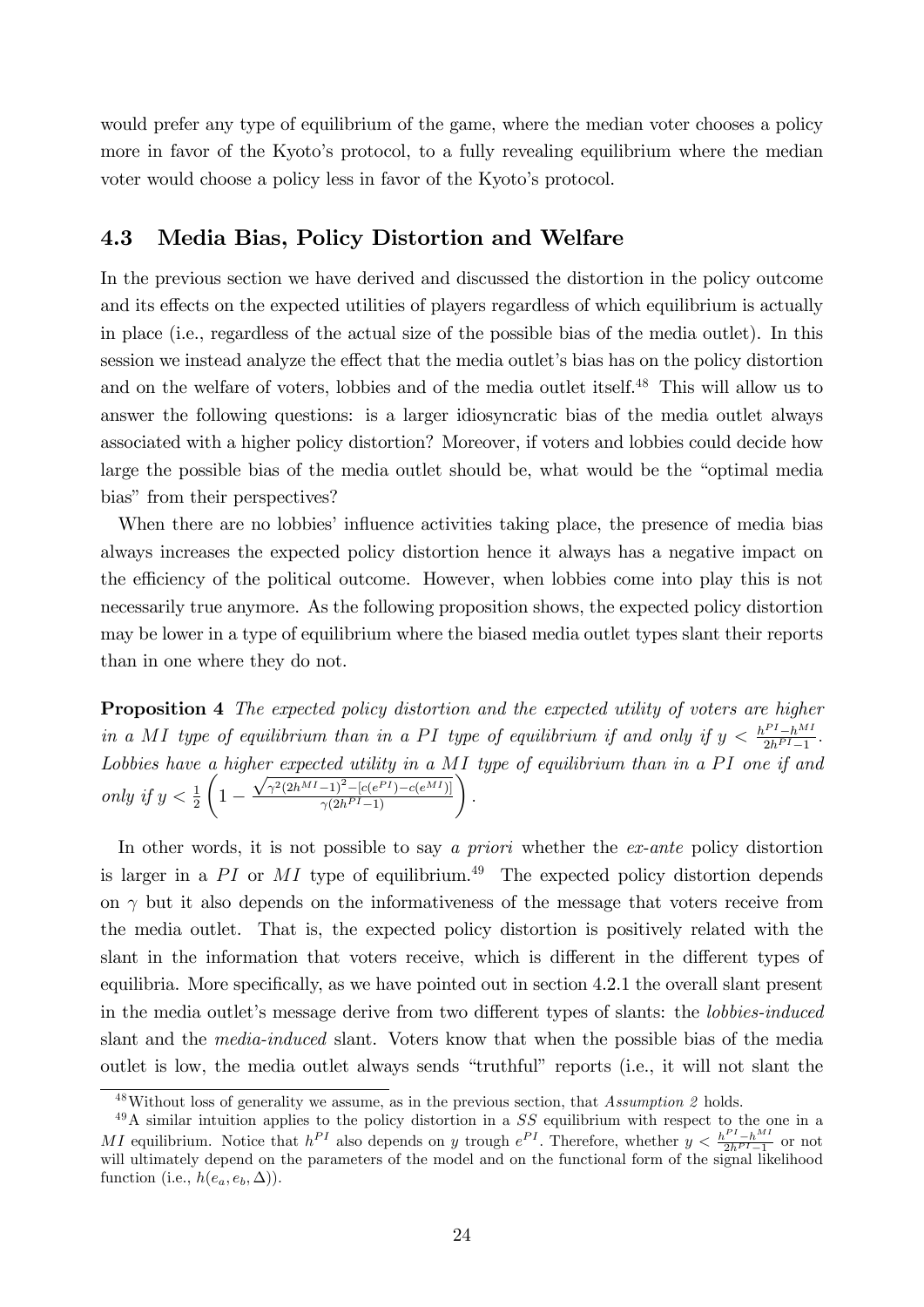would prefer any type of equilibrium of the game, where the median voter chooses a policy more in favor of the Kyoto's protocol, to a fully revealing equilibrium where the median voter would choose a policy less in favor of the Kyoto's protocol.

## 4.3 Media Bias, Policy Distortion and Welfare

In the previous section we have derived and discussed the distortion in the policy outcome and its effects on the expected utilities of players regardless of which equilibrium is actually in place (i.e., regardless of the actual size of the possible bias of the media outlet). In this session we instead analyze the effect that the media outlet's bias has on the policy distortion and on the welfare of voters, lobbies and of the media outlet itself.<sup>48</sup> This will allow us to answer the following questions: is a larger idiosyncratic bias of the media outlet always associated with a higher policy distortion? Moreover, if voters and lobbies could decide how large the possible bias of the media outlet should be, what would be the "optimal media bias" from their perspectives?

When there are no lobbies' influence activities taking place, the presence of media bias always increases the expected policy distortion hence it always has a negative impact on the efficiency of the political outcome. However, when lobbies come into play this is not necessarily true anymore. As the following proposition shows, the expected policy distortion may be lower in a type of equilibrium where the biased media outlet types slant their reports than in one where they do not.

Proposition 4 The expected policy distortion and the expected utility of voters are higher in a MI type of equilibrium than in a PI type of equilibrium if and only if  $y < \frac{h^{PI} - h^{MI}}{2h^{PI} - 1}$  $rac{1}{2h^{PI}-1}$ . Lobbies have a higher expected utility in a MI type of equilibrium than in a PI one if and only if  $y < \frac{1}{2}$  $\sqrt{ }$  $1 \frac{\sqrt{\gamma^2(2h^{MI}-1)^2-[c(e^{PI})-c(e^{MI})]}}{\gamma(2h^{PI}-1)}$ 

In other words, it is not possible to say a priori whether the ex-ante policy distortion is larger in a PI or MI type of equilibrium.<sup>49</sup> The expected policy distortion depends on  $\gamma$  but it also depends on the informativeness of the message that voters receive from the media outlet. That is, the expected policy distortion is positively related with the slant in the information that voters receive, which is different in the different types of equilibria. More specifically, as we have pointed out in section 4.2.1 the overall slant present in the media outlet's message derive from two different types of slants: the *lobbies-induced* slant and the media-induced slant. Voters know that when the possible bias of the media outlet is low, the media outlet always sends "truthful" reports (i.e., it will not slant the

 $48$ Without loss of generality we assume, as in the previous section, that Assumption 2 holds.

 $^{49}$ A similar intuition applies to the policy distortion in a SS equilibrium with respect to the one in a MI equilibrium. Notice that  $h^{PI}$  also depends on y trough  $e^{PI}$ . Therefore, whether  $y < \frac{h^{PI} - h^{MI}}{2h^{PI} - 1}$  or not will ultimately depend on the parameters of the model and on the functional form of the signal likelihood function (i.e.,  $h(e_a, e_b, \Delta)$ ).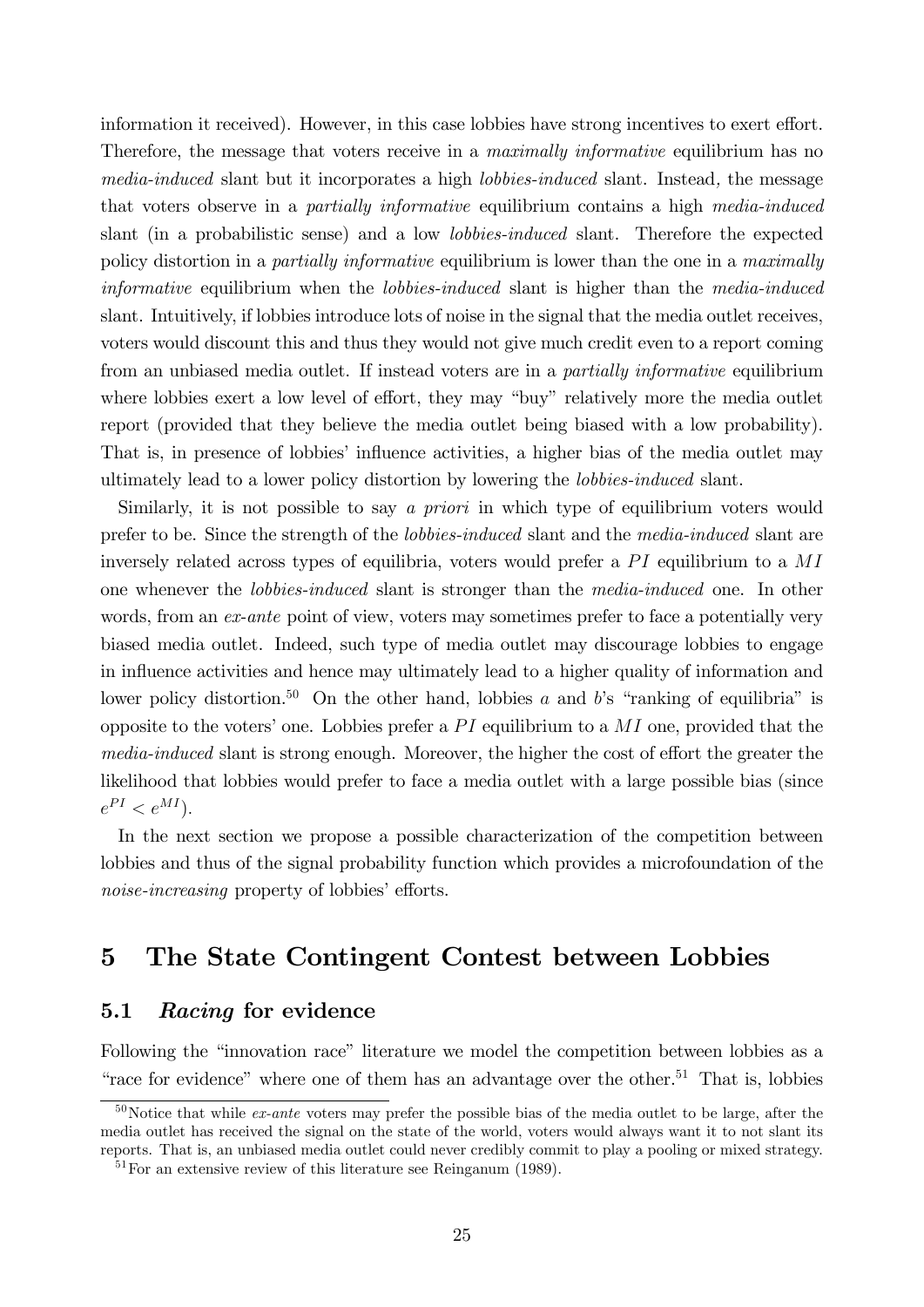information it received). However, in this case lobbies have strong incentives to exert effort. Therefore, the message that voters receive in a *maximally informative* equilibrium has no media-induced slant but it incorporates a high lobbies-induced slant. Instead, the message that voters observe in a partially informative equilibrium contains a high media-induced slant (in a probabilistic sense) and a low lobbies-induced slant. Therefore the expected policy distortion in a *partially informative* equilibrium is lower than the one in a *maximally* informative equilibrium when the *lobbies-induced* slant is higher than the *media-induced* slant. Intuitively, if lobbies introduce lots of noise in the signal that the media outlet receives, voters would discount this and thus they would not give much credit even to a report coming from an unbiased media outlet. If instead voters are in a partially informative equilibrium where lobbies exert a low level of effort, they may "buy" relatively more the media outlet report (provided that they believe the media outlet being biased with a low probability). That is, in presence of lobbies' influence activities, a higher bias of the media outlet may ultimately lead to a lower policy distortion by lowering the lobbies-induced slant.

Similarly, it is not possible to say a priori in which type of equilibrium voters would prefer to be. Since the strength of the lobbies-induced slant and the media-induced slant are inversely related across types of equilibria, voters would prefer a  $PI$  equilibrium to a  $MI$ one whenever the lobbies-induced slant is stronger than the media-induced one. In other words, from an *ex-ante* point of view, voters may sometimes prefer to face a potentially very biased media outlet. Indeed, such type of media outlet may discourage lobbies to engage in influence activities and hence may ultimately lead to a higher quality of information and lower policy distortion.<sup>50</sup> On the other hand, lobbies a and b's "ranking of equilibria" is opposite to the voters' one. Lobbies prefer a  $PI$  equilibrium to a  $MI$  one, provided that the media-induced slant is strong enough. Moreover, the higher the cost of effort the greater the likelihood that lobbies would prefer to face a media outlet with a large possible bias (since  $e^{PI} < e^{MI}$ ).

In the next section we propose a possible characterization of the competition between lobbies and thus of the signal probability function which provides a microfoundation of the noise-increasing property of lobbies' efforts.

# 5 The State Contingent Contest between Lobbies

# 5.1 Racing for evidence

Following the "innovation race" literature we model the competition between lobbies as a "race for evidence" where one of them has an advantage over the other.<sup>51</sup> That is, lobbies

 $50$ Notice that while *ex-ante* voters may prefer the possible bias of the media outlet to be large, after the media outlet has received the signal on the state of the world, voters would always want it to not slant its reports. That is, an unbiased media outlet could never credibly commit to play a pooling or mixed strategy.

<sup>51</sup>For an extensive review of this literature see Reinganum (1989).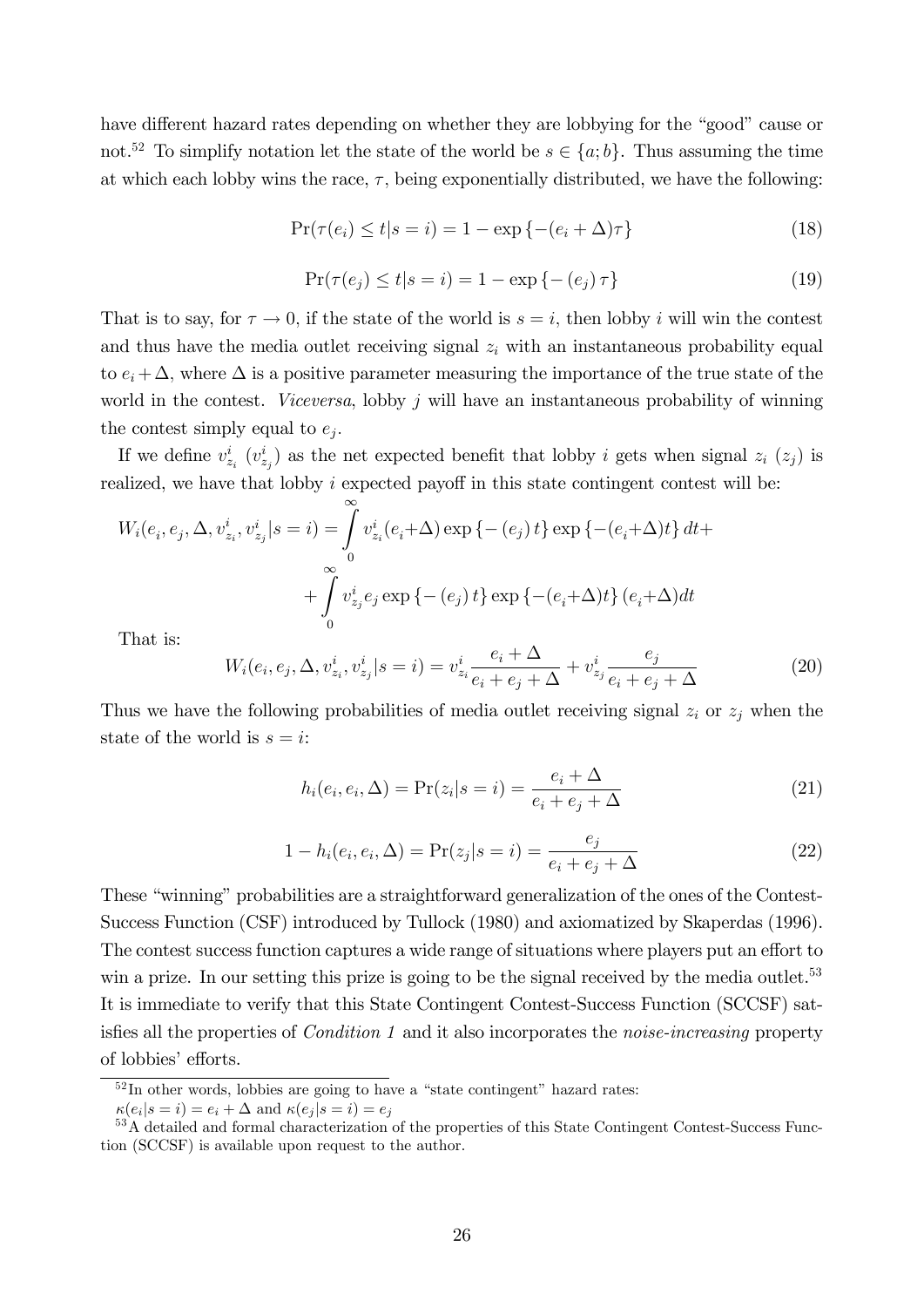have different hazard rates depending on whether they are lobbying for the "good" cause or not.<sup>52</sup> To simplify notation let the state of the world be  $s \in \{a, b\}$ . Thus assuming the time at which each lobby wins the race,  $\tau$ , being exponentially distributed, we have the following:

$$
\Pr(\tau(e_i) \le t | s = i) = 1 - \exp\left\{-(e_i + \Delta)\tau\right\} \tag{18}
$$

$$
\Pr(\tau(e_j) \le t | s = i) = 1 - \exp\{- (e_j) \tau\}
$$
\n(19)

That is to say, for  $\tau \to 0$ , if the state of the world is  $s = i$ , then lobby i will win the contest and thus have the media outlet receiving signal  $z<sub>i</sub>$  with an instantaneous probability equal to  $e_i + \Delta$ , where  $\Delta$  is a positive parameter measuring the importance of the true state of the world in the contest. Viceversa, lobby  $j$  will have an instantaneous probability of winning the contest simply equal to  $e_j$ .

If we define  $v_{z_i}^i$   $(v_{z_j}^i)$  as the net expected benefit that lobby i gets when signal  $z_i$   $(z_j)$  is realized, we have that lobby  $i$  expected payoff in this state contingent contest will be:

$$
W_i(e_i, e_j, \Delta, v_{z_i}^i, v_{z_j}^i | s = i) = \int_0^\infty v_{z_i}^i(e_i + \Delta) \exp\left\{-\left(e_j\right)t\right\} \exp\left\{-\left(e_i + \Delta\right)t\right\} dt + \int_0^\infty v_{z_j}^i e_j \exp\left\{-\left(e_j\right)t\right\} \exp\left\{-\left(e_i + \Delta\right)t\right\} \left(e_i + \Delta\right) dt
$$
  
That is:

That is:

$$
W_i(e_i, e_j, \Delta, v_{z_i}^i, v_{z_j}^i | s = i) = v_{z_i}^i \frac{e_i + \Delta}{e_i + e_j + \Delta} + v_{z_j}^i \frac{e_j}{e_i + e_j + \Delta}
$$
(20)

Thus we have the following probabilities of media outlet receiving signal  $z_i$  or  $z_j$  when the state of the world is  $s = i$ :

$$
h_i(e_i, e_i, \Delta) = \Pr(z_i | s = i) = \frac{e_i + \Delta}{e_i + e_j + \Delta} \tag{21}
$$

$$
1 - h_i(e_i, e_i, \Delta) = \Pr(z_j | s = i) = \frac{e_j}{e_i + e_j + \Delta}
$$
\n(22)

These "winning" probabilities are a straightforward generalization of the ones of the Contest-Success Function (CSF) introduced by Tullock (1980) and axiomatized by Skaperdas (1996). The contest success function captures a wide range of situations where players put an effort to win a prize. In our setting this prize is going to be the signal received by the media outlet.<sup>53</sup> It is immediate to verify that this State Contingent Contest-Success Function (SCCSF) satis fies all the properties of *Condition 1* and it also incorporates the *noise-increasing* property of lobbies' efforts.

 $52$ In other words, lobbies are going to have a "state contingent" hazard rates:

 $\kappa(e_i|s=i) = e_i + \Delta$  and  $\kappa(e_j|s=i) = e_j$ 

<sup>53</sup>A detailed and formal characterization of the properties of this State Contingent Contest-Success Function (SCCSF) is available upon request to the author.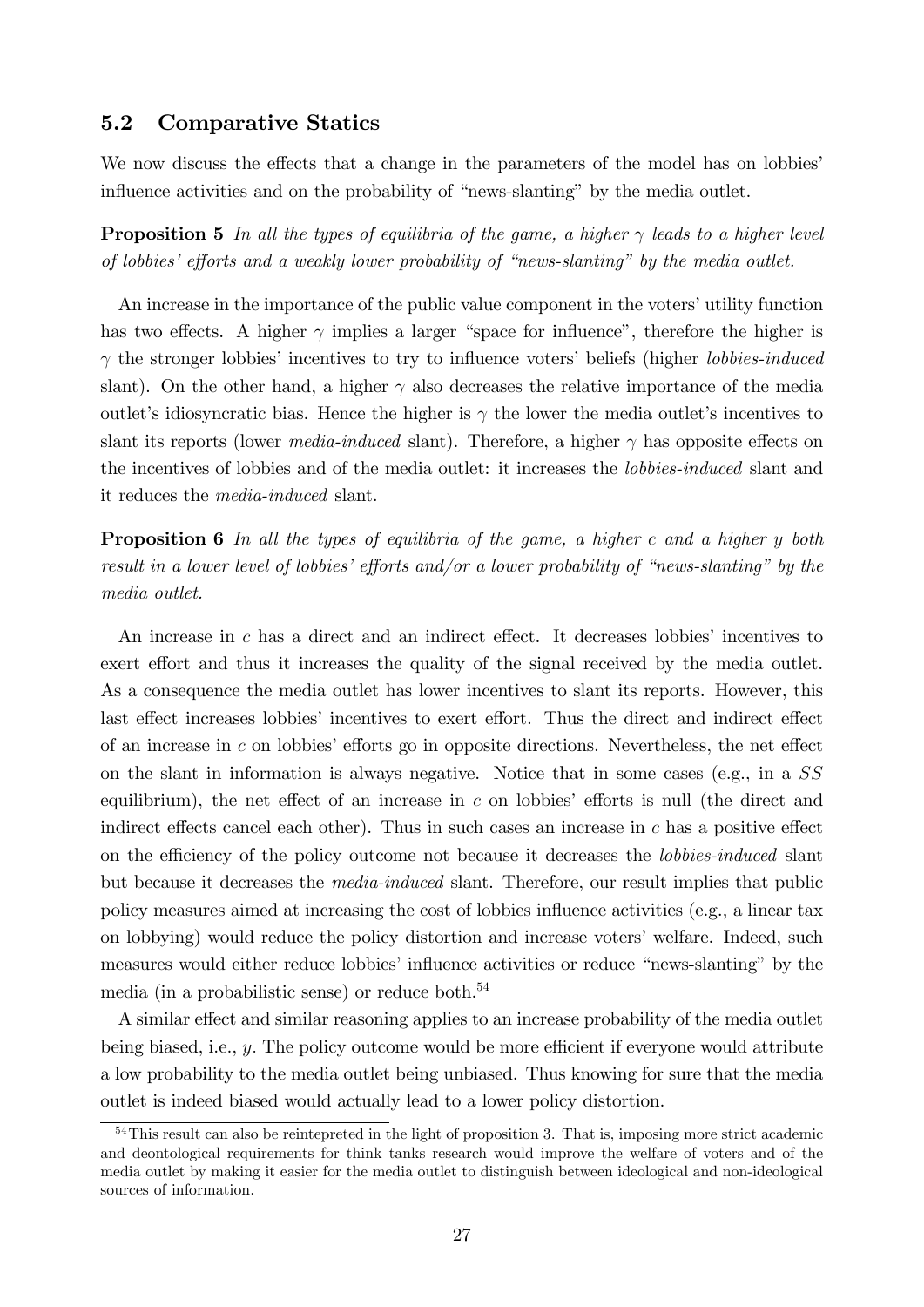## 5.2 Comparative Statics

We now discuss the effects that a change in the parameters of the model has on lobbies influence activities and on the probability of "news-slanting" by the media outlet.

**Proposition 5** In all the types of equilibria of the game, a higher  $\gamma$  leads to a higher level of lobbies' efforts and a weakly lower probability of "news-slanting" by the media outlet.

An increase in the importance of the public value component in the voters' utility function has two effects. A higher  $\gamma$  implies a larger "space for influence", therefore the higher is  $\gamma$  the stronger lobbies' incentives to try to influence voters' beliefs (higher *lobbies-induced* slant). On the other hand, a higher  $\gamma$  also decreases the relative importance of the media outlet's idiosyncratic bias. Hence the higher is  $\gamma$  the lower the media outlet's incentives to slant its reports (lower *media-induced* slant). Therefore, a higher  $\gamma$  has opposite effects on the incentives of lobbies and of the media outlet: it increases the lobbies-induced slant and it reduces the media-induced slant.

Proposition 6 In all the types of equilibria of the game, a higher c and a higher y both result in a lower level of lobbies' efforts and/or a lower probability of "news-slanting" by the media outlet.

An increase in  $c$  has a direct and an indirect effect. It decreases lobbies' incentives to exert effort and thus it increases the quality of the signal received by the media outlet. As a consequence the media outlet has lower incentives to slant its reports. However, this last effect increases lobbies' incentives to exert effort. Thus the direct and indirect effect of an increase in c on lobbies' efforts go in opposite directions. Nevertheless, the net effect on the slant in information is always negative. Notice that in some cases (e.g., in a SS equilibrium), the net effect of an increase in  $c$  on lobbies' efforts is null (the direct and indirect effects cancel each other). Thus in such cases an increase in  $c$  has a positive effect on the efficiency of the policy outcome not because it decreases the *lobbies-induced* slant but because it decreases the media-induced slant. Therefore, our result implies that public policy measures aimed at increasing the cost of lobbies influence activities (e.g., a linear tax on lobbying) would reduce the policy distortion and increase voters' welfare. Indeed, such measures would either reduce lobbies' influence activities or reduce "news-slanting" by the media (in a probabilistic sense) or reduce both.<sup>54</sup>

A similar effect and similar reasoning applies to an increase probability of the media outlet being biased, i.e.,  $y$ . The policy outcome would be more efficient if everyone would attribute a low probability to the media outlet being unbiased. Thus knowing for sure that the media outlet is indeed biased would actually lead to a lower policy distortion.

<sup>54</sup>This result can also be reintepreted in the light of proposition 3. That is, imposing more strict academic and deontological requirements for think tanks research would improve the welfare of voters and of the media outlet by making it easier for the media outlet to distinguish between ideological and non-ideological sources of information.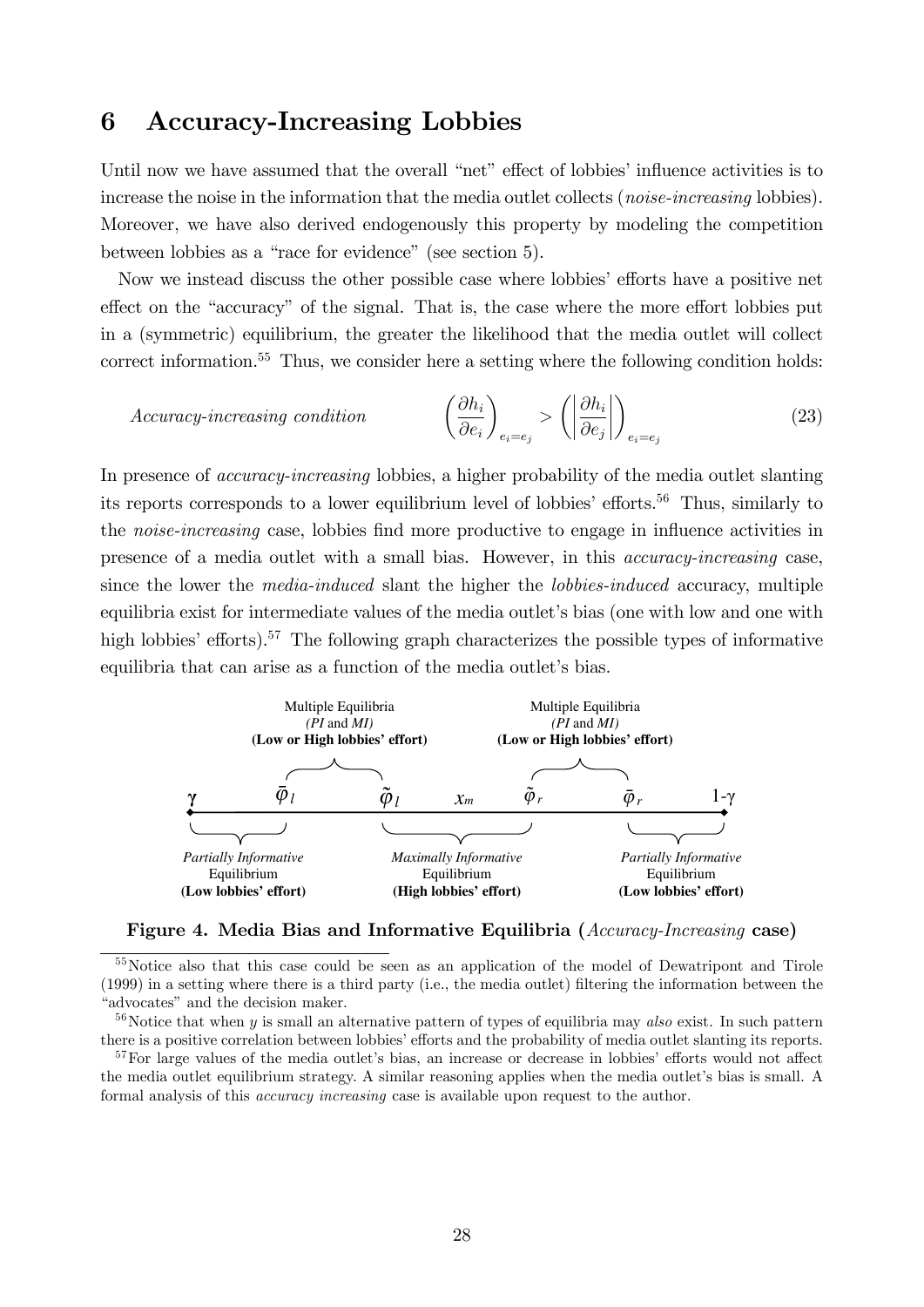# 6 Accuracy-Increasing Lobbies

Until now we have assumed that the overall "net" effect of lobbies' influence activities is to increase the noise in the information that the media outlet collects (*noise-increasing* lobbies). Moreover, we have also derived endogenously this property by modeling the competition between lobbies as a "race for evidence" (see section 5).

Now we instead discuss the other possible case where lobbies' efforts have a positive net effect on the "accuracy" of the signal. That is, the case where the more effort lobbies put in a (symmetric) equilibrium, the greater the likelihood that the media outlet will collect correct information.<sup>55</sup> Thus, we consider here a setting where the following condition holds:

$$
Accuracy\text{-}increasing\,\,condition \qquad \qquad \left(\frac{\partial h_i}{\partial e_i}\right)_{e_i = e_j} > \left(\left|\frac{\partial h_i}{\partial e_j}\right|\right)_{e_i = e_j} \tag{23}
$$

In presence of *accuracy-increasing* lobbies, a higher probability of the media outlet slanting its reports corresponds to a lower equilibrium level of lobbies' efforts.<sup>56</sup> Thus, similarly to the *noise-increasing* case, lobbies find more productive to engage in influence activities in presence of a media outlet with a small bias. However, in this accuracy-increasing case, since the lower the *media-induced* slant the higher the *lobbies-induced* accuracy, multiple equilibria exist for intermediate values of the media outlet's bias (one with low and one with high lobbies' efforts).<sup>57</sup> The following graph characterizes the possible types of informative equilibria that can arise as a function of the media outlet's bias.





<sup>55</sup>Notice also that this case could be seen as an application of the model of Dewatripont and Tirole (1999) in a setting where there is a third party (i.e., the media outlet) Öltering the information between the "advocates" and the decision maker.

 $56$ Notice that when y is small an alternative pattern of types of equilibria may also exist. In such pattern there is a positive correlation between lobbies' efforts and the probability of media outlet slanting its reports.

 $57$  For large values of the media outlet's bias, an increase or decrease in lobbies' efforts would not affect the media outlet equilibrium strategy. A similar reasoning applies when the media outlet's bias is small. A formal analysis of this accuracy increasing case is available upon request to the author.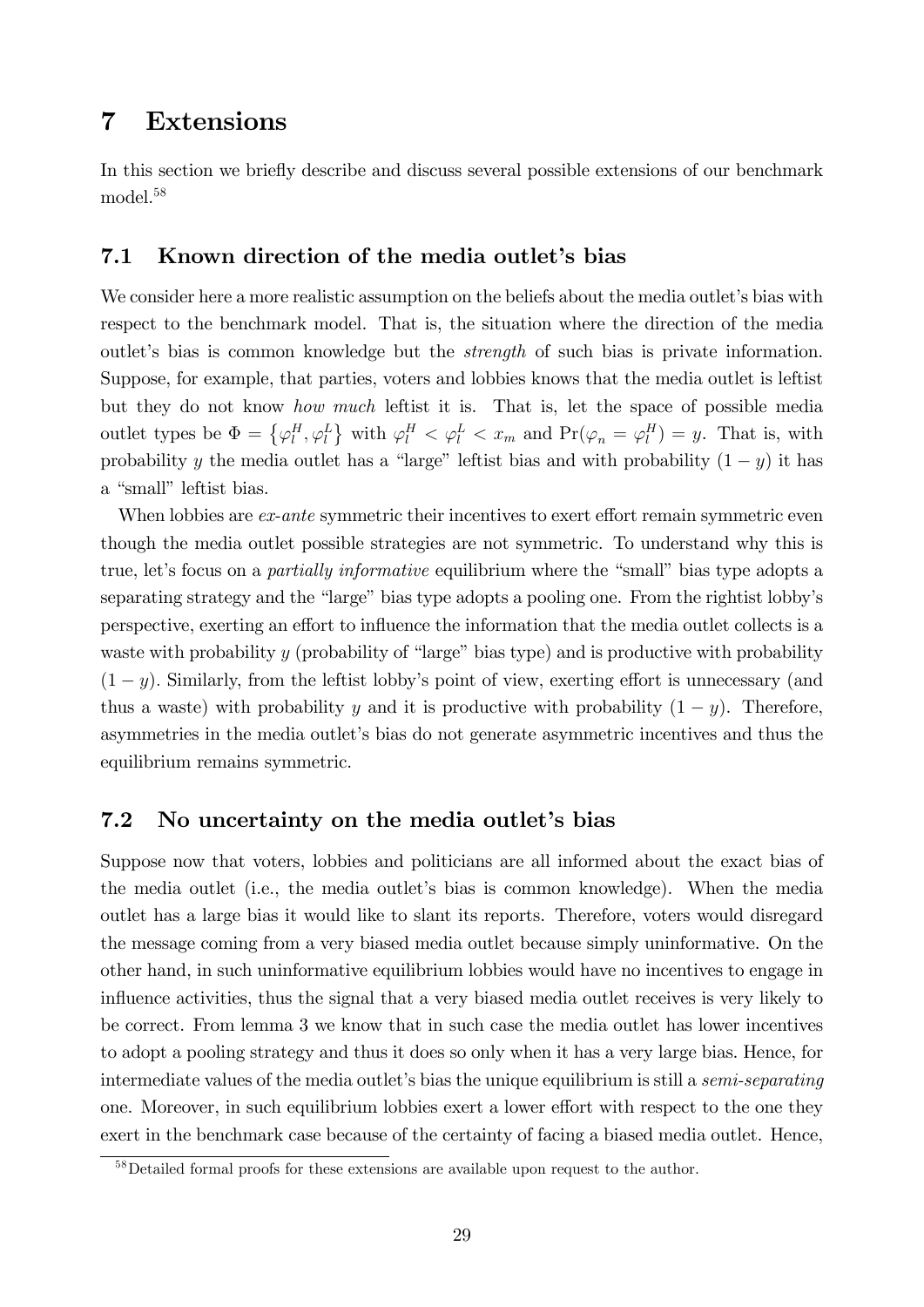# 7 Extensions

In this section we briefly describe and discuss several possible extensions of our benchmark model.<sup>58</sup>

# 7.1 Known direction of the media outlet's bias

We consider here a more realistic assumption on the beliefs about the media outlet's bias with respect to the benchmark model. That is, the situation where the direction of the media outlet's bias is common knowledge but the *strength* of such bias is private information. Suppose, for example, that parties, voters and lobbies knows that the media outlet is leftist but they do not know how much leftist it is. That is, let the space of possible media outlet types be  $\Phi = {\varphi_l^H, \varphi_l^L}$  with  $\varphi_l^H < {\varphi_l^L} < x_m$  and  $Pr(\varphi_n = \varphi_l^H) = y$ . That is, with probability y the media outlet has a "large" leftist bias and with probability  $(1 - y)$  it has a "small" leftist bias.

When lobbies are ex-ante symmetric their incentives to exert effort remain symmetric even though the media outlet possible strategies are not symmetric. To understand why this is true, let's focus on a *partially informative* equilibrium where the "small" bias type adopts a separating strategy and the "large" bias type adopts a pooling one. From the rightist lobby's perspective, exerting an effort to influence the information that the media outlet collects is a waste with probability  $y$  (probability of "large" bias type) and is productive with probability  $(1 - y)$ . Similarly, from the leftist lobby's point of view, exerting effort is unnecessary (and thus a waste) with probability y and it is productive with probability  $(1 - y)$ . Therefore, asymmetries in the media outletís bias do not generate asymmetric incentives and thus the equilibrium remains symmetric.

## 7.2 No uncertainty on the media outlet's bias

Suppose now that voters, lobbies and politicians are all informed about the exact bias of the media outlet (i.e., the media outlet's bias is common knowledge). When the media outlet has a large bias it would like to slant its reports. Therefore, voters would disregard the message coming from a very biased media outlet because simply uninformative. On the other hand, in such uninformative equilibrium lobbies would have no incentives to engage in influence activities, thus the signal that a very biased media outlet receives is very likely to be correct. From lemma 3 we know that in such case the media outlet has lower incentives to adopt a pooling strategy and thus it does so only when it has a very large bias. Hence, for intermediate values of the media outlet's bias the unique equilibrium is still a *semi-separating* one. Moreover, in such equilibrium lobbies exert a lower effort with respect to the one they exert in the benchmark case because of the certainty of facing a biased media outlet. Hence,

<sup>58</sup>Detailed formal proofs for these extensions are available upon request to the author.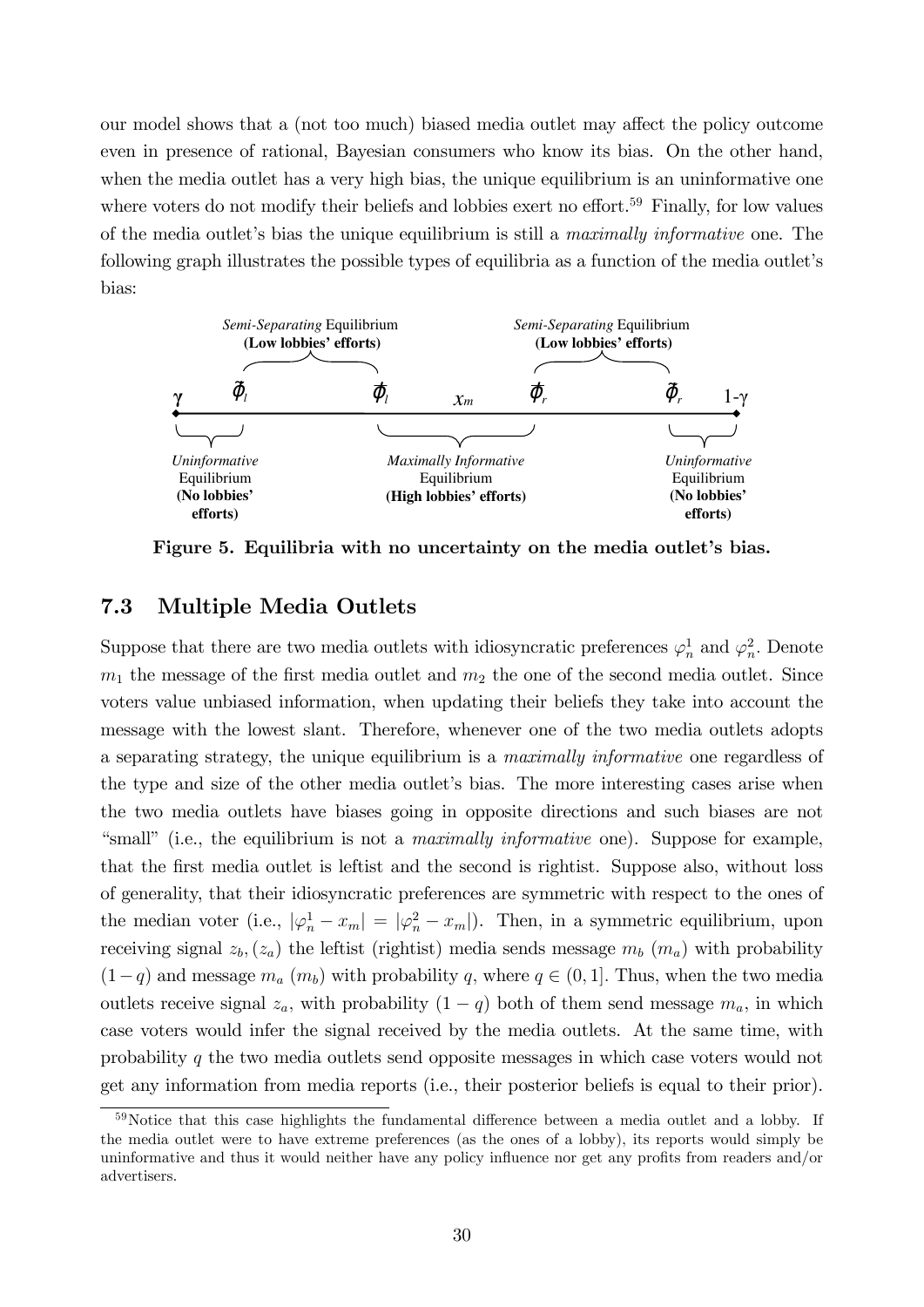our model shows that a (not too much) biased media outlet may affect the policy outcome even in presence of rational, Bayesian consumers who know its bias. On the other hand, when the media outlet has a very high bias, the unique equilibrium is an uninformative one where voters do not modify their beliefs and lobbies exert no effort.<sup>59</sup> Finally, for low values of the media outlet's bias the unique equilibrium is still a *maximally informative* one. The following graph illustrates the possible types of equilibria as a function of the media outlet's bias:



Figure 5. Equilibria with no uncertainty on the media outlet's bias.

# 7.3 Multiple Media Outlets

Suppose that there are two media outlets with idiosyncratic preferences  $\varphi_n^1$  and  $\varphi_n^2$ . Denote  $m_1$  the message of the first media outlet and  $m_2$  the one of the second media outlet. Since voters value unbiased information, when updating their beliefs they take into account the message with the lowest slant. Therefore, whenever one of the two media outlets adopts a separating strategy, the unique equilibrium is a maximally informative one regardless of the type and size of the other media outlet's bias. The more interesting cases arise when the two media outlets have biases going in opposite directions and such biases are not "small" (i.e., the equilibrium is not a *maximally informative* one). Suppose for example, that the Örst media outlet is leftist and the second is rightist. Suppose also, without loss of generality, that their idiosyncratic preferences are symmetric with respect to the ones of the median voter (i.e.,  $|\varphi_n^1 - x_m| = |\varphi_n^2 - x_m|$ ). Then, in a symmetric equilibrium, upon receiving signal  $z_b$ ,  $(z_a)$  the leftist (rightist) media sends message  $m_b$   $(m_a)$  with probability  $(1-q)$  and message  $m_a$   $(m_b)$  with probability q, where  $q \in (0, 1]$ . Thus, when the two media outlets receive signal  $z_a$ , with probability  $(1 - q)$  both of them send message  $m_a$ , in which case voters would infer the signal received by the media outlets. At the same time, with probability q the two media outlets send opposite messages in which case voters would not get any information from media reports (i.e., their posterior beliefs is equal to their prior).

 $59$ Notice that this case highlights the fundamental difference between a media outlet and a lobby. If the media outlet were to have extreme preferences (as the ones of a lobby), its reports would simply be uninformative and thus it would neither have any policy influence nor get any profits from readers and/or advertisers.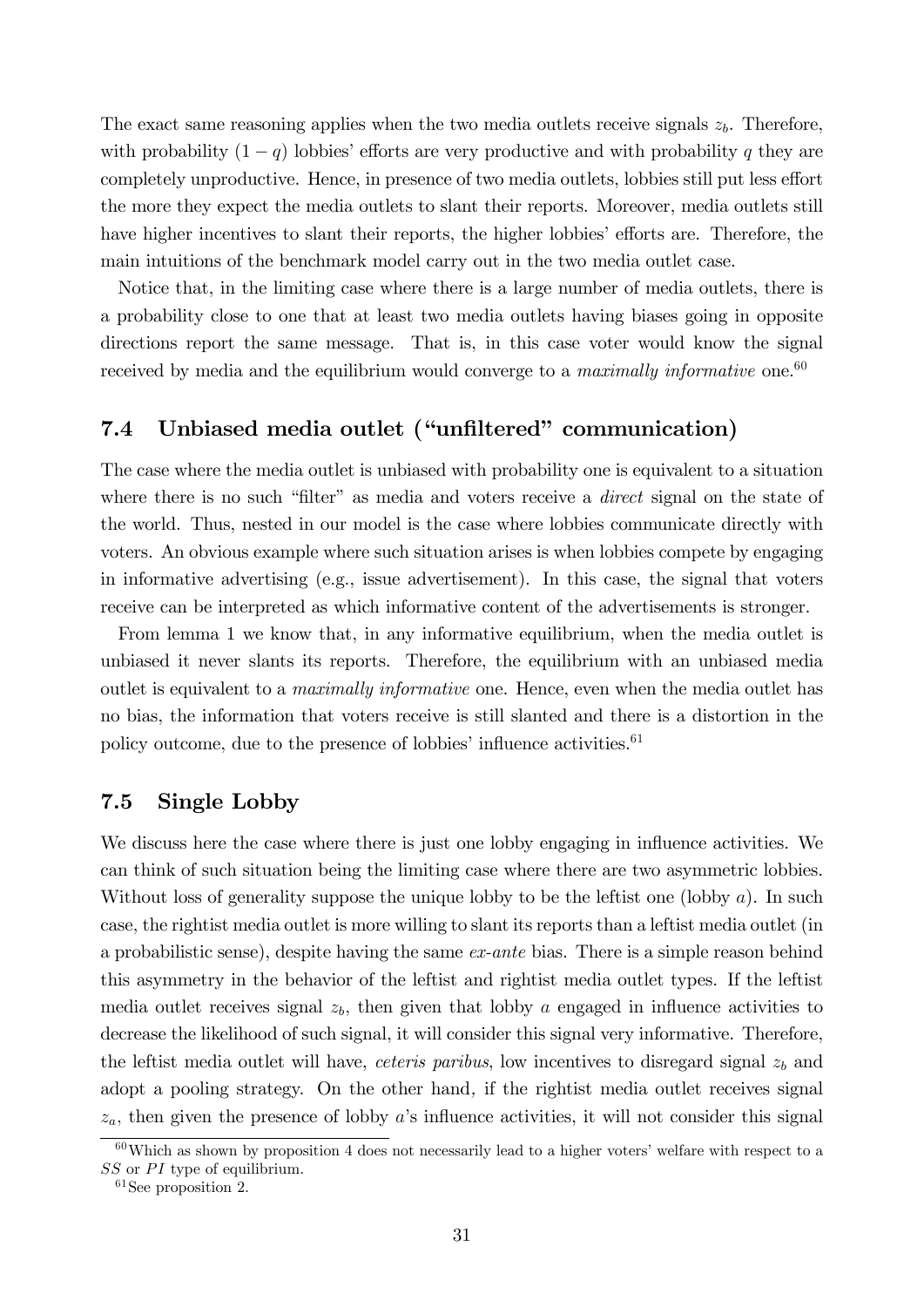The exact same reasoning applies when the two media outlets receive signals  $z<sub>b</sub>$ . Therefore, with probability  $(1 - q)$  lobbies' efforts are very productive and with probability q they are completely unproductive. Hence, in presence of two media outlets, lobbies still put less effort the more they expect the media outlets to slant their reports. Moreover, media outlets still have higher incentives to slant their reports, the higher lobbies' efforts are. Therefore, the main intuitions of the benchmark model carry out in the two media outlet case.

Notice that, in the limiting case where there is a large number of media outlets, there is a probability close to one that at least two media outlets having biases going in opposite directions report the same message. That is, in this case voter would know the signal received by media and the equilibrium would converge to a *maximally informative* one.<sup>60</sup>

# 7.4 Unbiased media outlet ("unfiltered" communication)

The case where the media outlet is unbiased with probability one is equivalent to a situation where there is no such "filter" as media and voters receive a *direct* signal on the state of the world. Thus, nested in our model is the case where lobbies communicate directly with voters. An obvious example where such situation arises is when lobbies compete by engaging in informative advertising (e.g., issue advertisement). In this case, the signal that voters receive can be interpreted as which informative content of the advertisements is stronger.

From lemma 1 we know that, in any informative equilibrium, when the media outlet is unbiased it never slants its reports. Therefore, the equilibrium with an unbiased media outlet is equivalent to a *maximally informative* one. Hence, even when the media outlet has no bias, the information that voters receive is still slanted and there is a distortion in the policy outcome, due to the presence of lobbies' influence activities. $61$ 

# 7.5 Single Lobby

We discuss here the case where there is just one lobby engaging in influence activities. We can think of such situation being the limiting case where there are two asymmetric lobbies. Without loss of generality suppose the unique lobby to be the leftist one (lobby  $a$ ). In such case, the rightist media outlet is more willing to slant its reports than a leftist media outlet (in a probabilistic sense), despite having the same  $ex$ -ante bias. There is a simple reason behind this asymmetry in the behavior of the leftist and rightist media outlet types. If the leftist media outlet receives signal  $z<sub>b</sub>$ , then given that lobby a engaged in influence activities to decrease the likelihood of such signal, it will consider this signal very informative. Therefore, the leftist media outlet will have, *ceteris paribus*, low incentives to disregard signal  $z<sub>b</sub>$  and adopt a pooling strategy. On the other hand, if the rightist media outlet receives signal  $z_a$ , then given the presence of lobby a's influence activities, it will not consider this signal

 $60$ Which as shown by proposition 4 does not necessarily lead to a higher voters' welfare with respect to a  $SS$  or  $PI$  type of equilibrium.

 $61$ See proposition 2.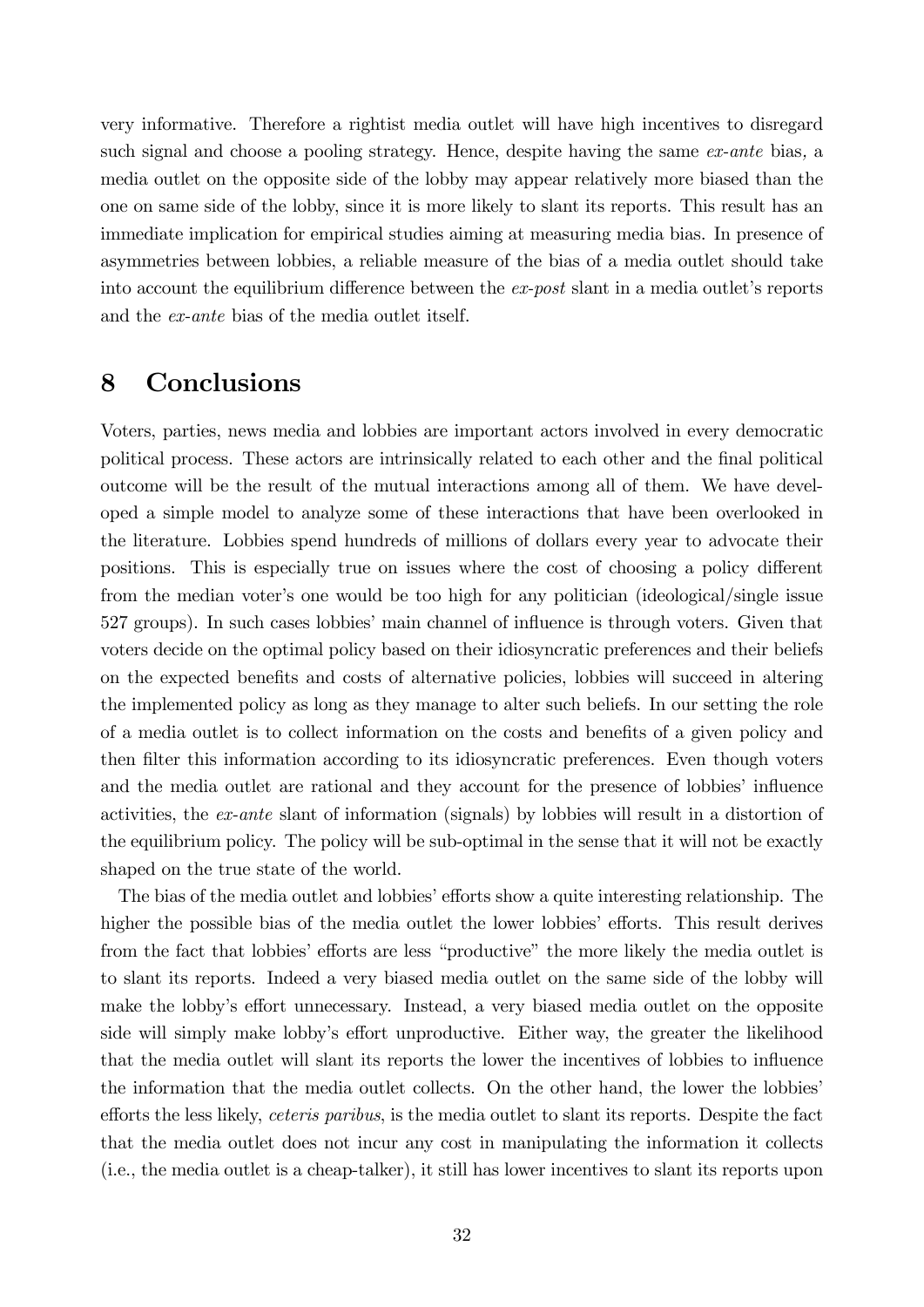very informative. Therefore a rightist media outlet will have high incentives to disregard such signal and choose a pooling strategy. Hence, despite having the same ex-ante bias, a media outlet on the opposite side of the lobby may appear relatively more biased than the one on same side of the lobby, since it is more likely to slant its reports. This result has an immediate implication for empirical studies aiming at measuring media bias. In presence of asymmetries between lobbies, a reliable measure of the bias of a media outlet should take into account the equilibrium difference between the  $ex\text{-}post$  slant in a media outlet's reports and the ex-ante bias of the media outlet itself.

# 8 Conclusions

Voters, parties, news media and lobbies are important actors involved in every democratic political process. These actors are intrinsically related to each other and the Önal political outcome will be the result of the mutual interactions among all of them. We have developed a simple model to analyze some of these interactions that have been overlooked in the literature. Lobbies spend hundreds of millions of dollars every year to advocate their positions. This is especially true on issues where the cost of choosing a policy different from the median voter's one would be too high for any politician (ideological/single issue 527 groups). In such cases lobbiesí main channel of ináuence is through voters. Given that voters decide on the optimal policy based on their idiosyncratic preferences and their beliefs on the expected benefits and costs of alternative policies, lobbies will succeed in altering the implemented policy as long as they manage to alter such beliefs. In our setting the role of a media outlet is to collect information on the costs and benefits of a given policy and then filter this information according to its idiosyncratic preferences. Even though voters and the media outlet are rational and they account for the presence of lobbies' influence activities, the ex-ante slant of information (signals) by lobbies will result in a distortion of the equilibrium policy. The policy will be sub-optimal in the sense that it will not be exactly shaped on the true state of the world.

The bias of the media outlet and lobbies' efforts show a quite interesting relationship. The higher the possible bias of the media outlet the lower lobbies' efforts. This result derives from the fact that lobbies' efforts are less "productive" the more likely the media outlet is to slant its reports. Indeed a very biased media outlet on the same side of the lobby will make the lobby's effort unnecessary. Instead, a very biased media outlet on the opposite side will simply make lobby's effort unproductive. Either way, the greater the likelihood that the media outlet will slant its reports the lower the incentives of lobbies to influence the information that the media outlet collects. On the other hand, the lower the lobbies<sup>7</sup> efforts the less likely, *ceteris paribus*, is the media outlet to slant its reports. Despite the fact that the media outlet does not incur any cost in manipulating the information it collects (i.e., the media outlet is a cheap-talker), it still has lower incentives to slant its reports upon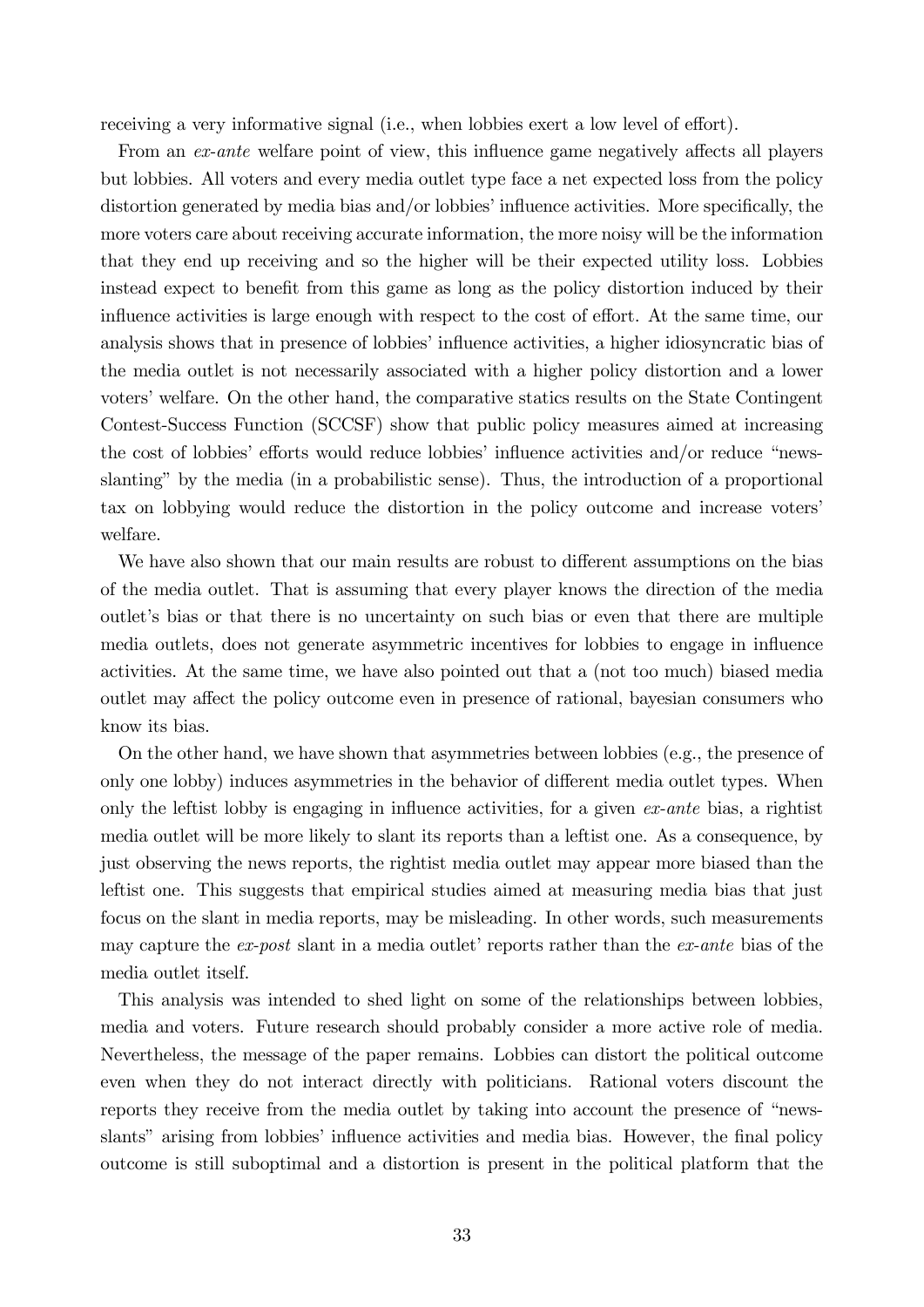receiving a very informative signal (i.e., when lobbies exert a low level of effort).

From an ex-ante welfare point of view, this influence game negatively affects all players but lobbies. All voters and every media outlet type face a net expected loss from the policy distortion generated by media bias and/or lobbies' influence activities. More specifically, the more voters care about receiving accurate information, the more noisy will be the information that they end up receiving and so the higher will be their expected utility loss. Lobbies instead expect to benefit from this game as long as the policy distortion induced by their influence activities is large enough with respect to the cost of effort. At the same time, our analysis shows that in presence of lobbies' influence activities, a higher idiosyncratic bias of the media outlet is not necessarily associated with a higher policy distortion and a lower voters' welfare. On the other hand, the comparative statics results on the State Contingent Contest-Success Function (SCCSF) show that public policy measures aimed at increasing the cost of lobbies' efforts would reduce lobbies' influence activities and/or reduce "newsslantingî by the media (in a probabilistic sense). Thus, the introduction of a proportional tax on lobbying would reduce the distortion in the policy outcome and increase voters welfare.

We have also shown that our main results are robust to different assumptions on the bias of the media outlet. That is assuming that every player knows the direction of the media outletís bias or that there is no uncertainty on such bias or even that there are multiple media outlets, does not generate asymmetric incentives for lobbies to engage in ináuence activities. At the same time, we have also pointed out that a (not too much) biased media outlet may affect the policy outcome even in presence of rational, bayesian consumers who know its bias.

On the other hand, we have shown that asymmetries between lobbies (e.g., the presence of only one lobby) induces asymmetries in the behavior of different media outlet types. When only the leftist lobby is engaging in influence activities, for a given  $ex$ -ante bias, a rightist media outlet will be more likely to slant its reports than a leftist one. As a consequence, by just observing the news reports, the rightist media outlet may appear more biased than the leftist one. This suggests that empirical studies aimed at measuring media bias that just focus on the slant in media reports, may be misleading. In other words, such measurements may capture the  $ex\text{-}post$  slant in a media outlet' reports rather than the  $ex\text{-}ante$  bias of the media outlet itself.

This analysis was intended to shed light on some of the relationships between lobbies, media and voters. Future research should probably consider a more active role of media. Nevertheless, the message of the paper remains. Lobbies can distort the political outcome even when they do not interact directly with politicians. Rational voters discount the reports they receive from the media outlet by taking into account the presence of "newsslants" arising from lobbies' influence activities and media bias. However, the final policy outcome is still suboptimal and a distortion is present in the political platform that the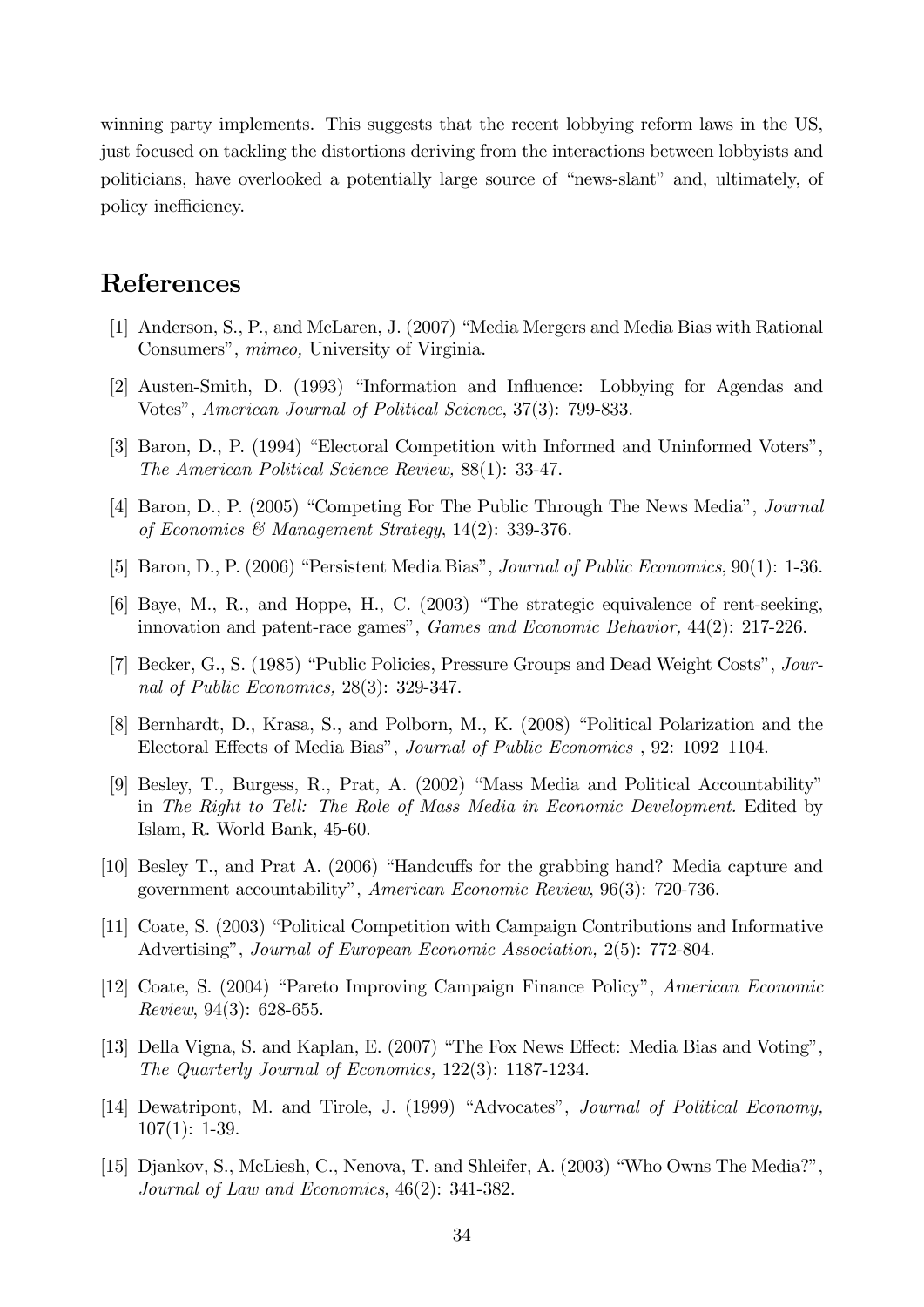winning party implements. This suggests that the recent lobbying reform laws in the US, just focused on tackling the distortions deriving from the interactions between lobbyists and politicians, have overlooked a potentially large source of "news-slant" and, ultimately, of policy inefficiency.

# References

- [1] Anderson, S., P., and McLaren, J. (2007) "Media Mergers and Media Bias with Rational Consumers", *mimeo*, University of Virginia.
- [2] Austen-Smith, D. (1993) "Information and Influence: Lobbying for Agendas and Votes", American Journal of Political Science, 37(3): 799-833.
- [3] Baron, D., P. (1994) "Electoral Competition with Informed and Uninformed Voters", The American Political Science Review, 88(1): 33-47.
- [4] Baron, D., P. (2005) "Competing For The Public Through The News Media", *Journal* of Economics & Management Strategy, 14(2): 339-376.
- [5] Baron, D., P. (2006) "Persistent Media Bias", Journal of Public Economics,  $90(1)$ : 1-36.
- [6] Baye, M., R., and Hoppe, H., C.  $(2003)$  "The strategic equivalence of rent-seeking, innovation and patent-race games", *Games and Economic Behavior*, 44(2): 217-226.
- [7] Becker, G., S. (1985) "Public Policies, Pressure Groups and Dead Weight Costs", Journal of Public Economics, 28(3): 329-347.
- [8] Bernhardt, D., Krasa, S., and Polborn, M., K. (2008) "Political Polarization and the Electoral Effects of Media Bias", Journal of Public Economics , 92: 1092-1104.
- [9] Besley, T., Burgess, R., Prat, A.  $(2002)$  "Mass Media and Political Accountability" in The Right to Tell: The Role of Mass Media in Economic Development. Edited by Islam, R. World Bank, 45-60.
- [10] Besley T., and Prat A.  $(2006)$  "Handcuffs for the grabbing hand? Media capture and government accountabilityî, American Economic Review, 96(3): 720-736.
- [11] Coate, S. (2003) "Political Competition with Campaign Contributions and Informative Advertising", *Journal of European Economic Association*, 2(5): 772-804.
- [12] Coate, S. (2004) "Pareto Improving Campaign Finance Policy", American Economic Review, 94(3): 628-655.
- [13] Della Vigna, S. and Kaplan, E. (2007) "The Fox News Effect: Media Bias and Voting", The Quarterly Journal of Economics, 122(3): 1187-1234.
- [14] Dewatripont, M. and Tirole, J. (1999) "Advocates", Journal of Political Economy, 107(1): 1-39.
- [15] Djankov, S., McLiesh, C., Nenova, T. and Shleifer, A. (2003) "Who Owns The Media?", Journal of Law and Economics, 46(2): 341-382.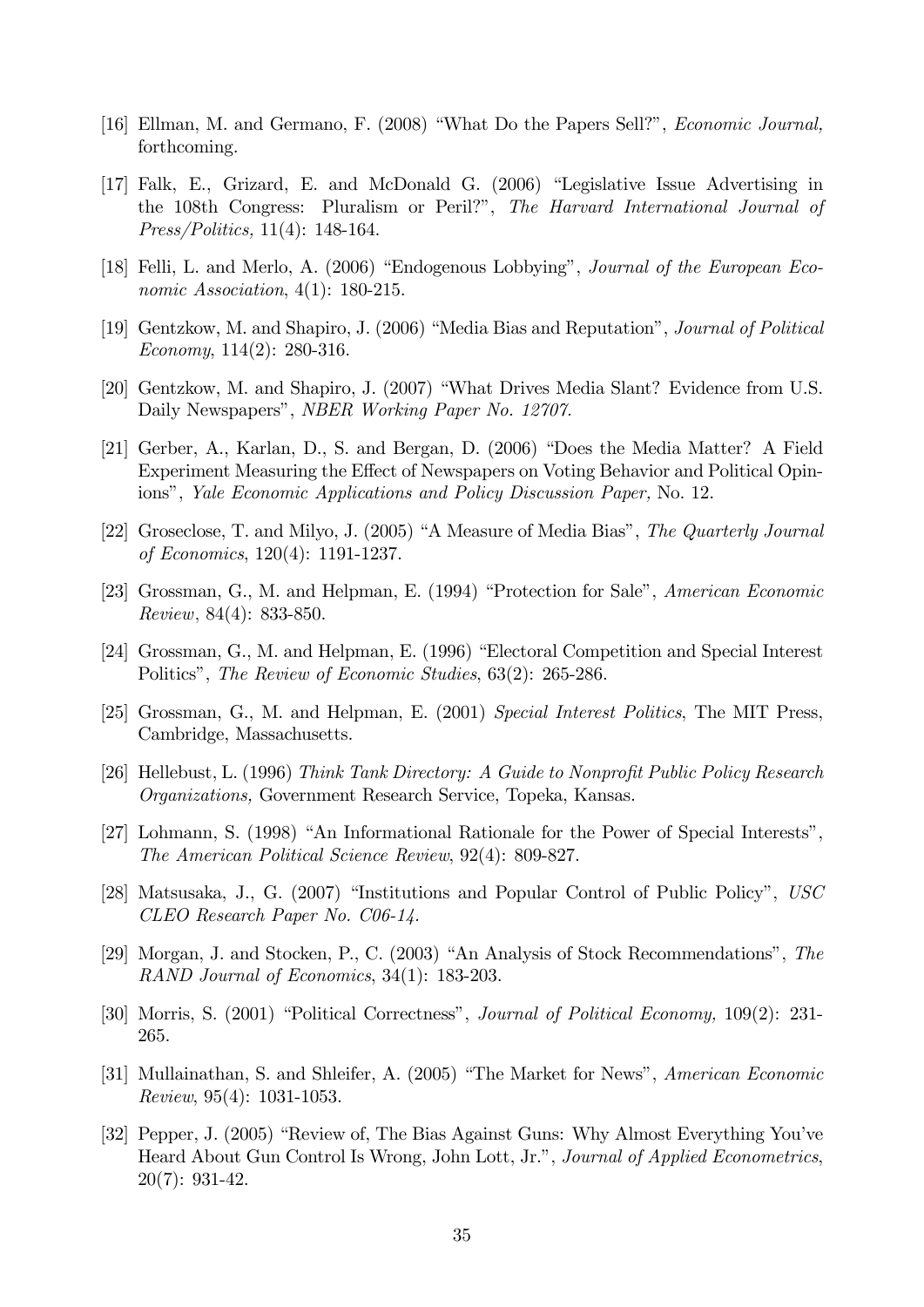- [16] Ellman, M. and Germano, F. (2008) "What Do the Papers Sell?", *Economic Journal*, forthcoming.
- [17] Falk, E., Grizard, E. and McDonald G. (2006) "Legislative Issue Advertising in the 108th Congress: Pluralism or Peril?", The Harvard International Journal of Press/Politics, 11(4): 148-164.
- [18] Felli, L. and Merlo, A. (2006) "Endogenous Lobbying", Journal of the European Economic Association,  $4(1)$ : 180-215.
- [19] Gentzkow, M. and Shapiro, J. (2006) "Media Bias and Reputation", Journal of Political Economy, 114(2): 280-316.
- [20] Gentzkow, M. and Shapiro, J. (2007) "What Drives Media Slant? Evidence from U.S. Daily Newspapers", NBER Working Paper No. 12707.
- [21] Gerber, A., Karlan, D., S. and Bergan, D. (2006) "Does the Media Matter? A Field Experiment Measuring the Effect of Newspapers on Voting Behavior and Political Opinions", Yale Economic Applications and Policy Discussion Paper, No. 12.
- [22] Groseclose, T. and Milyo, J. (2005) "A Measure of Media Bias", The Quarterly Journal of Economics, 120(4): 1191-1237.
- [23] Grossman, G., M. and Helpman, E. (1994) "Protection for Sale", American Economic Review; 84(4): 833-850.
- [24] Grossman, G., M. and Helpman, E. (1996) "Electoral Competition and Special Interest Politicsî, The Review of Economic Studies, 63(2): 265-286.
- [25] Grossman, G., M. and Helpman, E. (2001) Special Interest Politics, The MIT Press, Cambridge, Massachusetts.
- [26] Hellebust, L. (1996) Think Tank Directory: A Guide to Nonprofit Public Policy Research Organizations, Government Research Service, Topeka, Kansas.
- $[27]$  Lohmann, S. (1998) "An Informational Rationale for the Power of Special Interests", The American Political Science Review, 92(4): 809-827.
- [28] Matsusaka, J., G. (2007) "Institutions and Popular Control of Public Policy",  $USC$ CLEO Research Paper No. C06-14.
- [29] Morgan, J. and Stocken, P., C. (2003) "An Analysis of Stock Recommendations", The RAND Journal of Economics, 34(1): 183-203.
- [30] Morris, S.  $(2001)$  "Political Correctness", *Journal of Political Economy*,  $109(2)$ : 231-265.
- [31] Mullainathan, S. and Shleifer, A. (2005) "The Market for News", American Economic Review, 95(4): 1031-1053.
- [32] Pepper, J. (2005) "Review of, The Bias Against Guns: Why Almost Everything You've Heard About Gun Control Is Wrong, John Lott, Jr.", *Journal of Applied Econometrics*, 20(7): 931-42.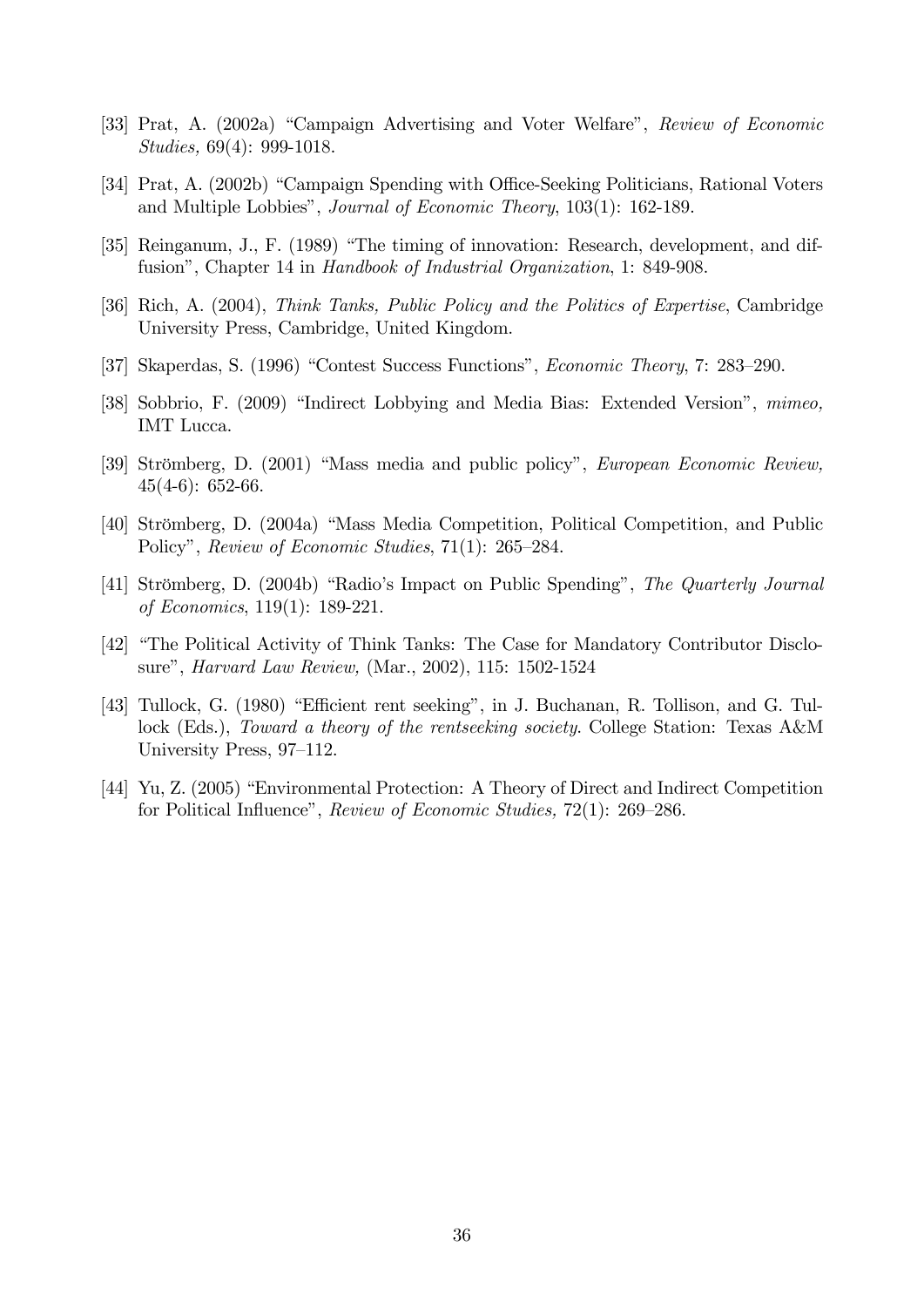- [33] Prat, A. (2002a) "Campaign Advertising and Voter Welfare", Review of Economic Studies, 69(4): 999-1018.
- [34] Prat, A. (2002b) "Campaign Spending with Office-Seeking Politicians, Rational Voters and Multiple Lobbies", *Journal of Economic Theory*, 103(1): 162-189.
- [35] Reinganum, J., F. (1989) "The timing of innovation: Research, development, and diffusion", Chapter 14 in Handbook of Industrial Organization, 1: 849-908.
- [36] Rich, A. (2004), Think Tanks, Public Policy and the Politics of Expertise, Cambridge University Press, Cambridge, United Kingdom.
- [37] Skaperdas, S. (1996) "Contest Success Functions", *Economic Theory*, 7: 283–290.
- [38] Sobbrio, F. (2009) "Indirect Lobbying and Media Bias: Extended Version", mimeo, IMT Lucca.
- [39] Strömberg, D. (2001) "Mass media and public policy", *European Economic Review*,  $45(4-6)$ : 652-66.
- [40] Strömberg, D. (2004a) "Mass Media Competition, Political Competition, and Public Policy", Review of Economic Studies,  $71(1)$ : 265–284.
- [41] Strömberg, D. (2004b) "Radio's Impact on Public Spending", The Quarterly Journal of Economics, 119(1): 189-221.
- [42] "The Political Activity of Think Tanks: The Case for Mandatory Contributor Disclosure", *Harvard Law Review*, (Mar., 2002), 115: 1502-1524
- [43] Tullock, G. (1980) "Efficient rent seeking", in J. Buchanan, R. Tollison, and G. Tullock (Eds.), Toward a theory of the rentseeking society. College Station: Texas A&M University Press, 97–112.
- [44] Yu, Z. (2005) "Environmental Protection: A Theory of Direct and Indirect Competition for Political Influence", Review of Economic Studies,  $72(1)$ : 269–286.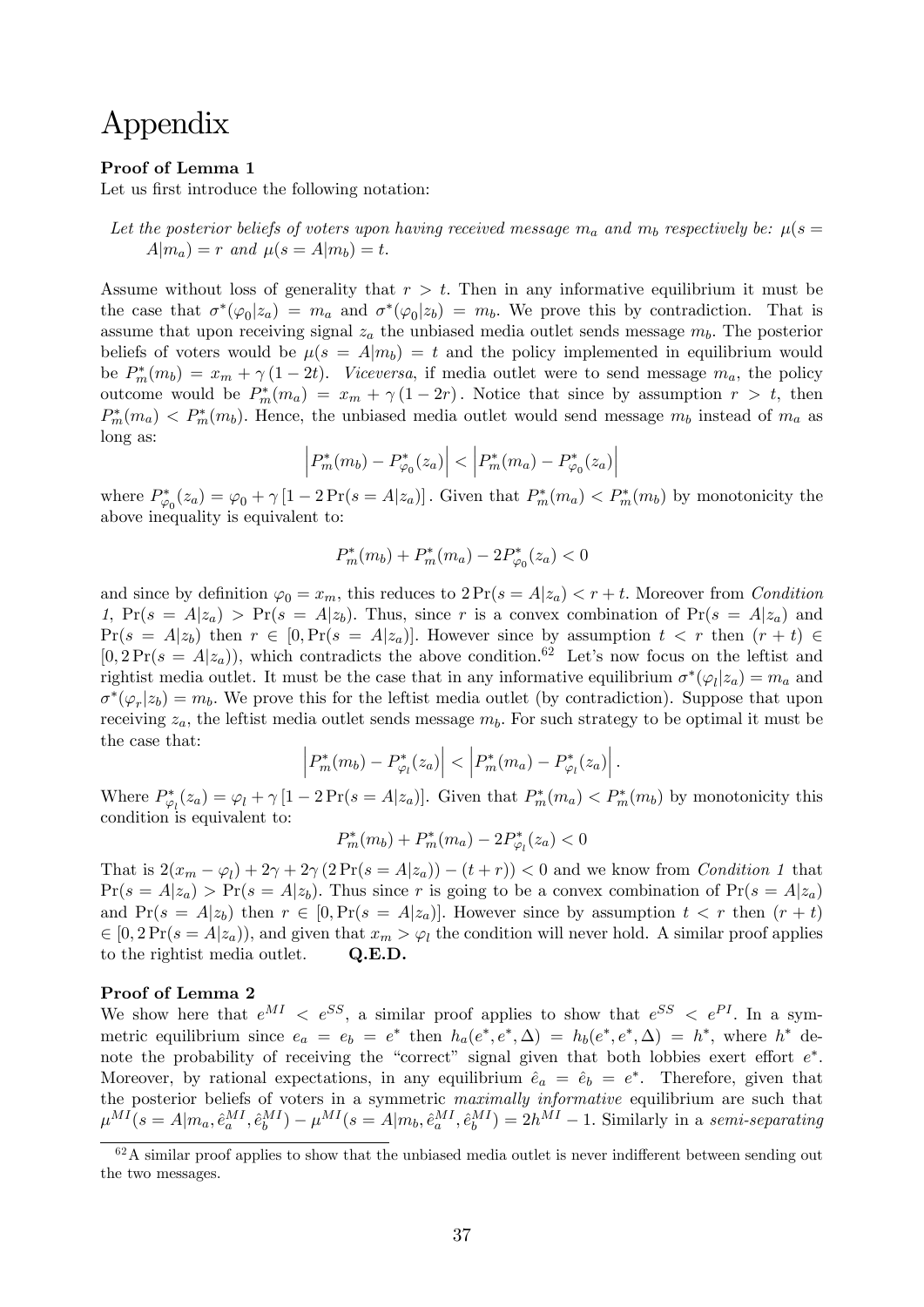# Appendix

#### Proof of Lemma 1

Let us first introduce the following notation:

Let the posterior beliefs of voters upon having received message  $m_a$  and  $m_b$  respectively be:  $\mu(s =$  $A|m_a| = r$  and  $\mu(s = A|m_b) = t$ .

Assume without loss of generality that  $r > t$ . Then in any informative equilibrium it must be the case that  $\sigma^*(\varphi_0|z_a) = m_a$  and  $\sigma^*(\varphi_0|z_b) = m_b$ . We prove this by contradiction. That is assume that upon receiving signal  $z_a$  the unbiased media outlet sends message  $m_b$ . The posterior beliefs of voters would be  $\mu(s = A|m_b) = t$  and the policy implemented in equilibrium would be  $P_m^*(m_b) = x_m + \gamma (1 - 2t)$ . Viceversa, if media outlet were to send message  $m_a$ , the policy outcome would be  $P_m^*(m_a) = x_m + \gamma(1-2r)$ . Notice that since by assumption  $r > t$ , then  $P_m^*(m_a) < P_m^*(m_b)$ . Hence, the unbiased media outlet would send message  $m_b$  instead of  $m_a$  as long as:

$$
\left|P_m^*(m_b) - P_{\varphi_0}^*(z_a)\right| < \left|P_m^*(m_a) - P_{\varphi_0}^*(z_a)\right|
$$

where  $P_{\varphi_0}^*(z_a) = \varphi_0 + \gamma [1 - 2\Pr(s = A|z_a)]$ . Given that  $P_m^*(m_a) < P_m^*(m_b)$  by monotonicity the above inequality is equivalent to:

$$
P_m^*(m_b) + P_m^*(m_a) - 2P_{\varphi_0}^*(z_a) < 0
$$

and since by definition  $\varphi_0 = x_m$ , this reduces to  $2 \Pr(s = A | z_a) < r + t$ . Moreover from Condition 1,  $Pr(s = A|z_a)$  >  $Pr(s = A|z_b)$ . Thus, since r is a convex combination of  $Pr(s = A|z_a)$  and  $Pr(s = A|z_b)$  then  $r \in [0, Pr(s = A|z_a)]$ . However since by assumption  $t < r$  then  $(r + t) \in$  $[0,2\Pr(s = A|z_a)$ , which contradicts the above condition.<sup>62</sup> Let's now focus on the leftist and rightist media outlet. It must be the case that in any informative equilibrium  $\sigma^*(\varphi_l|z_a) = m_a$  and  $\sigma^*(\varphi_r|z_b) = m_b$ . We prove this for the leftist media outlet (by contradiction). Suppose that upon receiving  $z_a$ , the leftist media outlet sends message  $m_b$ . For such strategy to be optimal it must be the case that:

$$
\left|P_m^*(m_b) - P_{\varphi_l}^*(z_a)\right| < \left|P_m^*(m_a) - P_{\varphi_l}^*(z_a)\right|.
$$

Where  $P_{\varphi_l}^*(z_a) = \varphi_l + \gamma [1 - 2\Pr(s = A|z_a)]$ . Given that  $P_m^*(m_a) < P_m^*(m_b)$  by monotonicity this condition is equivalent to:

$$
P_m^*(m_b) + P_m^*(m_a) - 2P_{\varphi_l}^*(z_a) < 0
$$

That is  $2(x_m - \varphi_l) + 2\gamma + 2\gamma (2\Pr(s = A|z_a)) - (t + r)) < 0$  and we know from *Condition 1* that  $Pr(s = A|z_a) > Pr(s = A|z_b)$ . Thus since r is going to be a convex combination of  $Pr(s = A|z_a)$ and  $Pr(s = A|z_b)$  then  $r \in [0, Pr(s = A|z_a)]$ . However since by assumption  $t < r$  then  $(r + t)$  $\in [0, 2\Pr(s = A|z_a))$ , and given that  $x_m > \varphi_l$  the condition will never hold. A similar proof applies to the rightist media outlet. Q.E.D.

### Proof of Lemma 2

We show here that  $e^{MI} < e^{SS}$ , a similar proof applies to show that  $e^{SS} < e^{PI}$ . In a symmetric equilibrium since  $e_a = e_b = e^*$  then  $h_a(e^*, e^*, \Delta) = h_b(e^*, e^*, \Delta) = h^*$ , where  $h^*$  denote the probability of receiving the "correct" signal given that both lobbies exert effort  $e^*$ . Moreover, by rational expectations, in any equilibrium  $\hat{e}_a = \hat{e}_b = e^*$ . Therefore, given that the posterior beliefs of voters in a symmetric *maximally informative* equilibrium are such that  $\mu^{MI}(s = A|m_a, \hat{e}^{MI}_a, \hat{e}^{MI}_b) - \mu^{MI}(s = A|m_b, \hat{e}^{MI}_a, \hat{e}^{MI}_b) = 2h^{MI} - 1$ . Similarly in a semi-separating

 $62A$  similar proof applies to show that the unbiased media outlet is never indifferent between sending out the two messages.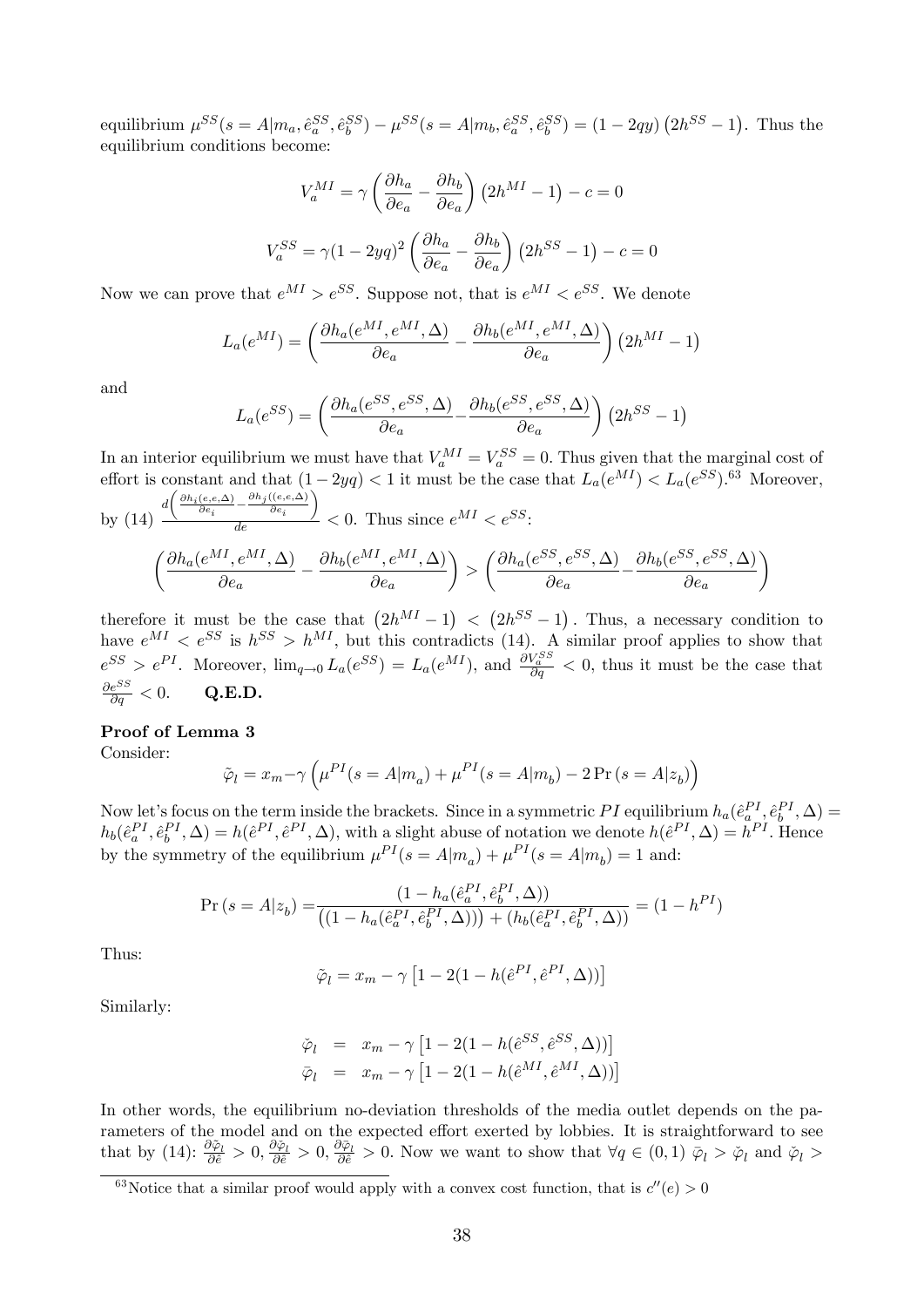equilibrium  $\mu^{SS}(s = A|m_a, \hat{e}^{SS}_a, \hat{e}^{SS}_b) - \mu^{SS}(s = A|m_b, \hat{e}^{SS}_a, \hat{e}^{SS}_b) = (1 - 2qy)(2h^{SS} - 1)$ . Thus the equilibrium conditions become:

$$
V_a^{MI} = \gamma \left(\frac{\partial h_a}{\partial e_a} - \frac{\partial h_b}{\partial e_a}\right) \left(2h^{MI} - 1\right) - c = 0
$$
  

$$
V_a^{SS} = \gamma (1 - 2yq)^2 \left(\frac{\partial h_a}{\partial e_a} - \frac{\partial h_b}{\partial e_a}\right) \left(2h^{SS} - 1\right) - c = 0
$$

 $\overline{0}$ 

Now we can prove that  $e^{MI} > e^{SS}$ . Suppose not, that is  $e^{MI} < e^{SS}$ . We denote

$$
L_a(e^{MI}) = \left(\frac{\partial h_a(e^{MI}, e^{MI}, \Delta)}{\partial e_a} - \frac{\partial h_b(e^{MI}, e^{MI}, \Delta)}{\partial e_a}\right) \left(2h^{MI} - 1\right)
$$

and

$$
L_a(e^{SS}) = \left(\frac{\partial h_a(e^{SS}, e^{SS}, \Delta)}{\partial e_a} - \frac{\partial h_b(e^{SS}, e^{SS}, \Delta)}{\partial e_a}\right) \left(2h^{SS} - 1\right)
$$

In an interior equilibrium we must have that  $V_a^{MI} = V_a^{SS} = 0$ . Thus given that the marginal cost of effort is constant and that  $(1 - 2yq) < 1$  it must be the case that  $L_a(e^{MI}) < L_a(e^{SS})$ .<sup>63</sup> Moreover,  $d\left(\frac{\partial h_i(e,e,\Delta)}{\partial e_i}-\frac{\partial h_j((e,e,\Delta))}{\partial e_i}\right)$ 

by (14) 
$$
\frac{d\left(\frac{R}{\theta e_i} - \frac{S}{\theta e_i}\right)}{de} < 0
$$
. Thus since  $e^{MI} < e^{SS}$ :

$$
\left(\frac{\partial h_a(e^{MI}, e^{MI}, \Delta)}{\partial e_a} - \frac{\partial h_b(e^{MI}, e^{MI}, \Delta)}{\partial e_a}\right) > \left(\frac{\partial h_a(e^{SS}, e^{SS}, \Delta)}{\partial e_a} - \frac{\partial h_b(e^{SS}, e^{SS}, \Delta)}{\partial e_a}\right)
$$

therefore it must be the case that  $(2h^{MI}-1) < (2h^{SS}-1)$ . Thus, a necessary condition to have  $e^{MI} < e^{SS}$  is  $h^{SS} > h^{MI}$ , but this contradicts (14). A similar proof applies to show that  $e^{SS} > e^{PI}$ . Moreover,  $\lim_{q\to 0} L_a(e^{SS}) = L_a(e^{MI})$ , and  $\frac{\partial V_a^{SS}}{\partial q} < 0$ , thus it must be the case that  $\frac{\partial e^{SS}}{\partial a} < 0.$  $Q.E.D.$ 

### Proof of Lemma 3

Consider:

$$
\tilde{\varphi}_l = x_m - \gamma \left( \mu^{PI}(s = A | m_a) + \mu^{PI}(s = A | m_b) - 2 \Pr(s = A | z_b) \right)
$$

Now let's focus on the term inside the brackets. Since in a symmetric PI equilibrium  $h_a(\hat{e}^{PI}_a, \hat{e}^{PI}_b, \Delta)$  $h_b(\hat{e}_a^{PI}, \hat{e}_b^{PI}, \Delta) = h(\hat{e}^{PI}, \hat{e}^{PI}, \Delta)$ , with a slight abuse of notation we denote  $h(\hat{e}^{PI}, \Delta) = h^{PI}$ . Hence by the symmetry of the equilibrium  $\mu^{PI}(s = A|m_a) + \mu^{PI}(s = A|m_b) = 1$  and:

$$
\Pr\left(s = A|z_b\right) = \frac{\left(1 - h_a(\hat{e}_a^{PI}, \hat{e}_b^{PI}, \Delta)\right)}{\left(\left(1 - h_a(\hat{e}_a^{PI}, \hat{e}_b^{PI}, \Delta)\right)\right) + \left(h_b(\hat{e}_a^{PI}, \hat{e}_b^{PI}, \Delta)\right)} = \left(1 - h^{PI}\right)
$$

Thus:

$$
\tilde{\varphi}_l = x_m - \gamma \left[ 1 - 2(1 - h(\hat{e}^{PI}, \hat{e}^{PI}, \Delta)) \right]
$$

Similarly:

$$
\tilde{\varphi}_l = x_m - \gamma \left[ 1 - 2(1 - h(\hat{e}^{SS}, \hat{e}^{SS}, \Delta)) \right]
$$

$$
\bar{\varphi}_l = x_m - \gamma \left[ 1 - 2(1 - h(\hat{e}^{MI}, \hat{e}^{MI}, \Delta)) \right]
$$

In other words, the equilibrium no-deviation thresholds of the media outlet depends on the parameters of the model and on the expected effort exerted by lobbies. It is straightforward to see that by (14):  $\frac{\partial \tilde{\varphi}_l}{\partial \tilde{e}} > 0$ ,  $\frac{\partial \tilde{\varphi}_l}{\partial \tilde{e}} > 0$ . Now we want to show that  $\forall q \in (0,1)$   $\bar{\varphi}_l > \tilde{\varphi}_l$  and  $\tilde{\varphi}_l >$ 

<sup>&</sup>lt;sup>63</sup>Notice that a similar proof would apply with a convex cost function, that is  $c''(e) > 0$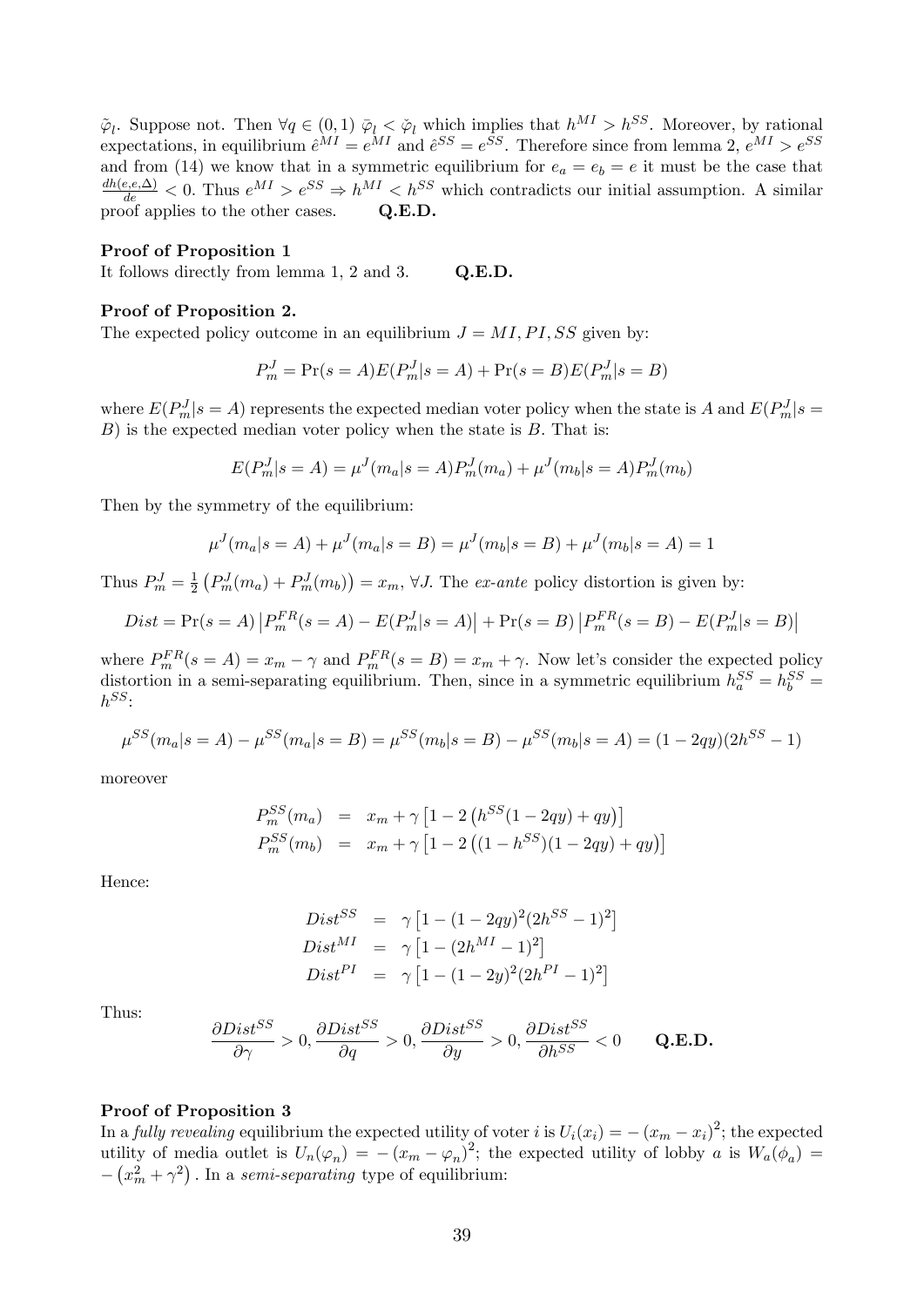$\tilde{\varphi}_l$ . Suppose not. Then  $\forall q \in (0,1)$   $\overline{\varphi}_l < \varphi_l$  which implies that  $h^{MI} > h^{SS}$ . Moreover, by rational expectations, in equilibrium  $\hat{e}^{MI} = e^{MI}$  and  $\hat{e}^{SS} = e^{SS}$ . Therefore since from lemma 2,  $e^{MI} > e^{SS}$ and from (14) we know that in a symmetric equilibrium for  $e_a = e_b = e$  it must be the case that  $\frac{dh(e,e,\Delta)}{de}$  < 0. Thus  $e^{MI} > e^{SS} \Rightarrow h^{MI} < h^{SS}$  which contradicts our initial assumption. A similar proof applies to the other cases. Q.E.D.

#### Proof of Proposition 1

It follows directly from lemma 1, 2 and 3. Q.E.D.

#### Proof of Proposition 2.

The expected policy outcome in an equilibrium  $J = MI$ ,  $PI$ ,  $SS$  given by:

$$
P_m^J = \Pr(s = A)E(P_m^J|s = A) + \Pr(s = B)E(P_m^J|s = B)
$$

where  $E(P_m^J | s = A)$  represents the expected median voter policy when the state is A and  $E(P_m^J | s = A)$  $B$ ) is the expected median voter policy when the state is  $B$ . That is:

$$
E(P_m^J | s = A) = \mu^J(m_a | s = A) P_m^J(m_a) + \mu^J(m_b | s = A) P_m^J(m_b)
$$

Then by the symmetry of the equilibrium:

$$
\mu^{J}(m_{a}|s = A) + \mu^{J}(m_{a}|s = B) = \mu^{J}(m_{b}|s = B) + \mu^{J}(m_{b}|s = A) = 1
$$

Thus  $P_m^J = \frac{1}{2}$  $\frac{1}{2} \left( P_m^J(m_a) + P_m^J(m_b) \right) = x_m$ ,  $\forall J$ . The *ex-ante* policy distortion is given by:

$$
Dist = \Pr(s = A) | P_m^{FR}(s = A) - E(P_m^J | s = A) | + \Pr(s = B) | P_m^{FR}(s = B) - E(P_m^J | s = B) |
$$

where  $P_m^{FR}(s = A) = x_m - \gamma$  and  $P_m^{FR}(s = B) = x_m + \gamma$ . Now let's consider the expected policy distortion in a semi-separating equilibrium. Then, since in a symmetric equilibrium  $h_a^{SS} = h_b^{SS} =$  $h^{SS}$ :

$$
\mu^{SS}(m_a|s=A) - \mu^{SS}(m_a|s=B) = \mu^{SS}(m_b|s=B) - \mu^{SS}(m_b|s=A) = (1 - 2qy)(2h^{SS} - 1)
$$

moreover

$$
P_m^{SS}(m_a) = x_m + \gamma \left[ 1 - 2 \left( h^{SS} (1 - 2qy) + qy \right) \right]
$$
  
\n
$$
P_m^{SS}(m_b) = x_m + \gamma \left[ 1 - 2 \left( (1 - h^{SS}) (1 - 2qy) + qy \right) \right]
$$

Hence:

$$
Dist^{SS} = \gamma [1 - (1 - 2qy)^2 (2h^{SS} - 1)^2]
$$
  
\n
$$
Dist^{MI} = \gamma [1 - (2h^{MI} - 1)^2]
$$
  
\n
$$
Dist^{PI} = \gamma [1 - (1 - 2y)^2 (2h^{PI} - 1)^2]
$$

Thus:

$$
\frac{\partial Dist^{SS}}{\partial \gamma} > 0, \frac{\partial Dist^{SS}}{\partial q} > 0, \frac{\partial Dist^{SS}}{\partial y} > 0, \frac{\partial Dist^{SS}}{\partial h^{SS}} < 0 \qquad \mathbf{Q.E.D.}
$$

### Proof of Proposition 3

In a *fully revealing* equilibrium the expected utility of voter i is  $U_i(x_i) = -(x_m - x_i)^2$ ; the expected utility of media outlet is  $U_n(\varphi_n) = -(x_m - \varphi_n)^2$ ; the expected utility of lobby a is  $W_a(\phi_a) =$  $-\left(x_m^2 + \gamma^2\right)$ . In a semi-separating type of equilibrium: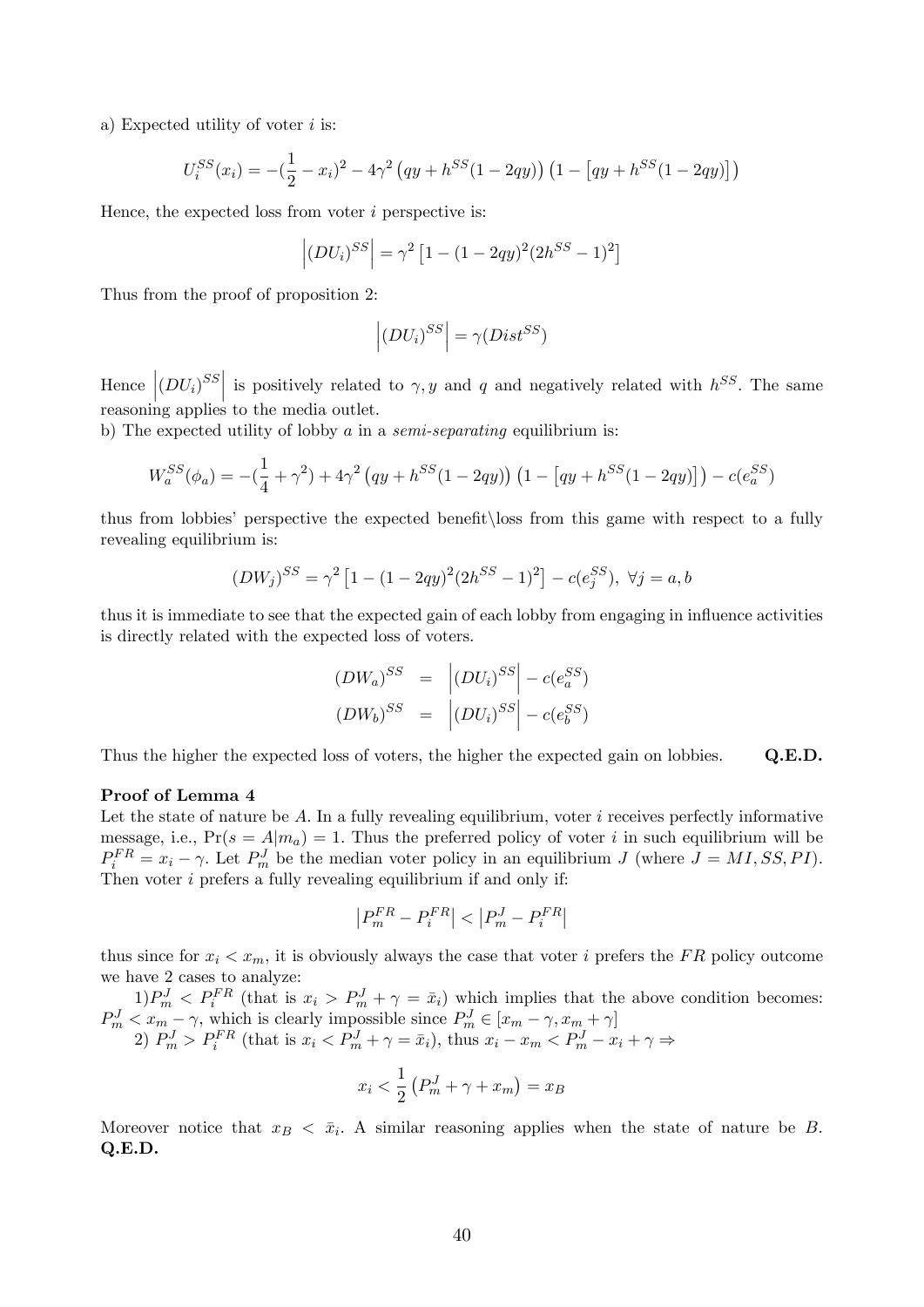a) Expected utility of voter  $i$  is:

$$
U_i^{SS}(x_i) = -(\frac{1}{2} - x_i)^2 - 4\gamma^2 (qy + h^{SS}(1 - 2qy)) (1 - [qy + h^{SS}(1 - 2qy)])
$$

Hence, the expected loss from voter  $i$  perspective is:

$$
\left| \left( DU_{i} \right)^{SS} \right| = \gamma^{2} \left[ 1 - (1 - 2qy)^{2} (2h^{SS} - 1)^{2} \right]
$$

Thus from the proof of proposition 2:

$$
\left| \left( DU_{i}\right) ^{SS}\right| =\gamma \big( Dist^{SS}\big)
$$

Hence  $|(DU_i)^{SS}|$  is positively related to  $\gamma, y$  and q and negatively related with  $h^{SS}$ . The same reasoning applies to the media outlet.

b) The expected utility of lobby a in a *semi-separating* equilibrium is:

$$
W_a^{SS}(\phi_a) = -(\frac{1}{4} + \gamma^2) + 4\gamma^2 (qy + h^{SS}(1 - 2qy)) (1 - [qy + h^{SS}(1 - 2qy)]) - c(e_a^{SS})
$$

thus from lobbies' perspective the expected benefit loss from this game with respect to a fully revealing equilibrium is:

$$
(DW_j)^{SS} = \gamma^2 \left[ 1 - (1 - 2qy)^2 (2h^{SS} - 1)^2 \right] - c(e_j^{SS}), \ \forall j = a, b
$$

thus it is immediate to see that the expected gain of each lobby from engaging in influence activities is directly related with the expected loss of voters.

$$
(DW_a)^{SS} = |(DU_i)^{SS}| - c(e_a^{SS})
$$
  

$$
(DW_b)^{SS} = |(DU_i)^{SS}| - c(e_b^{SS})
$$

Thus the higher the expected loss of voters, the higher the expected gain on lobbies. Q.E.D.

#### Proof of Lemma 4

Let the state of nature be A. In a fully revealing equilibrium, voter  $i$  receives perfectly informative message, i.e.,  $Pr(s = A|m_a) = 1$ . Thus the preferred policy of voter i in such equilibrium will be  $P_i^{FR} = x_i - \gamma$ . Let  $P_m^J$  be the median voter policy in an equilibrium J (where  $J = MI, SS, PI$ ). Then voter  $i$  prefers a fully revealing equilibrium if and only if:

$$
\left|P_m^{FR}-P_i^{FR}\right|<\left|P_m^J-P_i^{FR}\right|
$$

thus since for  $x_i < x_m$ , it is obviously always the case that voter i prefers the FR policy outcome we have 2 cases to analyze:

 $1)P_m^J < P_i^{FR}$  (that is  $x_i > P_m^J + \gamma = \bar{x}_i$ ) which implies that the above condition becomes:  $P_m^J < x_m - \gamma$ , which is clearly impossible since  $P_m^J \in [x_m - \gamma, x_m + \gamma]$ 

2) 
$$
P_m^J > P_i^{FR}
$$
 (that is  $x_i < P_m^J + \gamma = \bar{x}_i$ ), thus  $x_i - x_m < P_m^J - x_i + \gamma \Rightarrow$ 

$$
x_i < \frac{1}{2} \left( P_m^J + \gamma + x_m \right) = x_B
$$

Moreover notice that  $x_B < \bar{x}_i$ . A similar reasoning applies when the state of nature be B. Q.E.D.